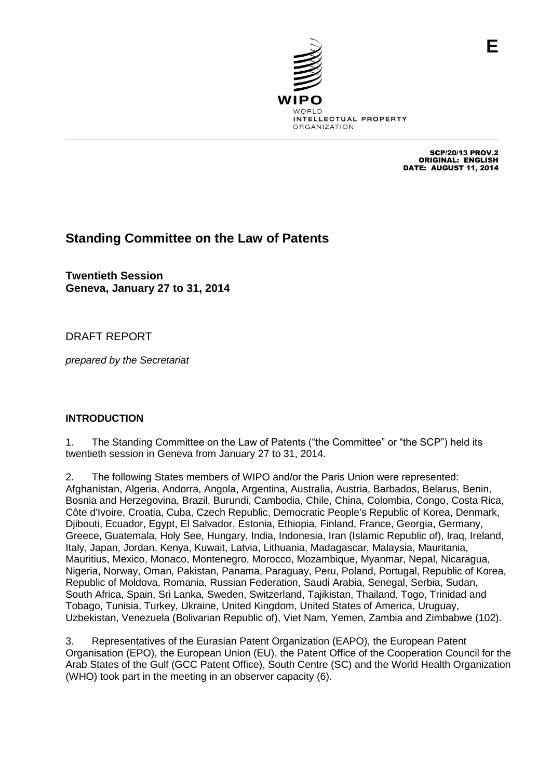

SCP/20/13 PROV.2 ORIGINAL: ENGLISH DATE: AUGUST 11, 2014

**E**

# **Standing Committee on the Law of Patents**

**Twentieth Session Geneva, January 27 to 31, 2014**

## DRAFT REPORT

*prepared by the Secretariat*

## **INTRODUCTION**

1. The Standing Committee on the Law of Patents ("the Committee" or "the SCP") held its twentieth session in Geneva from January 27 to 31, 2014.

2. The following States members of WIPO and/or the Paris Union were represented: Afghanistan, Algeria, Andorra, Angola, Argentina, Australia, Austria, Barbados, Belarus, Benin, Bosnia and Herzegovina, Brazil, Burundi, Cambodia, Chile, China, Colombia, Congo, Costa Rica, Côte d'Ivoire, Croatia, Cuba, Czech Republic, Democratic People's Republic of Korea, Denmark, Djibouti, Ecuador, Egypt, El Salvador, Estonia, Ethiopia, Finland, France, Georgia, Germany, Greece, Guatemala, Holy See, Hungary, India, Indonesia, Iran (Islamic Republic of), Iraq, Ireland, Italy, Japan, Jordan, Kenya, Kuwait, Latvia, Lithuania, Madagascar, Malaysia, Mauritania, Mauritius, Mexico, Monaco, Montenegro, Morocco, Mozambique, Myanmar, Nepal, Nicaragua, Nigeria, Norway, Oman, Pakistan, Panama, Paraguay, Peru, Poland, Portugal, Republic of Korea, Republic of Moldova, Romania, Russian Federation, Saudi Arabia, Senegal, Serbia, Sudan, South Africa, Spain, Sri Lanka, Sweden, Switzerland, Tajikistan, Thailand, Togo, Trinidad and Tobago, Tunisia, Turkey, Ukraine, United Kingdom, United States of America, Uruguay, Uzbekistan, Venezuela (Bolivarian Republic of), Viet Nam, Yemen, Zambia and Zimbabwe (102).

3. Representatives of the Eurasian Patent Organization (EAPO), the European Patent Organisation (EPO), the European Union (EU), the Patent Office of the Cooperation Council for the Arab States of the Gulf (GCC Patent Office), South Centre (SC) and the World Health Organization (WHO) took part in the meeting in an observer capacity (6).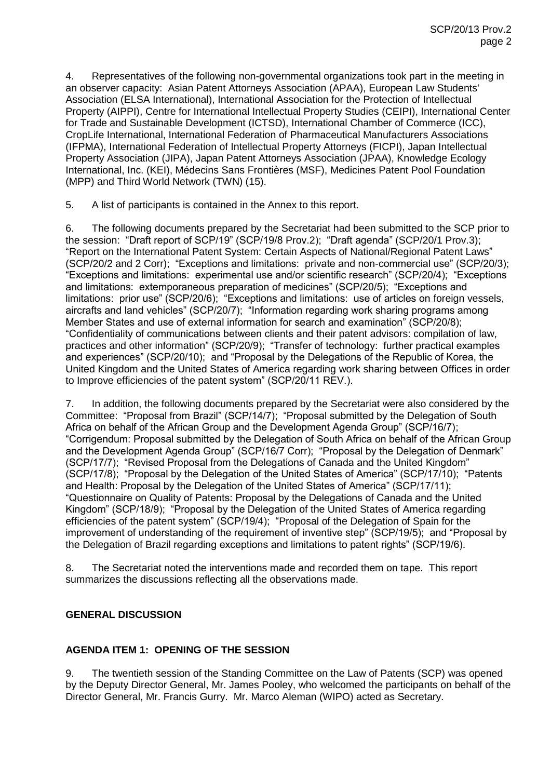4. Representatives of the following non-governmental organizations took part in the meeting in an observer capacity: Asian Patent Attorneys Association (APAA), European Law Students' Association (ELSA International), International Association for the Protection of Intellectual Property (AIPPI), Centre for International Intellectual Property Studies (CEIPI), International Center for Trade and Sustainable Development (ICTSD), International Chamber of Commerce (ICC), CropLife International, International Federation of Pharmaceutical Manufacturers Associations (IFPMA), International Federation of Intellectual Property Attorneys (FICPI), Japan Intellectual Property Association (JIPA), Japan Patent Attorneys Association (JPAA), Knowledge Ecology International, Inc. (KEI), Médecins Sans Frontières (MSF), Medicines Patent Pool Foundation (MPP) and Third World Network (TWN) (15).

5. A list of participants is contained in the Annex to this report.

6. The following documents prepared by the Secretariat had been submitted to the SCP prior to the session: "Draft report of SCP/19" (SCP/19/8 Prov.2); "Draft agenda" (SCP/20/1 Prov.3); "Report on the International Patent System: Certain Aspects of National/Regional Patent Laws" (SCP/20/2 and 2 Corr); "Exceptions and limitations: private and non-commercial use" (SCP/20/3); "Exceptions and limitations: experimental use and/or scientific research" (SCP/20/4); "Exceptions and limitations: extemporaneous preparation of medicines" (SCP/20/5); "Exceptions and limitations: prior use" (SCP/20/6); "Exceptions and limitations: use of articles on foreign vessels, aircrafts and land vehicles" (SCP/20/7); "Information regarding work sharing programs among Member States and use of external information for search and examination" (SCP/20/8); "Confidentiality of communications between clients and their patent advisors: compilation of law, practices and other information" (SCP/20/9); "Transfer of technology: further practical examples and experiences" (SCP/20/10); and "Proposal by the Delegations of the Republic of Korea, the United Kingdom and the United States of America regarding work sharing between Offices in order to Improve efficiencies of the patent system" (SCP/20/11 REV.).

7. In addition, the following documents prepared by the Secretariat were also considered by the Committee: "Proposal from Brazil" (SCP/14/7); "Proposal submitted by the Delegation of South Africa on behalf of the African Group and the Development Agenda Group" (SCP/16/7); "Corrigendum: Proposal submitted by the Delegation of South Africa on behalf of the African Group and the Development Agenda Group" (SCP/16/7 Corr); "Proposal by the Delegation of Denmark" (SCP/17/7); "Revised Proposal from the Delegations of Canada and the United Kingdom" (SCP/17/8); "Proposal by the Delegation of the United States of America" (SCP/17/10); "Patents and Health: Proposal by the Delegation of the United States of America" (SCP/17/11); "Questionnaire on Quality of Patents: Proposal by the Delegations of Canada and the United Kingdom" (SCP/18/9); "Proposal by the Delegation of the United States of America regarding efficiencies of the patent system" (SCP/19/4); "Proposal of the Delegation of Spain for the improvement of understanding of the requirement of inventive step" (SCP/19/5); and "Proposal by the Delegation of Brazil regarding exceptions and limitations to patent rights" (SCP/19/6).

8. The Secretariat noted the interventions made and recorded them on tape. This report summarizes the discussions reflecting all the observations made.

#### **GENERAL DISCUSSION**

#### **AGENDA ITEM 1: OPENING OF THE SESSION**

9. The twentieth session of the Standing Committee on the Law of Patents (SCP) was opened by the Deputy Director General, Mr. James Pooley, who welcomed the participants on behalf of the Director General, Mr. Francis Gurry. Mr. Marco Aleman (WIPO) acted as Secretary.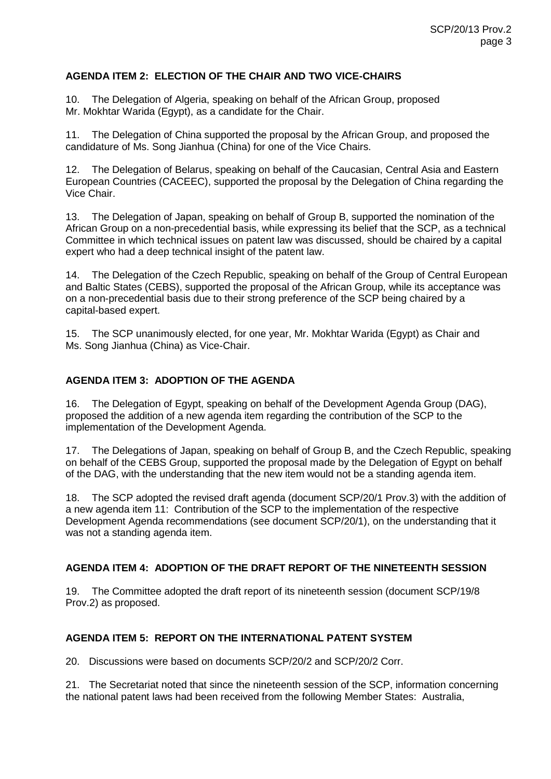## **AGENDA ITEM 2: ELECTION OF THE CHAIR AND TWO VICE-CHAIRS**

10. The Delegation of Algeria, speaking on behalf of the African Group, proposed Mr. Mokhtar Warida (Egypt), as a candidate for the Chair.

11. The Delegation of China supported the proposal by the African Group, and proposed the candidature of Ms. Song Jianhua (China) for one of the Vice Chairs.

12. The Delegation of Belarus, speaking on behalf of the Caucasian, Central Asia and Eastern European Countries (CACEEC), supported the proposal by the Delegation of China regarding the Vice Chair.

13. The Delegation of Japan, speaking on behalf of Group B, supported the nomination of the African Group on a non-precedential basis, while expressing its belief that the SCP, as a technical Committee in which technical issues on patent law was discussed, should be chaired by a capital expert who had a deep technical insight of the patent law.

14. The Delegation of the Czech Republic, speaking on behalf of the Group of Central European and Baltic States (CEBS), supported the proposal of the African Group, while its acceptance was on a non-precedential basis due to their strong preference of the SCP being chaired by a capital-based expert.

15. The SCP unanimously elected, for one year, Mr. Mokhtar Warida (Egypt) as Chair and Ms. Song Jianhua (China) as Vice-Chair.

## **AGENDA ITEM 3: ADOPTION OF THE AGENDA**

16. The Delegation of Egypt, speaking on behalf of the Development Agenda Group (DAG), proposed the addition of a new agenda item regarding the contribution of the SCP to the implementation of the Development Agenda.

17. The Delegations of Japan, speaking on behalf of Group B, and the Czech Republic, speaking on behalf of the CEBS Group, supported the proposal made by the Delegation of Egypt on behalf of the DAG, with the understanding that the new item would not be a standing agenda item.

18. The SCP adopted the revised draft agenda (document SCP/20/1 Prov.3) with the addition of a new agenda item 11: Contribution of the SCP to the implementation of the respective Development Agenda recommendations (see document SCP/20/1), on the understanding that it was not a standing agenda item.

#### **AGENDA ITEM 4: ADOPTION OF THE DRAFT REPORT OF THE NINETEENTH SESSION**

19. The Committee adopted the draft report of its nineteenth session (document SCP/19/8 Prov.2) as proposed.

#### **AGENDA ITEM 5: REPORT ON THE INTERNATIONAL PATENT SYSTEM**

20. Discussions were based on documents SCP/20/2 and SCP/20/2 Corr.

21. The Secretariat noted that since the nineteenth session of the SCP, information concerning the national patent laws had been received from the following Member States: Australia,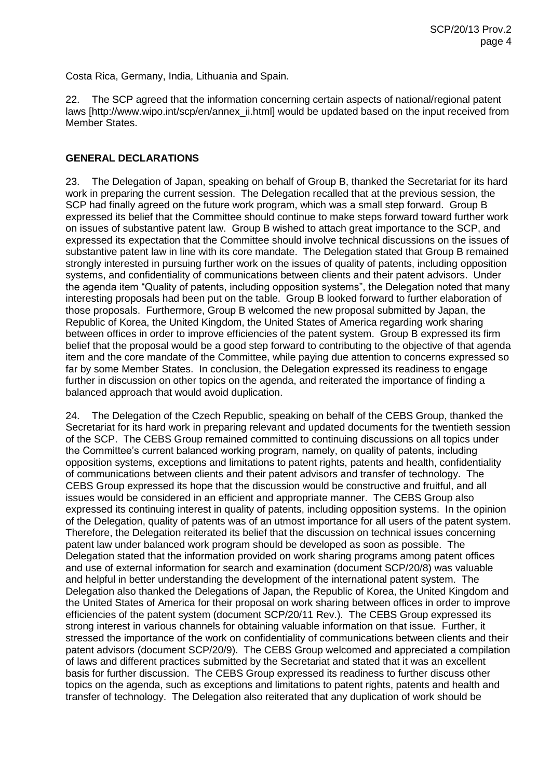Costa Rica, Germany, India, Lithuania and Spain.

22. The SCP agreed that the information concerning certain aspects of national/regional patent laws [http://www.wipo.int/scp/en/annex\_ii.html] would be updated based on the input received from Member States.

#### **GENERAL DECLARATIONS**

23. The Delegation of Japan, speaking on behalf of Group B, thanked the Secretariat for its hard work in preparing the current session. The Delegation recalled that at the previous session, the SCP had finally agreed on the future work program, which was a small step forward. Group B expressed its belief that the Committee should continue to make steps forward toward further work on issues of substantive patent law. Group B wished to attach great importance to the SCP, and expressed its expectation that the Committee should involve technical discussions on the issues of substantive patent law in line with its core mandate. The Delegation stated that Group B remained strongly interested in pursuing further work on the issues of quality of patents, including opposition systems, and confidentiality of communications between clients and their patent advisors. Under the agenda item "Quality of patents, including opposition systems", the Delegation noted that many interesting proposals had been put on the table. Group B looked forward to further elaboration of those proposals. Furthermore, Group B welcomed the new proposal submitted by Japan, the Republic of Korea, the United Kingdom, the United States of America regarding work sharing between offices in order to improve efficiencies of the patent system. Group B expressed its firm belief that the proposal would be a good step forward to contributing to the objective of that agenda item and the core mandate of the Committee, while paying due attention to concerns expressed so far by some Member States. In conclusion, the Delegation expressed its readiness to engage further in discussion on other topics on the agenda, and reiterated the importance of finding a balanced approach that would avoid duplication.

24. The Delegation of the Czech Republic, speaking on behalf of the CEBS Group, thanked the Secretariat for its hard work in preparing relevant and updated documents for the twentieth session of the SCP. The CEBS Group remained committed to continuing discussions on all topics under the Committee's current balanced working program, namely, on quality of patents, including opposition systems, exceptions and limitations to patent rights, patents and health, confidentiality of communications between clients and their patent advisors and transfer of technology. The CEBS Group expressed its hope that the discussion would be constructive and fruitful, and all issues would be considered in an efficient and appropriate manner. The CEBS Group also expressed its continuing interest in quality of patents, including opposition systems. In the opinion of the Delegation, quality of patents was of an utmost importance for all users of the patent system. Therefore, the Delegation reiterated its belief that the discussion on technical issues concerning patent law under balanced work program should be developed as soon as possible. The Delegation stated that the information provided on work sharing programs among patent offices and use of external information for search and examination (document SCP/20/8) was valuable and helpful in better understanding the development of the international patent system. The Delegation also thanked the Delegations of Japan, the Republic of Korea, the United Kingdom and the United States of America for their proposal on work sharing between offices in order to improve efficiencies of the patent system (document SCP/20/11 Rev.). The CEBS Group expressed its strong interest in various channels for obtaining valuable information on that issue. Further, it stressed the importance of the work on confidentiality of communications between clients and their patent advisors (document SCP/20/9). The CEBS Group welcomed and appreciated a compilation of laws and different practices submitted by the Secretariat and stated that it was an excellent basis for further discussion. The CEBS Group expressed its readiness to further discuss other topics on the agenda, such as exceptions and limitations to patent rights, patents and health and transfer of technology. The Delegation also reiterated that any duplication of work should be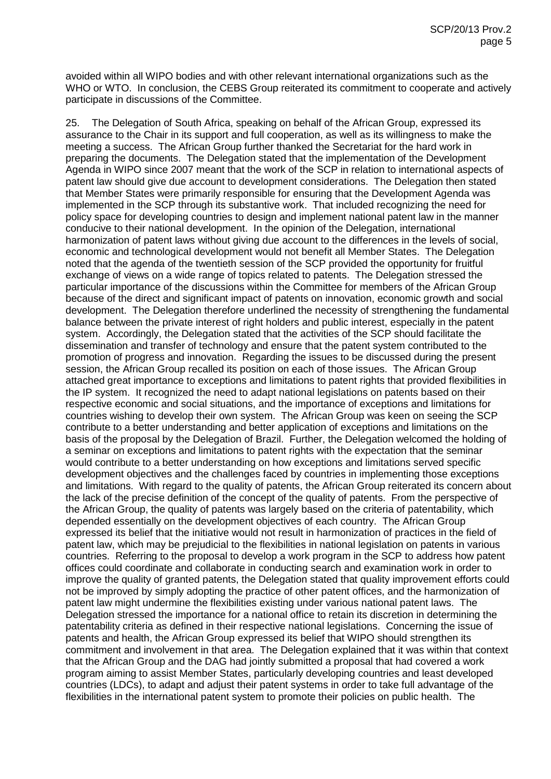avoided within all WIPO bodies and with other relevant international organizations such as the WHO or WTO. In conclusion, the CEBS Group reiterated its commitment to cooperate and actively participate in discussions of the Committee.

25. The Delegation of South Africa, speaking on behalf of the African Group, expressed its assurance to the Chair in its support and full cooperation, as well as its willingness to make the meeting a success. The African Group further thanked the Secretariat for the hard work in preparing the documents. The Delegation stated that the implementation of the Development Agenda in WIPO since 2007 meant that the work of the SCP in relation to international aspects of patent law should give due account to development considerations. The Delegation then stated that Member States were primarily responsible for ensuring that the Development Agenda was implemented in the SCP through its substantive work. That included recognizing the need for policy space for developing countries to design and implement national patent law in the manner conducive to their national development. In the opinion of the Delegation, international harmonization of patent laws without giving due account to the differences in the levels of social, economic and technological development would not benefit all Member States. The Delegation noted that the agenda of the twentieth session of the SCP provided the opportunity for fruitful exchange of views on a wide range of topics related to patents. The Delegation stressed the particular importance of the discussions within the Committee for members of the African Group because of the direct and significant impact of patents on innovation, economic growth and social development. The Delegation therefore underlined the necessity of strengthening the fundamental balance between the private interest of right holders and public interest, especially in the patent system. Accordingly, the Delegation stated that the activities of the SCP should facilitate the dissemination and transfer of technology and ensure that the patent system contributed to the promotion of progress and innovation. Regarding the issues to be discussed during the present session, the African Group recalled its position on each of those issues. The African Group attached great importance to exceptions and limitations to patent rights that provided flexibilities in the IP system. It recognized the need to adapt national legislations on patents based on their respective economic and social situations, and the importance of exceptions and limitations for countries wishing to develop their own system. The African Group was keen on seeing the SCP contribute to a better understanding and better application of exceptions and limitations on the basis of the proposal by the Delegation of Brazil. Further, the Delegation welcomed the holding of a seminar on exceptions and limitations to patent rights with the expectation that the seminar would contribute to a better understanding on how exceptions and limitations served specific development objectives and the challenges faced by countries in implementing those exceptions and limitations. With regard to the quality of patents, the African Group reiterated its concern about the lack of the precise definition of the concept of the quality of patents. From the perspective of the African Group, the quality of patents was largely based on the criteria of patentability, which depended essentially on the development objectives of each country. The African Group expressed its belief that the initiative would not result in harmonization of practices in the field of patent law, which may be prejudicial to the flexibilities in national legislation on patents in various countries. Referring to the proposal to develop a work program in the SCP to address how patent offices could coordinate and collaborate in conducting search and examination work in order to improve the quality of granted patents, the Delegation stated that quality improvement efforts could not be improved by simply adopting the practice of other patent offices, and the harmonization of patent law might undermine the flexibilities existing under various national patent laws. The Delegation stressed the importance for a national office to retain its discretion in determining the patentability criteria as defined in their respective national legislations. Concerning the issue of patents and health, the African Group expressed its belief that WIPO should strengthen its commitment and involvement in that area. The Delegation explained that it was within that context that the African Group and the DAG had jointly submitted a proposal that had covered a work program aiming to assist Member States, particularly developing countries and least developed countries (LDCs), to adapt and adjust their patent systems in order to take full advantage of the flexibilities in the international patent system to promote their policies on public health. The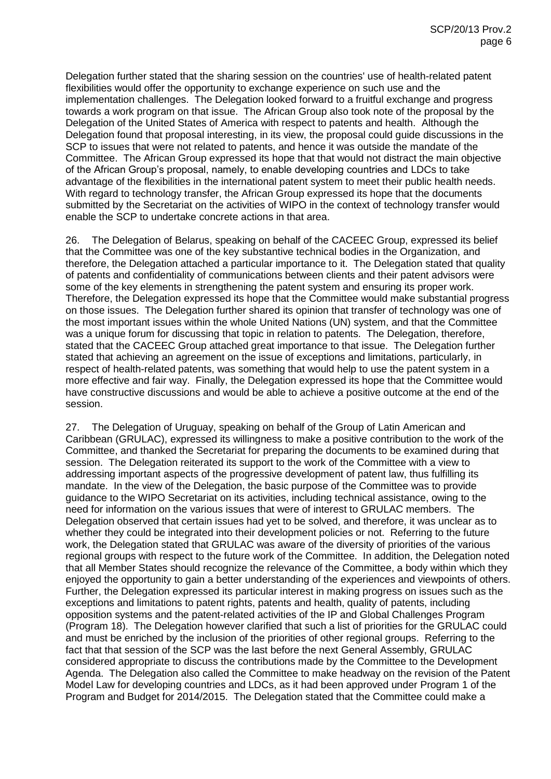Delegation further stated that the sharing session on the countries' use of health-related patent flexibilities would offer the opportunity to exchange experience on such use and the implementation challenges. The Delegation looked forward to a fruitful exchange and progress towards a work program on that issue. The African Group also took note of the proposal by the Delegation of the United States of America with respect to patents and health. Although the Delegation found that proposal interesting, in its view, the proposal could guide discussions in the SCP to issues that were not related to patents, and hence it was outside the mandate of the Committee. The African Group expressed its hope that that would not distract the main objective of the African Group's proposal, namely, to enable developing countries and LDCs to take advantage of the flexibilities in the international patent system to meet their public health needs. With regard to technology transfer, the African Group expressed its hope that the documents submitted by the Secretariat on the activities of WIPO in the context of technology transfer would enable the SCP to undertake concrete actions in that area.

26. The Delegation of Belarus, speaking on behalf of the CACEEC Group, expressed its belief that the Committee was one of the key substantive technical bodies in the Organization, and therefore, the Delegation attached a particular importance to it. The Delegation stated that quality of patents and confidentiality of communications between clients and their patent advisors were some of the key elements in strengthening the patent system and ensuring its proper work. Therefore, the Delegation expressed its hope that the Committee would make substantial progress on those issues. The Delegation further shared its opinion that transfer of technology was one of the most important issues within the whole United Nations (UN) system, and that the Committee was a unique forum for discussing that topic in relation to patents. The Delegation, therefore, stated that the CACEEC Group attached great importance to that issue. The Delegation further stated that achieving an agreement on the issue of exceptions and limitations, particularly, in respect of health-related patents, was something that would help to use the patent system in a more effective and fair way. Finally, the Delegation expressed its hope that the Committee would have constructive discussions and would be able to achieve a positive outcome at the end of the session.

27. The Delegation of Uruguay, speaking on behalf of the Group of Latin American and Caribbean (GRULAC), expressed its willingness to make a positive contribution to the work of the Committee, and thanked the Secretariat for preparing the documents to be examined during that session. The Delegation reiterated its support to the work of the Committee with a view to addressing important aspects of the progressive development of patent law, thus fulfilling its mandate. In the view of the Delegation, the basic purpose of the Committee was to provide guidance to the WIPO Secretariat on its activities, including technical assistance, owing to the need for information on the various issues that were of interest to GRULAC members. The Delegation observed that certain issues had yet to be solved, and therefore, it was unclear as to whether they could be integrated into their development policies or not. Referring to the future work, the Delegation stated that GRULAC was aware of the diversity of priorities of the various regional groups with respect to the future work of the Committee. In addition, the Delegation noted that all Member States should recognize the relevance of the Committee, a body within which they enjoyed the opportunity to gain a better understanding of the experiences and viewpoints of others. Further, the Delegation expressed its particular interest in making progress on issues such as the exceptions and limitations to patent rights, patents and health, quality of patents, including opposition systems and the patent-related activities of the IP and Global Challenges Program (Program 18). The Delegation however clarified that such a list of priorities for the GRULAC could and must be enriched by the inclusion of the priorities of other regional groups. Referring to the fact that that session of the SCP was the last before the next General Assembly, GRULAC considered appropriate to discuss the contributions made by the Committee to the Development Agenda. The Delegation also called the Committee to make headway on the revision of the Patent Model Law for developing countries and LDCs, as it had been approved under Program 1 of the Program and Budget for 2014/2015. The Delegation stated that the Committee could make a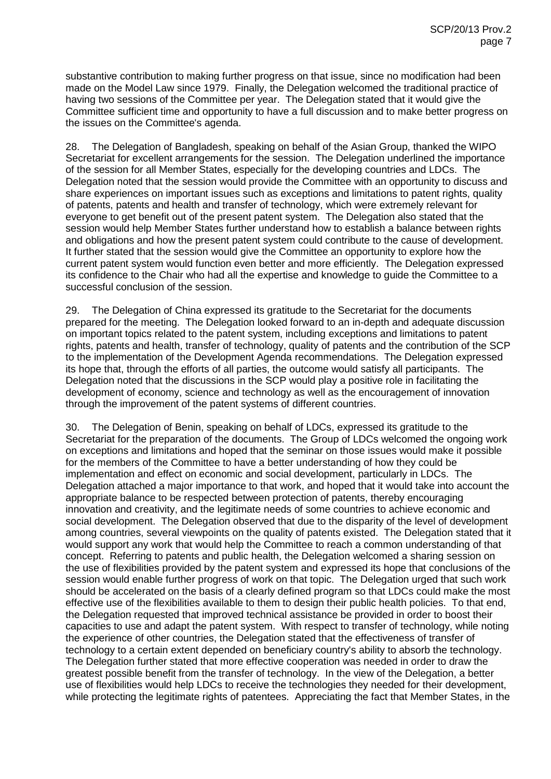substantive contribution to making further progress on that issue, since no modification had been made on the Model Law since 1979. Finally, the Delegation welcomed the traditional practice of having two sessions of the Committee per year. The Delegation stated that it would give the Committee sufficient time and opportunity to have a full discussion and to make better progress on the issues on the Committee's agenda.

28. The Delegation of Bangladesh, speaking on behalf of the Asian Group, thanked the WIPO Secretariat for excellent arrangements for the session. The Delegation underlined the importance of the session for all Member States, especially for the developing countries and LDCs. The Delegation noted that the session would provide the Committee with an opportunity to discuss and share experiences on important issues such as exceptions and limitations to patent rights, quality of patents, patents and health and transfer of technology, which were extremely relevant for everyone to get benefit out of the present patent system. The Delegation also stated that the session would help Member States further understand how to establish a balance between rights and obligations and how the present patent system could contribute to the cause of development. It further stated that the session would give the Committee an opportunity to explore how the current patent system would function even better and more efficiently. The Delegation expressed its confidence to the Chair who had all the expertise and knowledge to guide the Committee to a successful conclusion of the session.

29. The Delegation of China expressed its gratitude to the Secretariat for the documents prepared for the meeting. The Delegation looked forward to an in-depth and adequate discussion on important topics related to the patent system, including exceptions and limitations to patent rights, patents and health, transfer of technology, quality of patents and the contribution of the SCP to the implementation of the Development Agenda recommendations. The Delegation expressed its hope that, through the efforts of all parties, the outcome would satisfy all participants. The Delegation noted that the discussions in the SCP would play a positive role in facilitating the development of economy, science and technology as well as the encouragement of innovation through the improvement of the patent systems of different countries.

30. The Delegation of Benin, speaking on behalf of LDCs, expressed its gratitude to the Secretariat for the preparation of the documents. The Group of LDCs welcomed the ongoing work on exceptions and limitations and hoped that the seminar on those issues would make it possible for the members of the Committee to have a better understanding of how they could be implementation and effect on economic and social development, particularly in LDCs. The Delegation attached a major importance to that work, and hoped that it would take into account the appropriate balance to be respected between protection of patents, thereby encouraging innovation and creativity, and the legitimate needs of some countries to achieve economic and social development. The Delegation observed that due to the disparity of the level of development among countries, several viewpoints on the quality of patents existed. The Delegation stated that it would support any work that would help the Committee to reach a common understanding of that concept. Referring to patents and public health, the Delegation welcomed a sharing session on the use of flexibilities provided by the patent system and expressed its hope that conclusions of the session would enable further progress of work on that topic. The Delegation urged that such work should be accelerated on the basis of a clearly defined program so that LDCs could make the most effective use of the flexibilities available to them to design their public health policies. To that end, the Delegation requested that improved technical assistance be provided in order to boost their capacities to use and adapt the patent system. With respect to transfer of technology, while noting the experience of other countries, the Delegation stated that the effectiveness of transfer of technology to a certain extent depended on beneficiary country's ability to absorb the technology. The Delegation further stated that more effective cooperation was needed in order to draw the greatest possible benefit from the transfer of technology. In the view of the Delegation, a better use of flexibilities would help LDCs to receive the technologies they needed for their development, while protecting the legitimate rights of patentees. Appreciating the fact that Member States, in the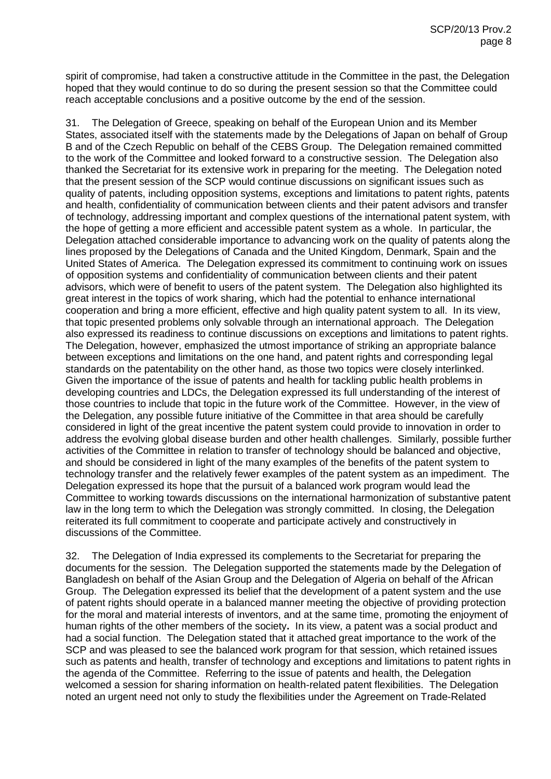spirit of compromise, had taken a constructive attitude in the Committee in the past, the Delegation hoped that they would continue to do so during the present session so that the Committee could reach acceptable conclusions and a positive outcome by the end of the session.

31. The Delegation of Greece, speaking on behalf of the European Union and its Member States, associated itself with the statements made by the Delegations of Japan on behalf of Group B and of the Czech Republic on behalf of the CEBS Group. The Delegation remained committed to the work of the Committee and looked forward to a constructive session. The Delegation also thanked the Secretariat for its extensive work in preparing for the meeting. The Delegation noted that the present session of the SCP would continue discussions on significant issues such as quality of patents, including opposition systems, exceptions and limitations to patent rights, patents and health, confidentiality of communication between clients and their patent advisors and transfer of technology, addressing important and complex questions of the international patent system, with the hope of getting a more efficient and accessible patent system as a whole. In particular, the Delegation attached considerable importance to advancing work on the quality of patents along the lines proposed by the Delegations of Canada and the United Kingdom, Denmark, Spain and the United States of America. The Delegation expressed its commitment to continuing work on issues of opposition systems and confidentiality of communication between clients and their patent advisors, which were of benefit to users of the patent system. The Delegation also highlighted its great interest in the topics of work sharing, which had the potential to enhance international cooperation and bring a more efficient, effective and high quality patent system to all. In its view, that topic presented problems only solvable through an international approach. The Delegation also expressed its readiness to continue discussions on exceptions and limitations to patent rights. The Delegation, however, emphasized the utmost importance of striking an appropriate balance between exceptions and limitations on the one hand, and patent rights and corresponding legal standards on the patentability on the other hand, as those two topics were closely interlinked. Given the importance of the issue of patents and health for tackling public health problems in developing countries and LDCs, the Delegation expressed its full understanding of the interest of those countries to include that topic in the future work of the Committee. However, in the view of the Delegation, any possible future initiative of the Committee in that area should be carefully considered in light of the great incentive the patent system could provide to innovation in order to address the evolving global disease burden and other health challenges. Similarly, possible further activities of the Committee in relation to transfer of technology should be balanced and objective, and should be considered in light of the many examples of the benefits of the patent system to technology transfer and the relatively fewer examples of the patent system as an impediment. The Delegation expressed its hope that the pursuit of a balanced work program would lead the Committee to working towards discussions on the international harmonization of substantive patent law in the long term to which the Delegation was strongly committed. In closing, the Delegation reiterated its full commitment to cooperate and participate actively and constructively in discussions of the Committee.

32. The Delegation of India expressed its complements to the Secretariat for preparing the documents for the session. The Delegation supported the statements made by the Delegation of Bangladesh on behalf of the Asian Group and the Delegation of Algeria on behalf of the African Group. The Delegation expressed its belief that the development of a patent system and the use of patent rights should operate in a balanced manner meeting the objective of providing protection for the moral and material interests of inventors, and at the same time, promoting the enjoyment of human rights of the other members of the society**.** In its view, a patent was a social product and had a social function. The Delegation stated that it attached great importance to the work of the SCP and was pleased to see the balanced work program for that session, which retained issues such as patents and health, transfer of technology and exceptions and limitations to patent rights in the agenda of the Committee. Referring to the issue of patents and health, the Delegation welcomed a session for sharing information on health-related patent flexibilities. The Delegation noted an urgent need not only to study the flexibilities under the Agreement on Trade-Related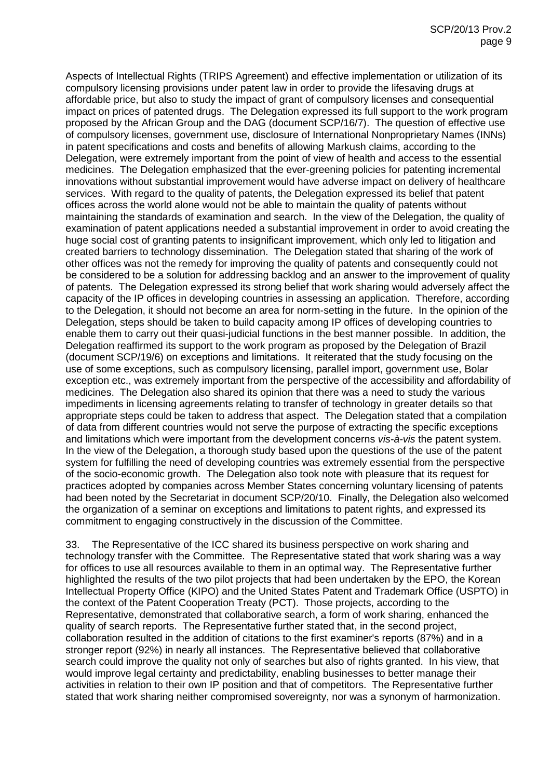Aspects of Intellectual Rights (TRIPS Agreement) and effective implementation or utilization of its compulsory licensing provisions under patent law in order to provide the lifesaving drugs at affordable price, but also to study the impact of grant of compulsory licenses and consequential impact on prices of patented drugs. The Delegation expressed its full support to the work program proposed by the African Group and the DAG (document SCP/16/7). The question of effective use of compulsory licenses, government use, disclosure of International Nonproprietary Names (INNs) in patent specifications and costs and benefits of allowing Markush claims, according to the Delegation, were extremely important from the point of view of health and access to the essential medicines. The Delegation emphasized that the ever-greening policies for patenting incremental innovations without substantial improvement would have adverse impact on delivery of healthcare services. With regard to the quality of patents, the Delegation expressed its belief that patent offices across the world alone would not be able to maintain the quality of patents without maintaining the standards of examination and search. In the view of the Delegation, the quality of examination of patent applications needed a substantial improvement in order to avoid creating the huge social cost of granting patents to insignificant improvement, which only led to litigation and created barriers to technology dissemination. The Delegation stated that sharing of the work of other offices was not the remedy for improving the quality of patents and consequently could not be considered to be a solution for addressing backlog and an answer to the improvement of quality of patents. The Delegation expressed its strong belief that work sharing would adversely affect the capacity of the IP offices in developing countries in assessing an application. Therefore, according to the Delegation, it should not become an area for norm-setting in the future. In the opinion of the Delegation, steps should be taken to build capacity among IP offices of developing countries to enable them to carry out their quasi-judicial functions in the best manner possible. In addition, the Delegation reaffirmed its support to the work program as proposed by the Delegation of Brazil (document SCP/19/6) on exceptions and limitations. It reiterated that the study focusing on the use of some exceptions, such as compulsory licensing, parallel import, government use, Bolar exception etc., was extremely important from the perspective of the accessibility and affordability of medicines. The Delegation also shared its opinion that there was a need to study the various impediments in licensing agreements relating to transfer of technology in greater details so that appropriate steps could be taken to address that aspect. The Delegation stated that a compilation of data from different countries would not serve the purpose of extracting the specific exceptions and limitations which were important from the development concerns *vis-à-vis* the patent system. In the view of the Delegation, a thorough study based upon the questions of the use of the patent system for fulfilling the need of developing countries was extremely essential from the perspective of the socio-economic growth. The Delegation also took note with pleasure that its request for practices adopted by companies across Member States concerning voluntary licensing of patents had been noted by the Secretariat in document SCP/20/10. Finally, the Delegation also welcomed the organization of a seminar on exceptions and limitations to patent rights, and expressed its commitment to engaging constructively in the discussion of the Committee.

33. The Representative of the ICC shared its business perspective on work sharing and technology transfer with the Committee. The Representative stated that work sharing was a way for offices to use all resources available to them in an optimal way. The Representative further highlighted the results of the two pilot projects that had been undertaken by the EPO, the Korean Intellectual Property Office (KIPO) and the United States Patent and Trademark Office (USPTO) in the context of the Patent Cooperation Treaty (PCT). Those projects, according to the Representative, demonstrated that collaborative search, a form of work sharing, enhanced the quality of search reports. The Representative further stated that, in the second project, collaboration resulted in the addition of citations to the first examiner's reports (87%) and in a stronger report (92%) in nearly all instances. The Representative believed that collaborative search could improve the quality not only of searches but also of rights granted. In his view, that would improve legal certainty and predictability, enabling businesses to better manage their activities in relation to their own IP position and that of competitors. The Representative further stated that work sharing neither compromised sovereignty, nor was a synonym of harmonization.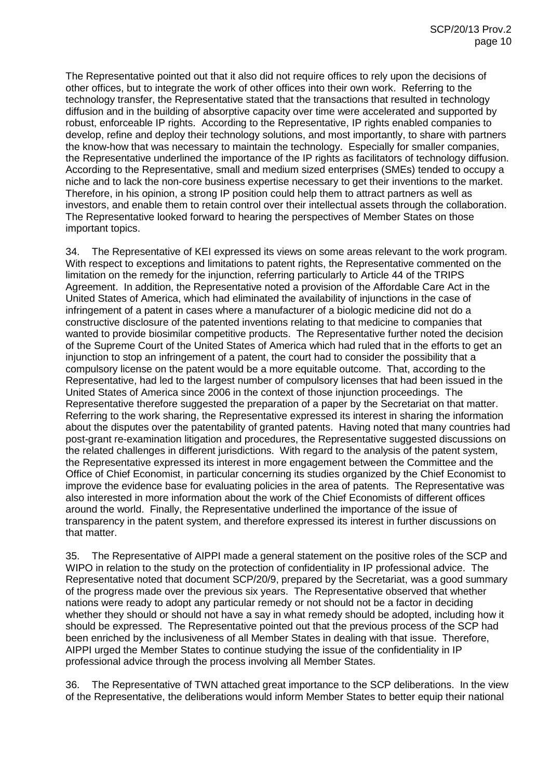The Representative pointed out that it also did not require offices to rely upon the decisions of other offices, but to integrate the work of other offices into their own work. Referring to the technology transfer, the Representative stated that the transactions that resulted in technology diffusion and in the building of absorptive capacity over time were accelerated and supported by robust, enforceable IP rights. According to the Representative, IP rights enabled companies to develop, refine and deploy their technology solutions, and most importantly, to share with partners the know-how that was necessary to maintain the technology. Especially for smaller companies, the Representative underlined the importance of the IP rights as facilitators of technology diffusion. According to the Representative, small and medium sized enterprises (SMEs) tended to occupy a niche and to lack the non-core business expertise necessary to get their inventions to the market. Therefore, in his opinion, a strong IP position could help them to attract partners as well as investors, and enable them to retain control over their intellectual assets through the collaboration. The Representative looked forward to hearing the perspectives of Member States on those important topics.

34. The Representative of KEI expressed its views on some areas relevant to the work program. With respect to exceptions and limitations to patent rights, the Representative commented on the limitation on the remedy for the injunction, referring particularly to Article 44 of the TRIPS Agreement. In addition, the Representative noted a provision of the Affordable Care Act in the United States of America, which had eliminated the availability of injunctions in the case of infringement of a patent in cases where a manufacturer of a biologic medicine did not do a constructive disclosure of the patented inventions relating to that medicine to companies that wanted to provide biosimilar competitive products. The Representative further noted the decision of the Supreme Court of the United States of America which had ruled that in the efforts to get an injunction to stop an infringement of a patent, the court had to consider the possibility that a compulsory license on the patent would be a more equitable outcome. That, according to the Representative, had led to the largest number of compulsory licenses that had been issued in the United States of America since 2006 in the context of those injunction proceedings. The Representative therefore suggested the preparation of a paper by the Secretariat on that matter. Referring to the work sharing, the Representative expressed its interest in sharing the information about the disputes over the patentability of granted patents. Having noted that many countries had post-grant re-examination litigation and procedures, the Representative suggested discussions on the related challenges in different jurisdictions. With regard to the analysis of the patent system, the Representative expressed its interest in more engagement between the Committee and the Office of Chief Economist, in particular concerning its studies organized by the Chief Economist to improve the evidence base for evaluating policies in the area of patents. The Representative was also interested in more information about the work of the Chief Economists of different offices around the world. Finally, the Representative underlined the importance of the issue of transparency in the patent system, and therefore expressed its interest in further discussions on that matter.

35. The Representative of AIPPI made a general statement on the positive roles of the SCP and WIPO in relation to the study on the protection of confidentiality in IP professional advice. The Representative noted that document SCP/20/9, prepared by the Secretariat, was a good summary of the progress made over the previous six years. The Representative observed that whether nations were ready to adopt any particular remedy or not should not be a factor in deciding whether they should or should not have a say in what remedy should be adopted, including how it should be expressed. The Representative pointed out that the previous process of the SCP had been enriched by the inclusiveness of all Member States in dealing with that issue. Therefore, AIPPI urged the Member States to continue studying the issue of the confidentiality in IP professional advice through the process involving all Member States.

36. The Representative of TWN attached great importance to the SCP deliberations. In the view of the Representative, the deliberations would inform Member States to better equip their national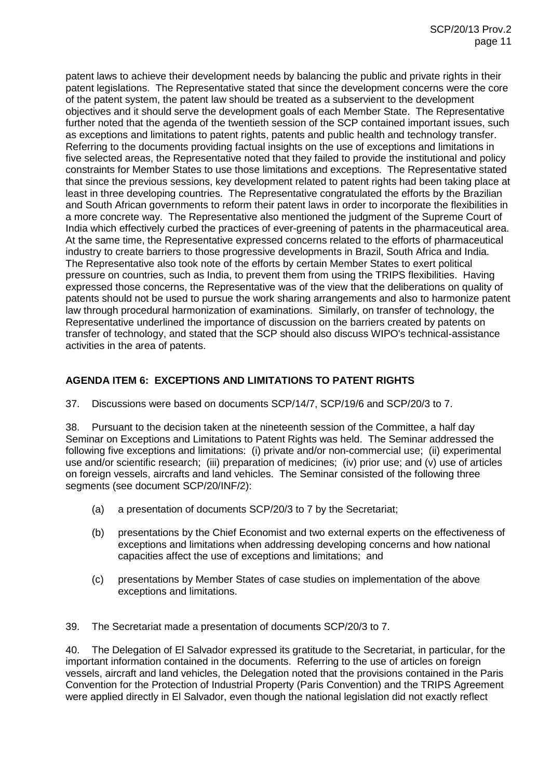patent laws to achieve their development needs by balancing the public and private rights in their patent legislations. The Representative stated that since the development concerns were the core of the patent system, the patent law should be treated as a subservient to the development objectives and it should serve the development goals of each Member State. The Representative further noted that the agenda of the twentieth session of the SCP contained important issues, such as exceptions and limitations to patent rights, patents and public health and technology transfer. Referring to the documents providing factual insights on the use of exceptions and limitations in five selected areas, the Representative noted that they failed to provide the institutional and policy constraints for Member States to use those limitations and exceptions. The Representative stated that since the previous sessions, key development related to patent rights had been taking place at least in three developing countries. The Representative congratulated the efforts by the Brazilian and South African governments to reform their patent laws in order to incorporate the flexibilities in a more concrete way. The Representative also mentioned the judgment of the Supreme Court of India which effectively curbed the practices of ever-greening of patents in the pharmaceutical area. At the same time, the Representative expressed concerns related to the efforts of pharmaceutical industry to create barriers to those progressive developments in Brazil, South Africa and India. The Representative also took note of the efforts by certain Member States to exert political pressure on countries, such as India, to prevent them from using the TRIPS flexibilities. Having expressed those concerns, the Representative was of the view that the deliberations on quality of patents should not be used to pursue the work sharing arrangements and also to harmonize patent law through procedural harmonization of examinations. Similarly, on transfer of technology, the Representative underlined the importance of discussion on the barriers created by patents on transfer of technology, and stated that the SCP should also discuss WIPO's technical-assistance activities in the area of patents.

## **AGENDA ITEM 6: EXCEPTIONS AND LIMITATIONS TO PATENT RIGHTS**

37. Discussions were based on documents SCP/14/7, SCP/19/6 and SCP/20/3 to 7.

38. Pursuant to the decision taken at the nineteenth session of the Committee, a half day Seminar on Exceptions and Limitations to Patent Rights was held. The Seminar addressed the following five exceptions and limitations: (i) private and/or non-commercial use; (ii) experimental use and/or scientific research; (iii) preparation of medicines; (iv) prior use; and (v) use of articles on foreign vessels, aircrafts and land vehicles. The Seminar consisted of the following three segments (see document SCP/20/INF/2):

- (a) a presentation of documents SCP/20/3 to 7 by the Secretariat;
- (b) presentations by the Chief Economist and two external experts on the effectiveness of exceptions and limitations when addressing developing concerns and how national capacities affect the use of exceptions and limitations; and
- (c) presentations by Member States of case studies on implementation of the above exceptions and limitations.

39. The Secretariat made a presentation of documents SCP/20/3 to 7.

40. The Delegation of El Salvador expressed its gratitude to the Secretariat, in particular, for the important information contained in the documents. Referring to the use of articles on foreign vessels, aircraft and land vehicles, the Delegation noted that the provisions contained in the Paris Convention for the Protection of Industrial Property (Paris Convention) and the TRIPS Agreement were applied directly in El Salvador, even though the national legislation did not exactly reflect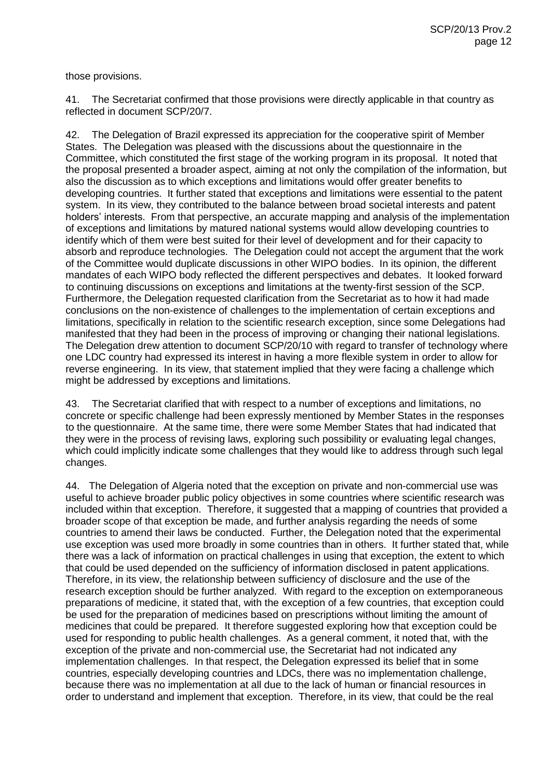those provisions.

41. The Secretariat confirmed that those provisions were directly applicable in that country as reflected in document SCP/20/7.

42. The Delegation of Brazil expressed its appreciation for the cooperative spirit of Member States. The Delegation was pleased with the discussions about the questionnaire in the Committee, which constituted the first stage of the working program in its proposal. It noted that the proposal presented a broader aspect, aiming at not only the compilation of the information, but also the discussion as to which exceptions and limitations would offer greater benefits to developing countries. It further stated that exceptions and limitations were essential to the patent system. In its view, they contributed to the balance between broad societal interests and patent holders' interests. From that perspective, an accurate mapping and analysis of the implementation of exceptions and limitations by matured national systems would allow developing countries to identify which of them were best suited for their level of development and for their capacity to absorb and reproduce technologies. The Delegation could not accept the argument that the work of the Committee would duplicate discussions in other WIPO bodies. In its opinion, the different mandates of each WIPO body reflected the different perspectives and debates. It looked forward to continuing discussions on exceptions and limitations at the twenty-first session of the SCP. Furthermore, the Delegation requested clarification from the Secretariat as to how it had made conclusions on the non-existence of challenges to the implementation of certain exceptions and limitations, specifically in relation to the scientific research exception, since some Delegations had manifested that they had been in the process of improving or changing their national legislations. The Delegation drew attention to document SCP/20/10 with regard to transfer of technology where one LDC country had expressed its interest in having a more flexible system in order to allow for reverse engineering. In its view, that statement implied that they were facing a challenge which might be addressed by exceptions and limitations.

43. The Secretariat clarified that with respect to a number of exceptions and limitations, no concrete or specific challenge had been expressly mentioned by Member States in the responses to the questionnaire. At the same time, there were some Member States that had indicated that they were in the process of revising laws, exploring such possibility or evaluating legal changes, which could implicitly indicate some challenges that they would like to address through such legal changes.

44. The Delegation of Algeria noted that the exception on private and non-commercial use was useful to achieve broader public policy objectives in some countries where scientific research was included within that exception. Therefore, it suggested that a mapping of countries that provided a broader scope of that exception be made, and further analysis regarding the needs of some countries to amend their laws be conducted. Further, the Delegation noted that the experimental use exception was used more broadly in some countries than in others. It further stated that, while there was a lack of information on practical challenges in using that exception, the extent to which that could be used depended on the sufficiency of information disclosed in patent applications. Therefore, in its view, the relationship between sufficiency of disclosure and the use of the research exception should be further analyzed. With regard to the exception on extemporaneous preparations of medicine, it stated that, with the exception of a few countries, that exception could be used for the preparation of medicines based on prescriptions without limiting the amount of medicines that could be prepared. It therefore suggested exploring how that exception could be used for responding to public health challenges. As a general comment, it noted that, with the exception of the private and non-commercial use, the Secretariat had not indicated any implementation challenges. In that respect, the Delegation expressed its belief that in some countries, especially developing countries and LDCs, there was no implementation challenge, because there was no implementation at all due to the lack of human or financial resources in order to understand and implement that exception. Therefore, in its view, that could be the real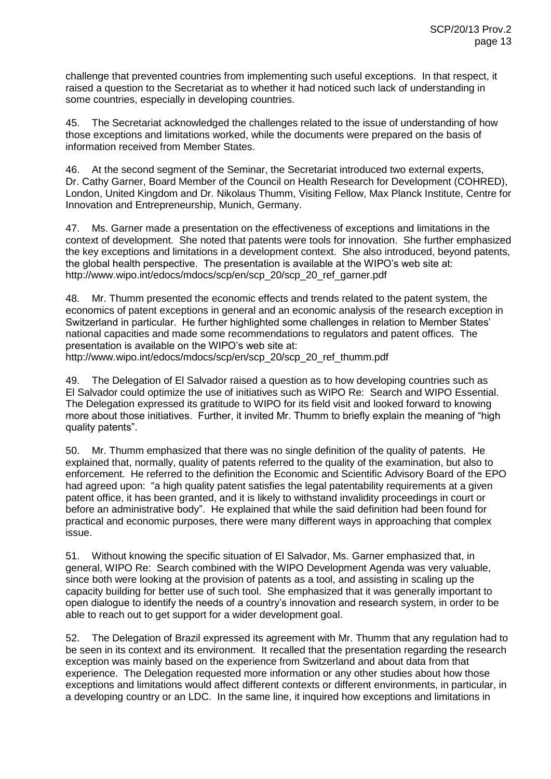challenge that prevented countries from implementing such useful exceptions. In that respect, it raised a question to the Secretariat as to whether it had noticed such lack of understanding in some countries, especially in developing countries.

45. The Secretariat acknowledged the challenges related to the issue of understanding of how those exceptions and limitations worked, while the documents were prepared on the basis of information received from Member States.

46. At the second segment of the Seminar, the Secretariat introduced two external experts, Dr. Cathy Garner, Board Member of the Council on Health Research for Development (COHRED), London, United Kingdom and Dr. Nikolaus Thumm, Visiting Fellow, Max Planck Institute, Centre for Innovation and Entrepreneurship, Munich, Germany.

47. Ms. Garner made a presentation on the effectiveness of exceptions and limitations in the context of development. She noted that patents were tools for innovation. She further emphasized the key exceptions and limitations in a development context. She also introduced, beyond patents, the global health perspective. The presentation is available at the WIPO's web site at: http://www.wipo.int/edocs/mdocs/scp/en/scp\_20/scp\_20\_ref\_garner.pdf

48. Mr. Thumm presented the economic effects and trends related to the patent system, the economics of patent exceptions in general and an economic analysis of the research exception in Switzerland in particular. He further highlighted some challenges in relation to Member States' national capacities and made some recommendations to regulators and patent offices. The presentation is available on the WIPO's web site at:

[http://www.wipo.int/edocs/mdocs/scp/en/scp\\_20/scp\\_20\\_ref\\_thumm.pdf](http://www.wipo.int/edocs/mdocs/scp/en/scp_20/scp_20_ref_thumm.pdf)

49. The Delegation of El Salvador raised a question as to how developing countries such as El Salvador could optimize the use of initiatives such as WIPO Re: Search and WIPO Essential. The Delegation expressed its gratitude to WIPO for its field visit and looked forward to knowing more about those initiatives. Further, it invited Mr. Thumm to briefly explain the meaning of "high quality patents".

50. Mr. Thumm emphasized that there was no single definition of the quality of patents. He explained that, normally, quality of patents referred to the quality of the examination, but also to enforcement. He referred to the definition the Economic and Scientific Advisory Board of the EPO had agreed upon: "a high quality patent satisfies the legal patentability requirements at a given patent office, it has been granted, and it is likely to withstand invalidity proceedings in court or before an administrative body". He explained that while the said definition had been found for practical and economic purposes, there were many different ways in approaching that complex issue.

51. Without knowing the specific situation of El Salvador, Ms. Garner emphasized that, in general, WIPO Re: Search combined with the WIPO Development Agenda was very valuable, since both were looking at the provision of patents as a tool, and assisting in scaling up the capacity building for better use of such tool. She emphasized that it was generally important to open dialogue to identify the needs of a country's innovation and research system, in order to be able to reach out to get support for a wider development goal.

52. The Delegation of Brazil expressed its agreement with Mr. Thumm that any regulation had to be seen in its context and its environment. It recalled that the presentation regarding the research exception was mainly based on the experience from Switzerland and about data from that experience. The Delegation requested more information or any other studies about how those exceptions and limitations would affect different contexts or different environments, in particular, in a developing country or an LDC. In the same line, it inquired how exceptions and limitations in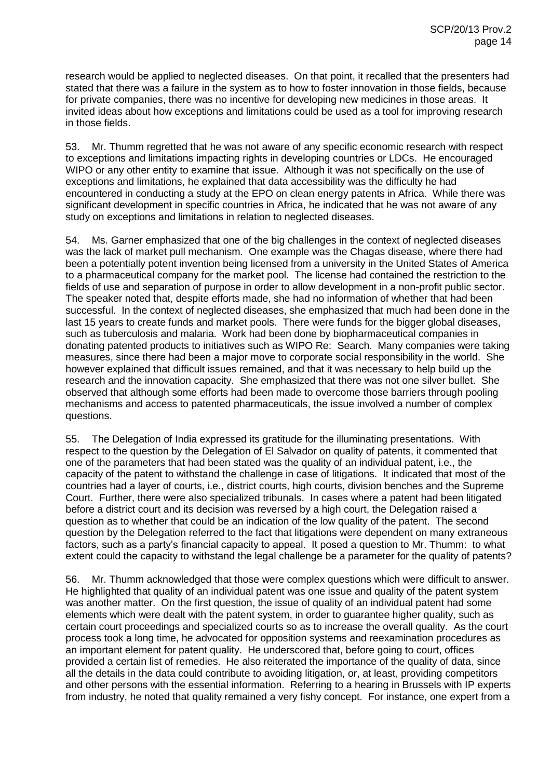research would be applied to neglected diseases. On that point, it recalled that the presenters had stated that there was a failure in the system as to how to foster innovation in those fields, because for private companies, there was no incentive for developing new medicines in those areas. It invited ideas about how exceptions and limitations could be used as a tool for improving research in those fields.

53. Mr. Thumm regretted that he was not aware of any specific economic research with respect to exceptions and limitations impacting rights in developing countries or LDCs. He encouraged WIPO or any other entity to examine that issue. Although it was not specifically on the use of exceptions and limitations, he explained that data accessibility was the difficulty he had encountered in conducting a study at the EPO on clean energy patents in Africa. While there was significant development in specific countries in Africa, he indicated that he was not aware of any study on exceptions and limitations in relation to neglected diseases.

54. Ms. Garner emphasized that one of the big challenges in the context of neglected diseases was the lack of market pull mechanism. One example was the Chagas disease, where there had been a potentially potent invention being licensed from a university in the United States of America to a pharmaceutical company for the market pool. The license had contained the restriction to the fields of use and separation of purpose in order to allow development in a non-profit public sector. The speaker noted that, despite efforts made, she had no information of whether that had been successful. In the context of neglected diseases, she emphasized that much had been done in the last 15 years to create funds and market pools. There were funds for the bigger global diseases, such as tuberculosis and malaria. Work had been done by biopharmaceutical companies in donating patented products to initiatives such as WIPO Re: Search. Many companies were taking measures, since there had been a major move to corporate social responsibility in the world. She however explained that difficult issues remained, and that it was necessary to help build up the research and the innovation capacity. She emphasized that there was not one silver bullet. She observed that although some efforts had been made to overcome those barriers through pooling mechanisms and access to patented pharmaceuticals, the issue involved a number of complex questions.

55. The Delegation of India expressed its gratitude for the illuminating presentations. With respect to the question by the Delegation of El Salvador on quality of patents, it commented that one of the parameters that had been stated was the quality of an individual patent, i.e., the capacity of the patent to withstand the challenge in case of litigations. It indicated that most of the countries had a layer of courts, i.e., district courts, high courts, division benches and the Supreme Court. Further, there were also specialized tribunals. In cases where a patent had been litigated before a district court and its decision was reversed by a high court, the Delegation raised a question as to whether that could be an indication of the low quality of the patent. The second question by the Delegation referred to the fact that litigations were dependent on many extraneous factors, such as a party's financial capacity to appeal. It posed a question to Mr. Thumm: to what extent could the capacity to withstand the legal challenge be a parameter for the quality of patents?

56. Mr. Thumm acknowledged that those were complex questions which were difficult to answer. He highlighted that quality of an individual patent was one issue and quality of the patent system was another matter. On the first question, the issue of quality of an individual patent had some elements which were dealt with the patent system, in order to guarantee higher quality, such as certain court proceedings and specialized courts so as to increase the overall quality. As the court process took a long time, he advocated for opposition systems and reexamination procedures as an important element for patent quality. He underscored that, before going to court, offices provided a certain list of remedies. He also reiterated the importance of the quality of data, since all the details in the data could contribute to avoiding litigation, or, at least, providing competitors and other persons with the essential information. Referring to a hearing in Brussels with IP experts from industry, he noted that quality remained a very fishy concept. For instance, one expert from a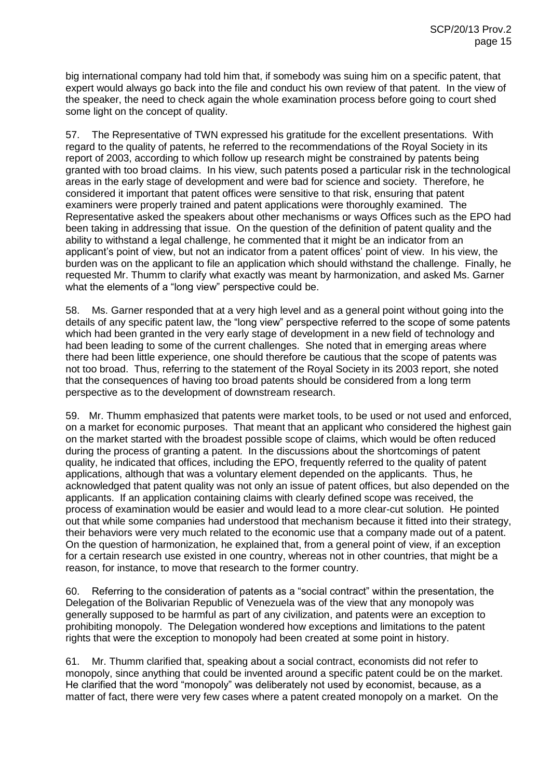big international company had told him that, if somebody was suing him on a specific patent, that expert would always go back into the file and conduct his own review of that patent. In the view of the speaker, the need to check again the whole examination process before going to court shed some light on the concept of quality.

57. The Representative of TWN expressed his gratitude for the excellent presentations. With regard to the quality of patents, he referred to the recommendations of the Royal Society in its report of 2003, according to which follow up research might be constrained by patents being granted with too broad claims. In his view, such patents posed a particular risk in the technological areas in the early stage of development and were bad for science and society. Therefore, he considered it important that patent offices were sensitive to that risk, ensuring that patent examiners were properly trained and patent applications were thoroughly examined. The Representative asked the speakers about other mechanisms or ways Offices such as the EPO had been taking in addressing that issue. On the question of the definition of patent quality and the ability to withstand a legal challenge, he commented that it might be an indicator from an applicant's point of view, but not an indicator from a patent offices' point of view. In his view, the burden was on the applicant to file an application which should withstand the challenge. Finally, he requested Mr. Thumm to clarify what exactly was meant by harmonization, and asked Ms. Garner what the elements of a "long view" perspective could be.

58. Ms. Garner responded that at a very high level and as a general point without going into the details of any specific patent law, the "long view" perspective referred to the scope of some patents which had been granted in the very early stage of development in a new field of technology and had been leading to some of the current challenges. She noted that in emerging areas where there had been little experience, one should therefore be cautious that the scope of patents was not too broad. Thus, referring to the statement of the Royal Society in its 2003 report, she noted that the consequences of having too broad patents should be considered from a long term perspective as to the development of downstream research.

59. Mr. Thumm emphasized that patents were market tools, to be used or not used and enforced, on a market for economic purposes. That meant that an applicant who considered the highest gain on the market started with the broadest possible scope of claims, which would be often reduced during the process of granting a patent. In the discussions about the shortcomings of patent quality, he indicated that offices, including the EPO, frequently referred to the quality of patent applications, although that was a voluntary element depended on the applicants. Thus, he acknowledged that patent quality was not only an issue of patent offices, but also depended on the applicants. If an application containing claims with clearly defined scope was received, the process of examination would be easier and would lead to a more clear-cut solution. He pointed out that while some companies had understood that mechanism because it fitted into their strategy, their behaviors were very much related to the economic use that a company made out of a patent. On the question of harmonization, he explained that, from a general point of view, if an exception for a certain research use existed in one country, whereas not in other countries, that might be a reason, for instance, to move that research to the former country.

60. Referring to the consideration of patents as a "social contract" within the presentation, the Delegation of the Bolivarian Republic of Venezuela was of the view that any monopoly was generally supposed to be harmful as part of any civilization, and patents were an exception to prohibiting monopoly. The Delegation wondered how exceptions and limitations to the patent rights that were the exception to monopoly had been created at some point in history.

61. Mr. Thumm clarified that, speaking about a social contract, economists did not refer to monopoly, since anything that could be invented around a specific patent could be on the market. He clarified that the word "monopoly" was deliberately not used by economist, because, as a matter of fact, there were very few cases where a patent created monopoly on a market. On the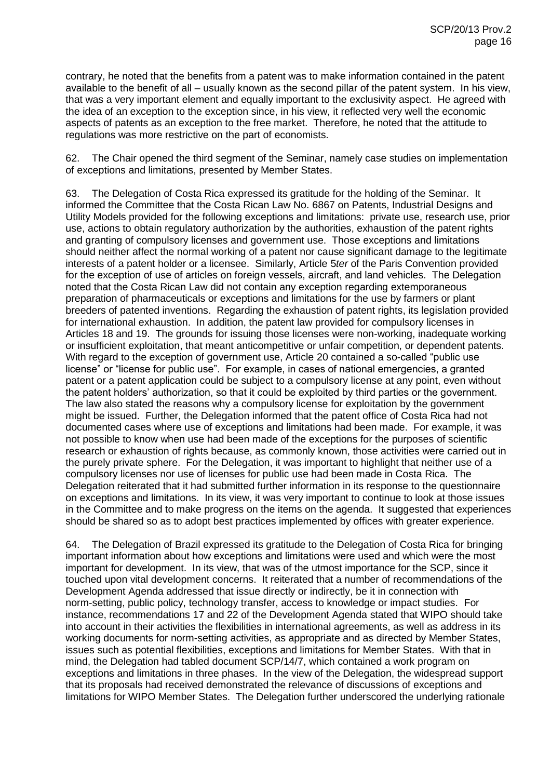contrary, he noted that the benefits from a patent was to make information contained in the patent available to the benefit of all – usually known as the second pillar of the patent system. In his view, that was a very important element and equally important to the exclusivity aspect. He agreed with the idea of an exception to the exception since, in his view, it reflected very well the economic aspects of patents as an exception to the free market. Therefore, he noted that the attitude to regulations was more restrictive on the part of economists.

62. The Chair opened the third segment of the Seminar, namely case studies on implementation of exceptions and limitations, presented by Member States.

63. The Delegation of Costa Rica expressed its gratitude for the holding of the Seminar. It informed the Committee that the Costa Rican Law No. 6867 on Patents, Industrial Designs and Utility Models provided for the following exceptions and limitations: private use, research use, prior use, actions to obtain regulatory authorization by the authorities, exhaustion of the patent rights and granting of compulsory licenses and government use. Those exceptions and limitations should neither affect the normal working of a patent nor cause significant damage to the legitimate interests of a patent holder or a licensee. Similarly, Article 5*ter* of the Paris Convention provided for the exception of use of articles on foreign vessels, aircraft, and land vehicles. The Delegation noted that the Costa Rican Law did not contain any exception regarding extemporaneous preparation of pharmaceuticals or exceptions and limitations for the use by farmers or plant breeders of patented inventions. Regarding the exhaustion of patent rights, its legislation provided for international exhaustion. In addition, the patent law provided for compulsory licenses in Articles 18 and 19. The grounds for issuing those licenses were non-working, inadequate working or insufficient exploitation, that meant anticompetitive or unfair competition, or dependent patents. With regard to the exception of government use, Article 20 contained a so-called "public use license" or "license for public use". For example, in cases of national emergencies, a granted patent or a patent application could be subject to a compulsory license at any point, even without the patent holders' authorization, so that it could be exploited by third parties or the government. The law also stated the reasons why a compulsory license for exploitation by the government might be issued. Further, the Delegation informed that the patent office of Costa Rica had not documented cases where use of exceptions and limitations had been made. For example, it was not possible to know when use had been made of the exceptions for the purposes of scientific research or exhaustion of rights because, as commonly known, those activities were carried out in the purely private sphere. For the Delegation, it was important to highlight that neither use of a compulsory licenses nor use of licenses for public use had been made in Costa Rica. The Delegation reiterated that it had submitted further information in its response to the questionnaire on exceptions and limitations. In its view, it was very important to continue to look at those issues in the Committee and to make progress on the items on the agenda. It suggested that experiences should be shared so as to adopt best practices implemented by offices with greater experience.

64. The Delegation of Brazil expressed its gratitude to the Delegation of Costa Rica for bringing important information about how exceptions and limitations were used and which were the most important for development. In its view, that was of the utmost importance for the SCP, since it touched upon vital development concerns. It reiterated that a number of recommendations of the Development Agenda addressed that issue directly or indirectly, be it in connection with norm-setting, public policy, technology transfer, access to knowledge or impact studies. For instance, recommendations 17 and 22 of the Development Agenda stated that WIPO should take into account in their activities the flexibilities in international agreements, as well as address in its working documents for norm-setting activities, as appropriate and as directed by Member States, issues such as potential flexibilities, exceptions and limitations for Member States. With that in mind, the Delegation had tabled document SCP/14/7, which contained a work program on exceptions and limitations in three phases. In the view of the Delegation, the widespread support that its proposals had received demonstrated the relevance of discussions of exceptions and limitations for WIPO Member States. The Delegation further underscored the underlying rationale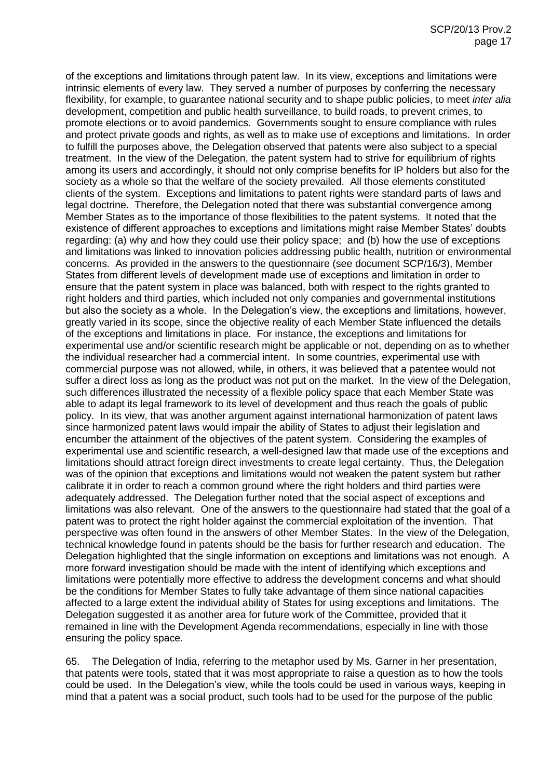of the exceptions and limitations through patent law. In its view, exceptions and limitations were intrinsic elements of every law. They served a number of purposes by conferring the necessary flexibility, for example, to guarantee national security and to shape public policies, to meet *inter alia* development, competition and public health surveillance, to build roads, to prevent crimes, to promote elections or to avoid pandemics. Governments sought to ensure compliance with rules and protect private goods and rights, as well as to make use of exceptions and limitations. In order to fulfill the purposes above, the Delegation observed that patents were also subject to a special treatment. In the view of the Delegation, the patent system had to strive for equilibrium of rights among its users and accordingly, it should not only comprise benefits for IP holders but also for the society as a whole so that the welfare of the society prevailed. All those elements constituted clients of the system. Exceptions and limitations to patent rights were standard parts of laws and legal doctrine. Therefore, the Delegation noted that there was substantial convergence among Member States as to the importance of those flexibilities to the patent systems. It noted that the existence of different approaches to exceptions and limitations might raise Member States' doubts regarding: (a) why and how they could use their policy space; and (b) how the use of exceptions and limitations was linked to innovation policies addressing public health, nutrition or environmental concerns. As provided in the answers to the questionnaire (see document SCP/16/3), Member States from different levels of development made use of exceptions and limitation in order to ensure that the patent system in place was balanced, both with respect to the rights granted to right holders and third parties, which included not only companies and governmental institutions but also the society as a whole. In the Delegation's view, the exceptions and limitations, however, greatly varied in its scope, since the objective reality of each Member State influenced the details of the exceptions and limitations in place. For instance, the exceptions and limitations for experimental use and/or scientific research might be applicable or not, depending on as to whether the individual researcher had a commercial intent. In some countries, experimental use with commercial purpose was not allowed, while, in others, it was believed that a patentee would not suffer a direct loss as long as the product was not put on the market. In the view of the Delegation, such differences illustrated the necessity of a flexible policy space that each Member State was able to adapt its legal framework to its level of development and thus reach the goals of public policy. In its view, that was another argument against international harmonization of patent laws since harmonized patent laws would impair the ability of States to adjust their legislation and encumber the attainment of the objectives of the patent system. Considering the examples of experimental use and scientific research, a well-designed law that made use of the exceptions and limitations should attract foreign direct investments to create legal certainty. Thus, the Delegation was of the opinion that exceptions and limitations would not weaken the patent system but rather calibrate it in order to reach a common ground where the right holders and third parties were adequately addressed. The Delegation further noted that the social aspect of exceptions and limitations was also relevant. One of the answers to the questionnaire had stated that the goal of a patent was to protect the right holder against the commercial exploitation of the invention. That perspective was often found in the answers of other Member States. In the view of the Delegation, technical knowledge found in patents should be the basis for further research and education. The Delegation highlighted that the single information on exceptions and limitations was not enough. A more forward investigation should be made with the intent of identifying which exceptions and limitations were potentially more effective to address the development concerns and what should be the conditions for Member States to fully take advantage of them since national capacities affected to a large extent the individual ability of States for using exceptions and limitations. The Delegation suggested it as another area for future work of the Committee, provided that it remained in line with the Development Agenda recommendations, especially in line with those ensuring the policy space.

65. The Delegation of India, referring to the metaphor used by Ms. Garner in her presentation, that patents were tools, stated that it was most appropriate to raise a question as to how the tools could be used. In the Delegation's view, while the tools could be used in various ways, keeping in mind that a patent was a social product, such tools had to be used for the purpose of the public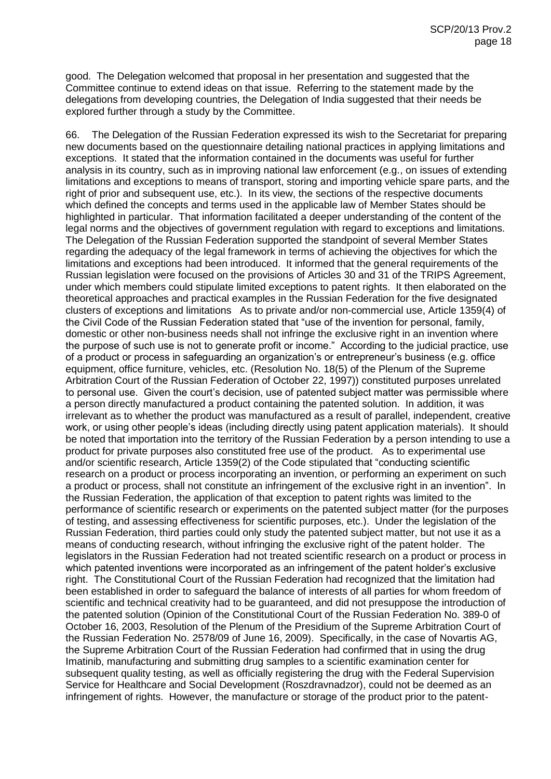good. The Delegation welcomed that proposal in her presentation and suggested that the Committee continue to extend ideas on that issue. Referring to the statement made by the delegations from developing countries, the Delegation of India suggested that their needs be explored further through a study by the Committee.

66. The Delegation of the Russian Federation expressed its wish to the Secretariat for preparing new documents based on the questionnaire detailing national practices in applying limitations and exceptions. It stated that the information contained in the documents was useful for further analysis in its country, such as in improving national law enforcement (e.g., on issues of extending limitations and exceptions to means of transport, storing and importing vehicle spare parts, and the right of prior and subsequent use, etc.). In its view, the sections of the respective documents which defined the concepts and terms used in the applicable law of Member States should be highlighted in particular. That information facilitated a deeper understanding of the content of the legal norms and the objectives of government regulation with regard to exceptions and limitations. The Delegation of the Russian Federation supported the standpoint of several Member States regarding the adequacy of the legal framework in terms of achieving the objectives for which the limitations and exceptions had been introduced. It informed that the general requirements of the Russian legislation were focused on the provisions of Articles 30 and 31 of the TRIPS Agreement, under which members could stipulate limited exceptions to patent rights. It then elaborated on the theoretical approaches and practical examples in the Russian Federation for the five designated clusters of exceptions and limitations As to private and/or non-commercial use, Article 1359(4) of the Civil Code of the Russian Federation stated that "use of the invention for personal, family, domestic or other non-business needs shall not infringe the exclusive right in an invention where the purpose of such use is not to generate profit or income." According to the judicial practice, use of a product or process in safeguarding an organization's or entrepreneur's business (e.g. office equipment, office furniture, vehicles, etc. (Resolution No. 18(5) of the Plenum of the Supreme Arbitration Court of the Russian Federation of October 22, 1997)) constituted purposes unrelated to personal use. Given the court's decision, use of patented subject matter was permissible where a person directly manufactured a product containing the patented solution. In addition, it was irrelevant as to whether the product was manufactured as a result of parallel, independent, creative work, or using other people's ideas (including directly using patent application materials). It should be noted that importation into the territory of the Russian Federation by a person intending to use a product for private purposes also constituted free use of the product. As to experimental use and/or scientific research, Article 1359(2) of the Code stipulated that "conducting scientific research on a product or process incorporating an invention, or performing an experiment on such a product or process, shall not constitute an infringement of the exclusive right in an invention". In the Russian Federation, the application of that exception to patent rights was limited to the performance of scientific research or experiments on the patented subject matter (for the purposes of testing, and assessing effectiveness for scientific purposes, etc.). Under the legislation of the Russian Federation, third parties could only study the patented subject matter, but not use it as a means of conducting research, without infringing the exclusive right of the patent holder. The legislators in the Russian Federation had not treated scientific research on a product or process in which patented inventions were incorporated as an infringement of the patent holder's exclusive right. The Constitutional Court of the Russian Federation had recognized that the limitation had been established in order to safeguard the balance of interests of all parties for whom freedom of scientific and technical creativity had to be guaranteed, and did not presuppose the introduction of the patented solution (Opinion of the Constitutional Court of the Russian Federation No. 389-0 of October 16, 2003, Resolution of the Plenum of the Presidium of the Supreme Arbitration Court of the Russian Federation No. 2578/09 of June 16, 2009). Specifically, in the case of Novartis AG, the Supreme Arbitration Court of the Russian Federation had confirmed that in using the drug Imatinib, manufacturing and submitting drug samples to a scientific examination center for subsequent quality testing, as well as officially registering the drug with the Federal Supervision Service for Healthcare and Social Development (Roszdravnadzor), could not be deemed as an infringement of rights. However, the manufacture or storage of the product prior to the patent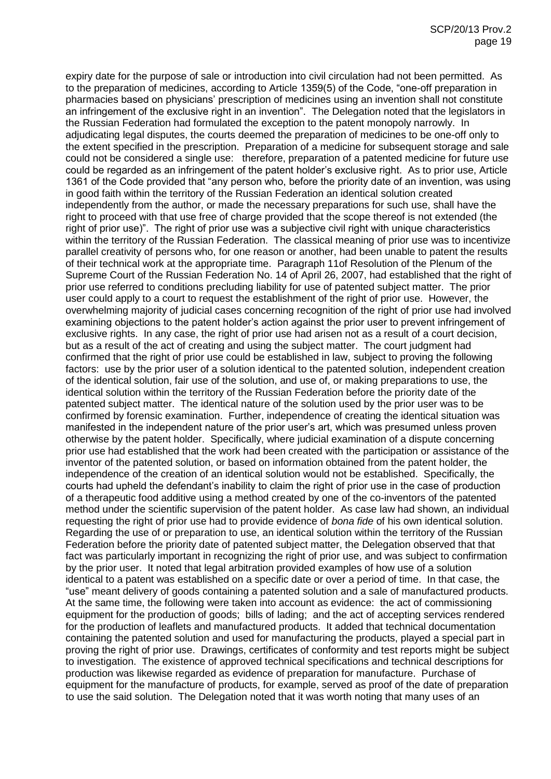expiry date for the purpose of sale or introduction into civil circulation had not been permitted. As to the preparation of medicines, according to Article 1359(5) of the Code, "one-off preparation in pharmacies based on physicians' prescription of medicines using an invention shall not constitute an infringement of the exclusive right in an invention". The Delegation noted that the legislators in the Russian Federation had formulated the exception to the patent monopoly narrowly. In adjudicating legal disputes, the courts deemed the preparation of medicines to be one-off only to the extent specified in the prescription. Preparation of a medicine for subsequent storage and sale could not be considered a single use: therefore, preparation of a patented medicine for future use could be regarded as an infringement of the patent holder's exclusive right. As to prior use, Article 1361 of the Code provided that "any person who, before the priority date of an invention, was using in good faith within the territory of the Russian Federation an identical solution created independently from the author, or made the necessary preparations for such use, shall have the right to proceed with that use free of charge provided that the scope thereof is not extended (the right of prior use)". The right of prior use was a subjective civil right with unique characteristics within the territory of the Russian Federation. The classical meaning of prior use was to incentivize parallel creativity of persons who, for one reason or another, had been unable to patent the results of their technical work at the appropriate time. Paragraph 11of Resolution of the Plenum of the Supreme Court of the Russian Federation No. 14 of April 26, 2007, had established that the right of prior use referred to conditions precluding liability for use of patented subject matter. The prior user could apply to a court to request the establishment of the right of prior use. However, the overwhelming majority of judicial cases concerning recognition of the right of prior use had involved examining objections to the patent holder's action against the prior user to prevent infringement of exclusive rights. In any case, the right of prior use had arisen not as a result of a court decision, but as a result of the act of creating and using the subject matter. The court judgment had confirmed that the right of prior use could be established in law, subject to proving the following factors: use by the prior user of a solution identical to the patented solution, independent creation of the identical solution, fair use of the solution, and use of, or making preparations to use, the identical solution within the territory of the Russian Federation before the priority date of the patented subject matter. The identical nature of the solution used by the prior user was to be confirmed by forensic examination. Further, independence of creating the identical situation was manifested in the independent nature of the prior user's art, which was presumed unless proven otherwise by the patent holder. Specifically, where judicial examination of a dispute concerning prior use had established that the work had been created with the participation or assistance of the inventor of the patented solution, or based on information obtained from the patent holder, the independence of the creation of an identical solution would not be established. Specifically, the courts had upheld the defendant's inability to claim the right of prior use in the case of production of a therapeutic food additive using a method created by one of the co-inventors of the patented method under the scientific supervision of the patent holder. As case law had shown, an individual requesting the right of prior use had to provide evidence of *bona fide* of his own identical solution. Regarding the use of or preparation to use, an identical solution within the territory of the Russian Federation before the priority date of patented subject matter, the Delegation observed that that fact was particularly important in recognizing the right of prior use, and was subject to confirmation by the prior user. It noted that legal arbitration provided examples of how use of a solution identical to a patent was established on a specific date or over a period of time. In that case, the "use" meant delivery of goods containing a patented solution and a sale of manufactured products. At the same time, the following were taken into account as evidence: the act of commissioning equipment for the production of goods; bills of lading; and the act of accepting services rendered for the production of leaflets and manufactured products. It added that technical documentation containing the patented solution and used for manufacturing the products, played a special part in proving the right of prior use. Drawings, certificates of conformity and test reports might be subject to investigation. The existence of approved technical specifications and technical descriptions for production was likewise regarded as evidence of preparation for manufacture. Purchase of equipment for the manufacture of products, for example, served as proof of the date of preparation to use the said solution. The Delegation noted that it was worth noting that many uses of an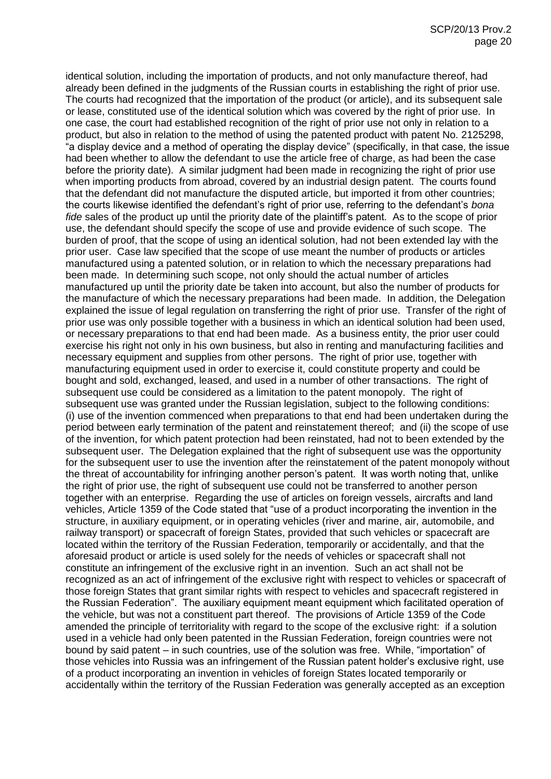identical solution, including the importation of products, and not only manufacture thereof, had already been defined in the judgments of the Russian courts in establishing the right of prior use. The courts had recognized that the importation of the product (or article), and its subsequent sale or lease, constituted use of the identical solution which was covered by the right of prior use. In one case, the court had established recognition of the right of prior use not only in relation to a product, but also in relation to the method of using the patented product with patent No. 2125298, "a display device and a method of operating the display device" (specifically, in that case, the issue had been whether to allow the defendant to use the article free of charge, as had been the case before the priority date). A similar judgment had been made in recognizing the right of prior use when importing products from abroad, covered by an industrial design patent. The courts found that the defendant did not manufacture the disputed article, but imported it from other countries; the courts likewise identified the defendant's right of prior use, referring to the defendant's *bona fide* sales of the product up until the priority date of the plaintiff's patent. As to the scope of prior use, the defendant should specify the scope of use and provide evidence of such scope. The burden of proof, that the scope of using an identical solution, had not been extended lay with the prior user. Case law specified that the scope of use meant the number of products or articles manufactured using a patented solution, or in relation to which the necessary preparations had been made. In determining such scope, not only should the actual number of articles manufactured up until the priority date be taken into account, but also the number of products for the manufacture of which the necessary preparations had been made. In addition, the Delegation explained the issue of legal regulation on transferring the right of prior use. Transfer of the right of prior use was only possible together with a business in which an identical solution had been used, or necessary preparations to that end had been made. As a business entity, the prior user could exercise his right not only in his own business, but also in renting and manufacturing facilities and necessary equipment and supplies from other persons. The right of prior use, together with manufacturing equipment used in order to exercise it, could constitute property and could be bought and sold, exchanged, leased, and used in a number of other transactions. The right of subsequent use could be considered as a limitation to the patent monopoly. The right of subsequent use was granted under the Russian legislation, subject to the following conditions: (i) use of the invention commenced when preparations to that end had been undertaken during the period between early termination of the patent and reinstatement thereof; and (ii) the scope of use of the invention, for which patent protection had been reinstated, had not to been extended by the subsequent user. The Delegation explained that the right of subsequent use was the opportunity for the subsequent user to use the invention after the reinstatement of the patent monopoly without the threat of accountability for infringing another person's patent. It was worth noting that, unlike the right of prior use, the right of subsequent use could not be transferred to another person together with an enterprise. Regarding the use of articles on foreign vessels, aircrafts and land vehicles, Article 1359 of the Code stated that "use of a product incorporating the invention in the structure, in auxiliary equipment, or in operating vehicles (river and marine, air, automobile, and railway transport) or spacecraft of foreign States, provided that such vehicles or spacecraft are located within the territory of the Russian Federation, temporarily or accidentally, and that the aforesaid product or article is used solely for the needs of vehicles or spacecraft shall not constitute an infringement of the exclusive right in an invention. Such an act shall not be recognized as an act of infringement of the exclusive right with respect to vehicles or spacecraft of those foreign States that grant similar rights with respect to vehicles and spacecraft registered in the Russian Federation". The auxiliary equipment meant equipment which facilitated operation of the vehicle, but was not a constituent part thereof. The provisions of Article 1359 of the Code amended the principle of territoriality with regard to the scope of the exclusive right: if a solution used in a vehicle had only been patented in the Russian Federation, foreign countries were not bound by said patent – in such countries, use of the solution was free. While, "importation" of those vehicles into Russia was an infringement of the Russian patent holder's exclusive right, use of a product incorporating an invention in vehicles of foreign States located temporarily or accidentally within the territory of the Russian Federation was generally accepted as an exception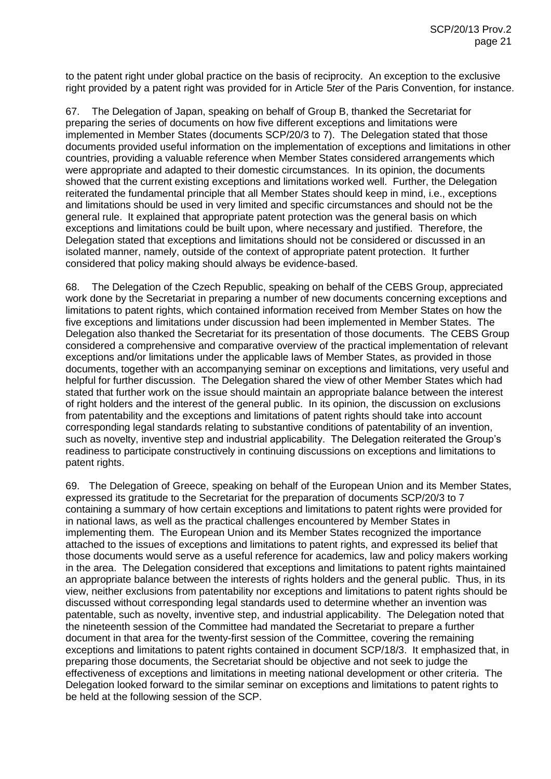to the patent right under global practice on the basis of reciprocity. An exception to the exclusive right provided by a patent right was provided for in Article 5*ter* of the Paris Convention, for instance.

67. The Delegation of Japan, speaking on behalf of Group B, thanked the Secretariat for preparing the series of documents on how five different exceptions and limitations were implemented in Member States (documents SCP/20/3 to 7). The Delegation stated that those documents provided useful information on the implementation of exceptions and limitations in other countries, providing a valuable reference when Member States considered arrangements which were appropriate and adapted to their domestic circumstances. In its opinion, the documents showed that the current existing exceptions and limitations worked well. Further, the Delegation reiterated the fundamental principle that all Member States should keep in mind, i.e., exceptions and limitations should be used in very limited and specific circumstances and should not be the general rule. It explained that appropriate patent protection was the general basis on which exceptions and limitations could be built upon, where necessary and justified. Therefore, the Delegation stated that exceptions and limitations should not be considered or discussed in an isolated manner, namely, outside of the context of appropriate patent protection. It further considered that policy making should always be evidence-based.

68. The Delegation of the Czech Republic, speaking on behalf of the CEBS Group, appreciated work done by the Secretariat in preparing a number of new documents concerning exceptions and limitations to patent rights, which contained information received from Member States on how the five exceptions and limitations under discussion had been implemented in Member States. The Delegation also thanked the Secretariat for its presentation of those documents. The CEBS Group considered a comprehensive and comparative overview of the practical implementation of relevant exceptions and/or limitations under the applicable laws of Member States, as provided in those documents, together with an accompanying seminar on exceptions and limitations, very useful and helpful for further discussion. The Delegation shared the view of other Member States which had stated that further work on the issue should maintain an appropriate balance between the interest of right holders and the interest of the general public. In its opinion, the discussion on exclusions from patentability and the exceptions and limitations of patent rights should take into account corresponding legal standards relating to substantive conditions of patentability of an invention, such as novelty, inventive step and industrial applicability. The Delegation reiterated the Group's readiness to participate constructively in continuing discussions on exceptions and limitations to patent rights.

69. The Delegation of Greece, speaking on behalf of the European Union and its Member States, expressed its gratitude to the Secretariat for the preparation of documents SCP/20/3 to 7 containing a summary of how certain exceptions and limitations to patent rights were provided for in national laws, as well as the practical challenges encountered by Member States in implementing them. The European Union and its Member States recognized the importance attached to the issues of exceptions and limitations to patent rights, and expressed its belief that those documents would serve as a useful reference for academics, law and policy makers working in the area. The Delegation considered that exceptions and limitations to patent rights maintained an appropriate balance between the interests of rights holders and the general public. Thus, in its view, neither exclusions from patentability nor exceptions and limitations to patent rights should be discussed without corresponding legal standards used to determine whether an invention was patentable, such as novelty, inventive step, and industrial applicability. The Delegation noted that the nineteenth session of the Committee had mandated the Secretariat to prepare a further document in that area for the twenty-first session of the Committee, covering the remaining exceptions and limitations to patent rights contained in document SCP/18/3. It emphasized that, in preparing those documents, the Secretariat should be objective and not seek to judge the effectiveness of exceptions and limitations in meeting national development or other criteria. The Delegation looked forward to the similar seminar on exceptions and limitations to patent rights to be held at the following session of the SCP.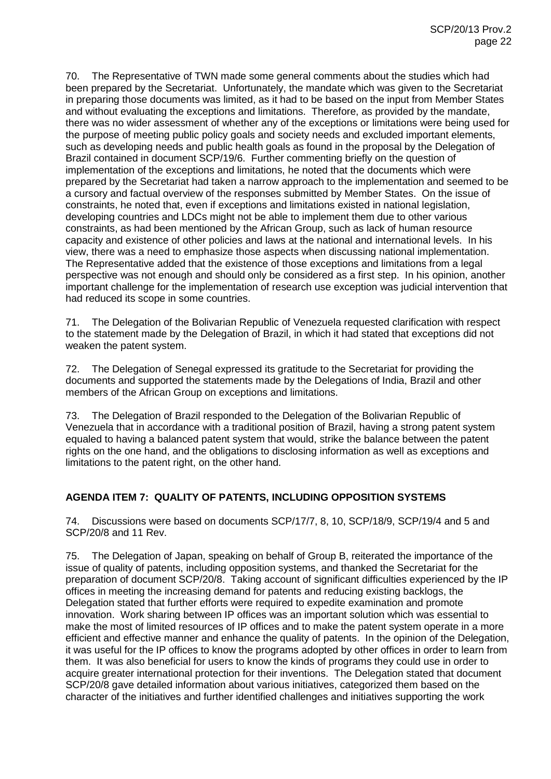70. The Representative of TWN made some general comments about the studies which had been prepared by the Secretariat. Unfortunately, the mandate which was given to the Secretariat in preparing those documents was limited, as it had to be based on the input from Member States and without evaluating the exceptions and limitations. Therefore, as provided by the mandate, there was no wider assessment of whether any of the exceptions or limitations were being used for the purpose of meeting public policy goals and society needs and excluded important elements, such as developing needs and public health goals as found in the proposal by the Delegation of Brazil contained in document SCP/19/6. Further commenting briefly on the question of implementation of the exceptions and limitations, he noted that the documents which were prepared by the Secretariat had taken a narrow approach to the implementation and seemed to be a cursory and factual overview of the responses submitted by Member States. On the issue of constraints, he noted that, even if exceptions and limitations existed in national legislation, developing countries and LDCs might not be able to implement them due to other various constraints, as had been mentioned by the African Group, such as lack of human resource capacity and existence of other policies and laws at the national and international levels. In his view, there was a need to emphasize those aspects when discussing national implementation. The Representative added that the existence of those exceptions and limitations from a legal perspective was not enough and should only be considered as a first step. In his opinion, another important challenge for the implementation of research use exception was judicial intervention that had reduced its scope in some countries.

71. The Delegation of the Bolivarian Republic of Venezuela requested clarification with respect to the statement made by the Delegation of Brazil, in which it had stated that exceptions did not weaken the patent system.

72. The Delegation of Senegal expressed its gratitude to the Secretariat for providing the documents and supported the statements made by the Delegations of India, Brazil and other members of the African Group on exceptions and limitations.

73. The Delegation of Brazil responded to the Delegation of the Bolivarian Republic of Venezuela that in accordance with a traditional position of Brazil, having a strong patent system equaled to having a balanced patent system that would, strike the balance between the patent rights on the one hand, and the obligations to disclosing information as well as exceptions and limitations to the patent right, on the other hand.

## **AGENDA ITEM 7: QUALITY OF PATENTS, INCLUDING OPPOSITION SYSTEMS**

74. Discussions were based on documents SCP/17/7, 8, 10, SCP/18/9, SCP/19/4 and 5 and SCP/20/8 and 11 Rev.

75. The Delegation of Japan, speaking on behalf of Group B, reiterated the importance of the issue of quality of patents, including opposition systems, and thanked the Secretariat for the preparation of document SCP/20/8. Taking account of significant difficulties experienced by the IP offices in meeting the increasing demand for patents and reducing existing backlogs, the Delegation stated that further efforts were required to expedite examination and promote innovation. Work sharing between IP offices was an important solution which was essential to make the most of limited resources of IP offices and to make the patent system operate in a more efficient and effective manner and enhance the quality of patents. In the opinion of the Delegation, it was useful for the IP offices to know the programs adopted by other offices in order to learn from them. It was also beneficial for users to know the kinds of programs they could use in order to acquire greater international protection for their inventions. The Delegation stated that document SCP/20/8 gave detailed information about various initiatives, categorized them based on the character of the initiatives and further identified challenges and initiatives supporting the work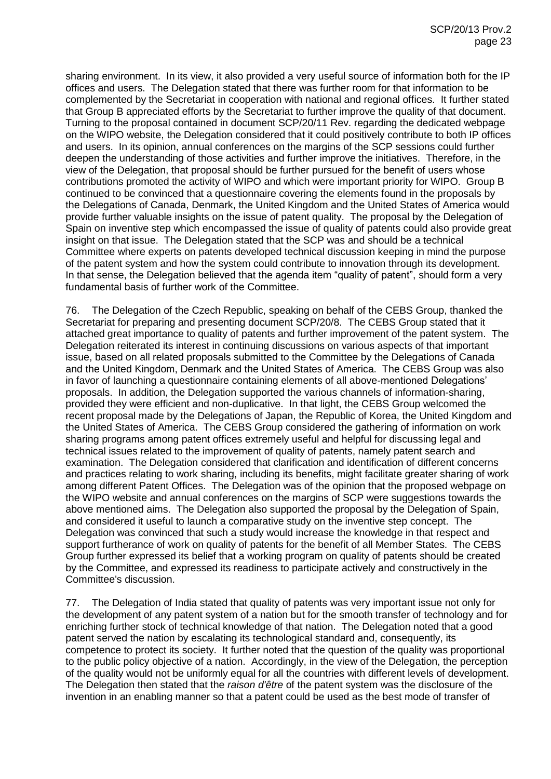sharing environment. In its view, it also provided a very useful source of information both for the IP offices and users. The Delegation stated that there was further room for that information to be complemented by the Secretariat in cooperation with national and regional offices. It further stated that Group B appreciated efforts by the Secretariat to further improve the quality of that document. Turning to the proposal contained in document SCP/20/11 Rev. regarding the dedicated webpage on the WIPO website, the Delegation considered that it could positively contribute to both IP offices and users. In its opinion, annual conferences on the margins of the SCP sessions could further deepen the understanding of those activities and further improve the initiatives. Therefore, in the view of the Delegation, that proposal should be further pursued for the benefit of users whose contributions promoted the activity of WIPO and which were important priority for WIPO. Group B continued to be convinced that a questionnaire covering the elements found in the proposals by the Delegations of Canada, Denmark, the United Kingdom and the United States of America would provide further valuable insights on the issue of patent quality. The proposal by the Delegation of Spain on inventive step which encompassed the issue of quality of patents could also provide great insight on that issue. The Delegation stated that the SCP was and should be a technical Committee where experts on patents developed technical discussion keeping in mind the purpose of the patent system and how the system could contribute to innovation through its development. In that sense, the Delegation believed that the agenda item "quality of patent", should form a very fundamental basis of further work of the Committee.

76. The Delegation of the Czech Republic, speaking on behalf of the CEBS Group, thanked the Secretariat for preparing and presenting document SCP/20/8. The CEBS Group stated that it attached great importance to quality of patents and further improvement of the patent system. The Delegation reiterated its interest in continuing discussions on various aspects of that important issue, based on all related proposals submitted to the Committee by the Delegations of Canada and the United Kingdom, Denmark and the United States of America. The CEBS Group was also in favor of launching a questionnaire containing elements of all above-mentioned Delegations' proposals. In addition, the Delegation supported the various channels of information-sharing, provided they were efficient and non-duplicative. In that light, the CEBS Group welcomed the recent proposal made by the Delegations of Japan, the Republic of Korea, the United Kingdom and the United States of America. The CEBS Group considered the gathering of information on work sharing programs among patent offices extremely useful and helpful for discussing legal and technical issues related to the improvement of quality of patents, namely patent search and examination. The Delegation considered that clarification and identification of different concerns and practices relating to work sharing, including its benefits, might facilitate greater sharing of work among different Patent Offices. The Delegation was of the opinion that the proposed webpage on the WIPO website and annual conferences on the margins of SCP were suggestions towards the above mentioned aims. The Delegation also supported the proposal by the Delegation of Spain, and considered it useful to launch a comparative study on the inventive step concept. The Delegation was convinced that such a study would increase the knowledge in that respect and support furtherance of work on quality of patents for the benefit of all Member States. The CEBS Group further expressed its belief that a working program on quality of patents should be created by the Committee, and expressed its readiness to participate actively and constructively in the Committee's discussion.

77. The Delegation of India stated that quality of patents was very important issue not only for the development of any patent system of a nation but for the smooth transfer of technology and for enriching further stock of technical knowledge of that nation. The Delegation noted that a good patent served the nation by escalating its technological standard and, consequently, its competence to protect its society. It further noted that the question of the quality was proportional to the public policy objective of a nation. Accordingly, in the view of the Delegation, the perception of the quality would not be uniformly equal for all the countries with different levels of development. The Delegation then stated that the *raison d'être* of the patent system was the disclosure of the invention in an enabling manner so that a patent could be used as the best mode of transfer of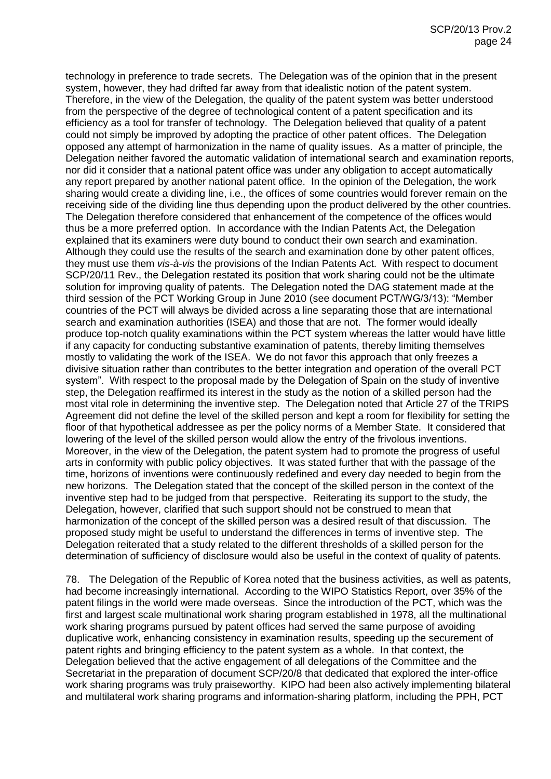technology in preference to trade secrets. The Delegation was of the opinion that in the present system, however, they had drifted far away from that idealistic notion of the patent system. Therefore, in the view of the Delegation, the quality of the patent system was better understood from the perspective of the degree of technological content of a patent specification and its efficiency as a tool for transfer of technology. The Delegation believed that quality of a patent could not simply be improved by adopting the practice of other patent offices. The Delegation opposed any attempt of harmonization in the name of quality issues. As a matter of principle, the Delegation neither favored the automatic validation of international search and examination reports, nor did it consider that a national patent office was under any obligation to accept automatically any report prepared by another national patent office. In the opinion of the Delegation, the work sharing would create a dividing line, i.e., the offices of some countries would forever remain on the receiving side of the dividing line thus depending upon the product delivered by the other countries. The Delegation therefore considered that enhancement of the competence of the offices would thus be a more preferred option. In accordance with the Indian Patents Act, the Delegation explained that its examiners were duty bound to conduct their own search and examination. Although they could use the results of the search and examination done by other patent offices, they must use them *vis-à-vis* the provisions of the Indian Patents Act. With respect to document SCP/20/11 Rev., the Delegation restated its position that work sharing could not be the ultimate solution for improving quality of patents. The Delegation noted the DAG statement made at the third session of the PCT Working Group in June 2010 (see document PCT/WG/3/13): "Member countries of the PCT will always be divided across a line separating those that are international search and examination authorities (ISEA) and those that are not. The former would ideally produce top-notch quality examinations within the PCT system whereas the latter would have little if any capacity for conducting substantive examination of patents, thereby limiting themselves mostly to validating the work of the ISEA. We do not favor this approach that only freezes a divisive situation rather than contributes to the better integration and operation of the overall PCT system". With respect to the proposal made by the Delegation of Spain on the study of inventive step, the Delegation reaffirmed its interest in the study as the notion of a skilled person had the most vital role in determining the inventive step. The Delegation noted that Article 27 of the TRIPS Agreement did not define the level of the skilled person and kept a room for flexibility for setting the floor of that hypothetical addressee as per the policy norms of a Member State. It considered that lowering of the level of the skilled person would allow the entry of the frivolous inventions. Moreover, in the view of the Delegation, the patent system had to promote the progress of useful arts in conformity with public policy objectives. It was stated further that with the passage of the time, horizons of inventions were continuously redefined and every day needed to begin from the new horizons. The Delegation stated that the concept of the skilled person in the context of the inventive step had to be judged from that perspective. Reiterating its support to the study, the Delegation, however, clarified that such support should not be construed to mean that harmonization of the concept of the skilled person was a desired result of that discussion. The proposed study might be useful to understand the differences in terms of inventive step. The Delegation reiterated that a study related to the different thresholds of a skilled person for the determination of sufficiency of disclosure would also be useful in the context of quality of patents.

78. The Delegation of the Republic of Korea noted that the business activities, as well as patents, had become increasingly international. According to the WIPO Statistics Report, over 35% of the patent filings in the world were made overseas. Since the introduction of the PCT, which was the first and largest scale multinational work sharing program established in 1978, all the multinational work sharing programs pursued by patent offices had served the same purpose of avoiding duplicative work, enhancing consistency in examination results, speeding up the securement of patent rights and bringing efficiency to the patent system as a whole. In that context, the Delegation believed that the active engagement of all delegations of the Committee and the Secretariat in the preparation of document SCP/20/8 that dedicated that explored the inter-office work sharing programs was truly praiseworthy. KIPO had been also actively implementing bilateral and multilateral work sharing programs and information-sharing platform, including the PPH, PCT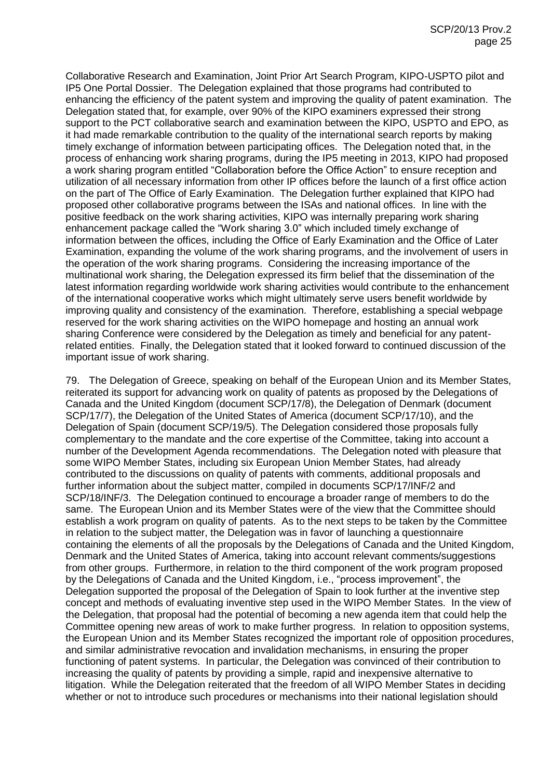Collaborative Research and Examination, Joint Prior Art Search Program, KIPO-USPTO pilot and IP5 One Portal Dossier. The Delegation explained that those programs had contributed to enhancing the efficiency of the patent system and improving the quality of patent examination. The Delegation stated that, for example, over 90% of the KIPO examiners expressed their strong support to the PCT collaborative search and examination between the KIPO, USPTO and EPO, as it had made remarkable contribution to the quality of the international search reports by making timely exchange of information between participating offices. The Delegation noted that, in the process of enhancing work sharing programs, during the IP5 meeting in 2013, KIPO had proposed a work sharing program entitled "Collaboration before the Office Action" to ensure reception and utilization of all necessary information from other IP offices before the launch of a first office action on the part of The Office of Early Examination. The Delegation further explained that KIPO had proposed other collaborative programs between the ISAs and national offices. In line with the positive feedback on the work sharing activities, KIPO was internally preparing work sharing enhancement package called the "Work sharing 3.0" which included timely exchange of information between the offices, including the Office of Early Examination and the Office of Later Examination, expanding the volume of the work sharing programs, and the involvement of users in the operation of the work sharing programs. Considering the increasing importance of the multinational work sharing, the Delegation expressed its firm belief that the dissemination of the latest information regarding worldwide work sharing activities would contribute to the enhancement of the international cooperative works which might ultimately serve users benefit worldwide by improving quality and consistency of the examination. Therefore, establishing a special webpage reserved for the work sharing activities on the WIPO homepage and hosting an annual work sharing Conference were considered by the Delegation as timely and beneficial for any patentrelated entities. Finally, the Delegation stated that it looked forward to continued discussion of the important issue of work sharing.

79. The Delegation of Greece, speaking on behalf of the European Union and its Member States, reiterated its support for advancing work on quality of patents as proposed by the Delegations of Canada and the United Kingdom (document SCP/17/8), the Delegation of Denmark (document SCP/17/7), the Delegation of the United States of America (document SCP/17/10), and the Delegation of Spain (document SCP/19/5). The Delegation considered those proposals fully complementary to the mandate and the core expertise of the Committee, taking into account a number of the Development Agenda recommendations. The Delegation noted with pleasure that some WIPO Member States, including six European Union Member States, had already contributed to the discussions on quality of patents with comments, additional proposals and further information about the subject matter, compiled in documents SCP/17/INF/2 and SCP/18/INF/3. The Delegation continued to encourage a broader range of members to do the same. The European Union and its Member States were of the view that the Committee should establish a work program on quality of patents. As to the next steps to be taken by the Committee in relation to the subject matter, the Delegation was in favor of launching a questionnaire containing the elements of all the proposals by the Delegations of Canada and the United Kingdom, Denmark and the United States of America, taking into account relevant comments/suggestions from other groups. Furthermore, in relation to the third component of the work program proposed by the Delegations of Canada and the United Kingdom, i.e., "process improvement", the Delegation supported the proposal of the Delegation of Spain to look further at the inventive step concept and methods of evaluating inventive step used in the WIPO Member States. In the view of the Delegation, that proposal had the potential of becoming a new agenda item that could help the Committee opening new areas of work to make further progress. In relation to opposition systems, the European Union and its Member States recognized the important role of opposition procedures, and similar administrative revocation and invalidation mechanisms, in ensuring the proper functioning of patent systems. In particular, the Delegation was convinced of their contribution to increasing the quality of patents by providing a simple, rapid and inexpensive alternative to litigation. While the Delegation reiterated that the freedom of all WIPO Member States in deciding whether or not to introduce such procedures or mechanisms into their national legislation should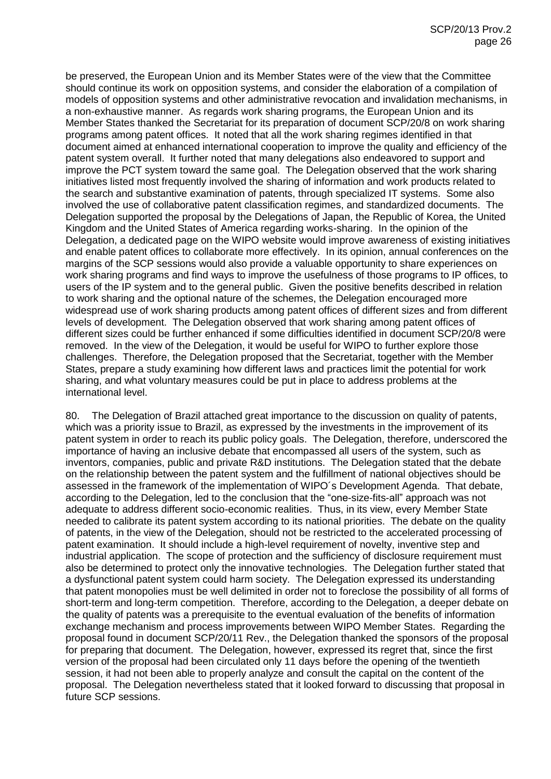be preserved, the European Union and its Member States were of the view that the Committee should continue its work on opposition systems, and consider the elaboration of a compilation of models of opposition systems and other administrative revocation and invalidation mechanisms, in a non-exhaustive manner. As regards work sharing programs, the European Union and its Member States thanked the Secretariat for its preparation of document SCP/20/8 on work sharing programs among patent offices. It noted that all the work sharing regimes identified in that document aimed at enhanced international cooperation to improve the quality and efficiency of the patent system overall. It further noted that many delegations also endeavored to support and improve the PCT system toward the same goal. The Delegation observed that the work sharing initiatives listed most frequently involved the sharing of information and work products related to the search and substantive examination of patents, through specialized IT systems. Some also involved the use of collaborative patent classification regimes, and standardized documents. The Delegation supported the proposal by the Delegations of Japan, the Republic of Korea, the United Kingdom and the United States of America regarding works-sharing. In the opinion of the Delegation, a dedicated page on the WIPO website would improve awareness of existing initiatives and enable patent offices to collaborate more effectively. In its opinion, annual conferences on the margins of the SCP sessions would also provide a valuable opportunity to share experiences on work sharing programs and find ways to improve the usefulness of those programs to IP offices, to users of the IP system and to the general public. Given the positive benefits described in relation to work sharing and the optional nature of the schemes, the Delegation encouraged more widespread use of work sharing products among patent offices of different sizes and from different levels of development. The Delegation observed that work sharing among patent offices of different sizes could be further enhanced if some difficulties identified in document SCP/20/8 were removed. In the view of the Delegation, it would be useful for WIPO to further explore those challenges. Therefore, the Delegation proposed that the Secretariat, together with the Member States, prepare a study examining how different laws and practices limit the potential for work sharing, and what voluntary measures could be put in place to address problems at the international level.

80. The Delegation of Brazil attached great importance to the discussion on quality of patents, which was a priority issue to Brazil, as expressed by the investments in the improvement of its patent system in order to reach its public policy goals. The Delegation, therefore, underscored the importance of having an inclusive debate that encompassed all users of the system, such as inventors, companies, public and private R&D institutions. The Delegation stated that the debate on the relationship between the patent system and the fulfillment of national objectives should be assessed in the framework of the implementation of WIPO´s Development Agenda. That debate, according to the Delegation, led to the conclusion that the "one-size-fits-all" approach was not adequate to address different socio-economic realities. Thus, in its view, every Member State needed to calibrate its patent system according to its national priorities. The debate on the quality of patents, in the view of the Delegation, should not be restricted to the accelerated processing of patent examination. It should include a high-level requirement of novelty, inventive step and industrial application. The scope of protection and the sufficiency of disclosure requirement must also be determined to protect only the innovative technologies. The Delegation further stated that a dysfunctional patent system could harm society. The Delegation expressed its understanding that patent monopolies must be well delimited in order not to foreclose the possibility of all forms of short-term and long-term competition. Therefore, according to the Delegation, a deeper debate on the quality of patents was a prerequisite to the eventual evaluation of the benefits of information exchange mechanism and process improvements between WIPO Member States. Regarding the proposal found in document SCP/20/11 Rev., the Delegation thanked the sponsors of the proposal for preparing that document. The Delegation, however, expressed its regret that, since the first version of the proposal had been circulated only 11 days before the opening of the twentieth session, it had not been able to properly analyze and consult the capital on the content of the proposal. The Delegation nevertheless stated that it looked forward to discussing that proposal in future SCP sessions.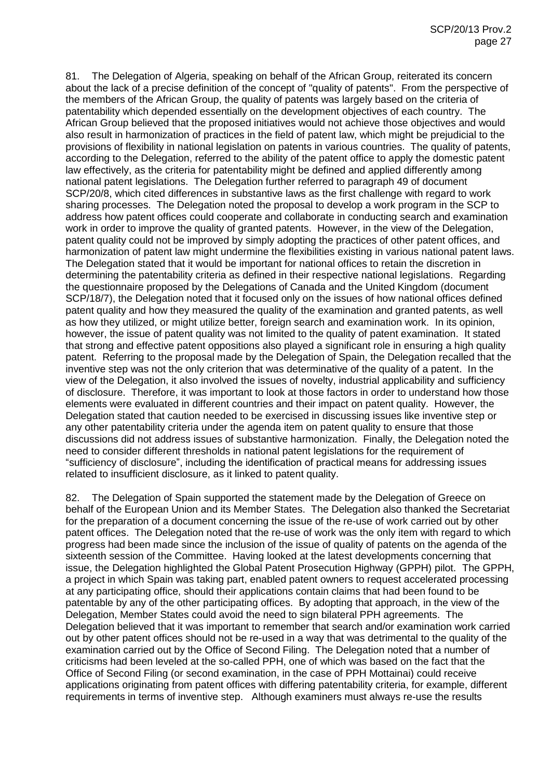81. The Delegation of Algeria, speaking on behalf of the African Group, reiterated its concern about the lack of a precise definition of the concept of "quality of patents". From the perspective of the members of the African Group, the quality of patents was largely based on the criteria of patentability which depended essentially on the development objectives of each country. The African Group believed that the proposed initiatives would not achieve those objectives and would also result in harmonization of practices in the field of patent law, which might be prejudicial to the provisions of flexibility in national legislation on patents in various countries. The quality of patents, according to the Delegation, referred to the ability of the patent office to apply the domestic patent law effectively, as the criteria for patentability might be defined and applied differently among national patent legislations. The Delegation further referred to paragraph 49 of document SCP/20/8, which cited differences in substantive laws as the first challenge with regard to work sharing processes. The Delegation noted the proposal to develop a work program in the SCP to address how patent offices could cooperate and collaborate in conducting search and examination work in order to improve the quality of granted patents. However, in the view of the Delegation, patent quality could not be improved by simply adopting the practices of other patent offices, and harmonization of patent law might undermine the flexibilities existing in various national patent laws. The Delegation stated that it would be important for national offices to retain the discretion in determining the patentability criteria as defined in their respective national legislations. Regarding the questionnaire proposed by the Delegations of Canada and the United Kingdom (document SCP/18/7), the Delegation noted that it focused only on the issues of how national offices defined patent quality and how they measured the quality of the examination and granted patents, as well as how they utilized, or might utilize better, foreign search and examination work. In its opinion, however, the issue of patent quality was not limited to the quality of patent examination. It stated that strong and effective patent oppositions also played a significant role in ensuring a high quality patent. Referring to the proposal made by the Delegation of Spain, the Delegation recalled that the inventive step was not the only criterion that was determinative of the quality of a patent. In the view of the Delegation, it also involved the issues of novelty, industrial applicability and sufficiency of disclosure. Therefore, it was important to look at those factors in order to understand how those elements were evaluated in different countries and their impact on patent quality. However, the Delegation stated that caution needed to be exercised in discussing issues like inventive step or any other patentability criteria under the agenda item on patent quality to ensure that those discussions did not address issues of substantive harmonization. Finally, the Delegation noted the need to consider different thresholds in national patent legislations for the requirement of "sufficiency of disclosure", including the identification of practical means for addressing issues related to insufficient disclosure, as it linked to patent quality.

82. The Delegation of Spain supported the statement made by the Delegation of Greece on behalf of the European Union and its Member States. The Delegation also thanked the Secretariat for the preparation of a document concerning the issue of the re-use of work carried out by other patent offices. The Delegation noted that the re-use of work was the only item with regard to which progress had been made since the inclusion of the issue of quality of patents on the agenda of the sixteenth session of the Committee. Having looked at the latest developments concerning that issue, the Delegation highlighted the Global Patent Prosecution Highway (GPPH) pilot. The GPPH, a project in which Spain was taking part, enabled patent owners to request accelerated processing at any participating office, should their applications contain claims that had been found to be patentable by any of the other participating offices. By adopting that approach, in the view of the Delegation, Member States could avoid the need to sign bilateral PPH agreements. The Delegation believed that it was important to remember that search and/or examination work carried out by other patent offices should not be re-used in a way that was detrimental to the quality of the examination carried out by the Office of Second Filing. The Delegation noted that a number of criticisms had been leveled at the so-called PPH, one of which was based on the fact that the Office of Second Filing (or second examination, in the case of PPH Mottainai) could receive applications originating from patent offices with differing patentability criteria, for example, different requirements in terms of inventive step. Although examiners must always re-use the results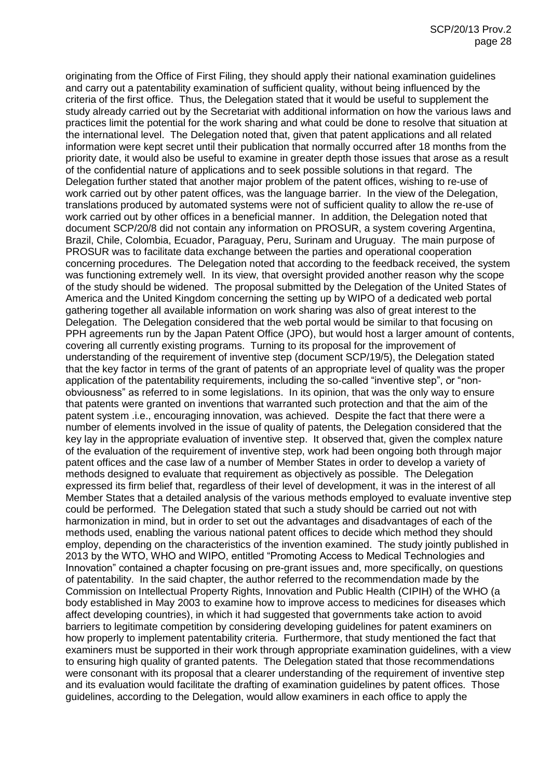originating from the Office of First Filing, they should apply their national examination guidelines and carry out a patentability examination of sufficient quality, without being influenced by the criteria of the first office. Thus, the Delegation stated that it would be useful to supplement the study already carried out by the Secretariat with additional information on how the various laws and practices limit the potential for the work sharing and what could be done to resolve that situation at the international level. The Delegation noted that, given that patent applications and all related information were kept secret until their publication that normally occurred after 18 months from the priority date, it would also be useful to examine in greater depth those issues that arose as a result of the confidential nature of applications and to seek possible solutions in that regard. The Delegation further stated that another major problem of the patent offices, wishing to re-use of work carried out by other patent offices, was the language barrier. In the view of the Delegation, translations produced by automated systems were not of sufficient quality to allow the re-use of work carried out by other offices in a beneficial manner. In addition, the Delegation noted that document SCP/20/8 did not contain any information on PROSUR, a system covering Argentina, Brazil, Chile, Colombia, Ecuador, Paraguay, Peru, Surinam and Uruguay. The main purpose of PROSUR was to facilitate data exchange between the parties and operational cooperation concerning procedures. The Delegation noted that according to the feedback received, the system was functioning extremely well. In its view, that oversight provided another reason why the scope of the study should be widened. The proposal submitted by the Delegation of the United States of America and the United Kingdom concerning the setting up by WIPO of a dedicated web portal gathering together all available information on work sharing was also of great interest to the Delegation. The Delegation considered that the web portal would be similar to that focusing on PPH agreements run by the Japan Patent Office (JPO), but would host a larger amount of contents, covering all currently existing programs. Turning to its proposal for the improvement of understanding of the requirement of inventive step (document SCP/19/5), the Delegation stated that the key factor in terms of the grant of patents of an appropriate level of quality was the proper application of the patentability requirements, including the so-called "inventive step", or "nonobviousness" as referred to in some legislations. In its opinion, that was the only way to ensure that patents were granted on inventions that warranted such protection and that the aim of the patent system .i.e., encouraging innovation, was achieved. Despite the fact that there were a number of elements involved in the issue of quality of patents, the Delegation considered that the key lay in the appropriate evaluation of inventive step. It observed that, given the complex nature of the evaluation of the requirement of inventive step, work had been ongoing both through major patent offices and the case law of a number of Member States in order to develop a variety of methods designed to evaluate that requirement as objectively as possible. The Delegation expressed its firm belief that, regardless of their level of development, it was in the interest of all Member States that a detailed analysis of the various methods employed to evaluate inventive step could be performed. The Delegation stated that such a study should be carried out not with harmonization in mind, but in order to set out the advantages and disadvantages of each of the methods used, enabling the various national patent offices to decide which method they should employ, depending on the characteristics of the invention examined. The study jointly published in 2013 by the WTO, WHO and WIPO, entitled "Promoting Access to Medical Technologies and Innovation" contained a chapter focusing on pre-grant issues and, more specifically, on questions of patentability. In the said chapter, the author referred to the recommendation made by the Commission on Intellectual Property Rights, Innovation and Public Health (CIPIH) of the WHO (a body established in May 2003 to examine how to improve access to medicines for diseases which affect developing countries), in which it had suggested that governments take action to avoid barriers to legitimate competition by considering developing guidelines for patent examiners on how properly to implement patentability criteria. Furthermore, that study mentioned the fact that examiners must be supported in their work through appropriate examination guidelines, with a view to ensuring high quality of granted patents. The Delegation stated that those recommendations were consonant with its proposal that a clearer understanding of the requirement of inventive step and its evaluation would facilitate the drafting of examination guidelines by patent offices. Those guidelines, according to the Delegation, would allow examiners in each office to apply the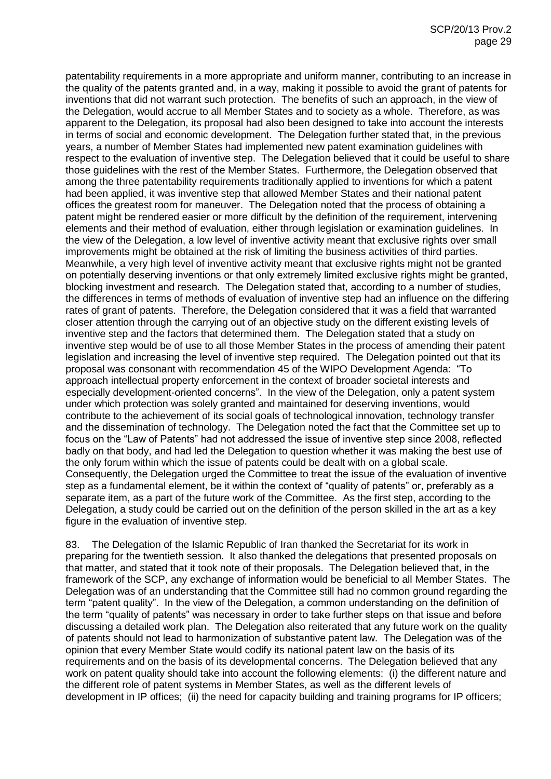patentability requirements in a more appropriate and uniform manner, contributing to an increase in the quality of the patents granted and, in a way, making it possible to avoid the grant of patents for inventions that did not warrant such protection. The benefits of such an approach, in the view of the Delegation, would accrue to all Member States and to society as a whole. Therefore, as was apparent to the Delegation, its proposal had also been designed to take into account the interests in terms of social and economic development. The Delegation further stated that, in the previous years, a number of Member States had implemented new patent examination guidelines with respect to the evaluation of inventive step. The Delegation believed that it could be useful to share those guidelines with the rest of the Member States. Furthermore, the Delegation observed that among the three patentability requirements traditionally applied to inventions for which a patent had been applied, it was inventive step that allowed Member States and their national patent offices the greatest room for maneuver. The Delegation noted that the process of obtaining a patent might be rendered easier or more difficult by the definition of the requirement, intervening elements and their method of evaluation, either through legislation or examination guidelines. In the view of the Delegation, a low level of inventive activity meant that exclusive rights over small improvements might be obtained at the risk of limiting the business activities of third parties. Meanwhile, a very high level of inventive activity meant that exclusive rights might not be granted on potentially deserving inventions or that only extremely limited exclusive rights might be granted, blocking investment and research. The Delegation stated that, according to a number of studies, the differences in terms of methods of evaluation of inventive step had an influence on the differing rates of grant of patents. Therefore, the Delegation considered that it was a field that warranted closer attention through the carrying out of an objective study on the different existing levels of inventive step and the factors that determined them. The Delegation stated that a study on inventive step would be of use to all those Member States in the process of amending their patent legislation and increasing the level of inventive step required. The Delegation pointed out that its proposal was consonant with recommendation 45 of the WIPO Development Agenda: "To approach intellectual property enforcement in the context of broader societal interests and especially development-oriented concerns". In the view of the Delegation, only a patent system under which protection was solely granted and maintained for deserving inventions, would contribute to the achievement of its social goals of technological innovation, technology transfer and the dissemination of technology. The Delegation noted the fact that the Committee set up to focus on the "Law of Patents" had not addressed the issue of inventive step since 2008, reflected badly on that body, and had led the Delegation to question whether it was making the best use of the only forum within which the issue of patents could be dealt with on a global scale. Consequently, the Delegation urged the Committee to treat the issue of the evaluation of inventive step as a fundamental element, be it within the context of "quality of patents" or, preferably as a separate item, as a part of the future work of the Committee. As the first step, according to the Delegation, a study could be carried out on the definition of the person skilled in the art as a key figure in the evaluation of inventive step.

83. The Delegation of the Islamic Republic of Iran thanked the Secretariat for its work in preparing for the twentieth session. It also thanked the delegations that presented proposals on that matter, and stated that it took note of their proposals. The Delegation believed that, in the framework of the SCP, any exchange of information would be beneficial to all Member States. The Delegation was of an understanding that the Committee still had no common ground regarding the term "patent quality". In the view of the Delegation, a common understanding on the definition of the term "quality of patents" was necessary in order to take further steps on that issue and before discussing a detailed work plan. The Delegation also reiterated that any future work on the quality of patents should not lead to harmonization of substantive patent law. The Delegation was of the opinion that every Member State would codify its national patent law on the basis of its requirements and on the basis of its developmental concerns. The Delegation believed that any work on patent quality should take into account the following elements: (i) the different nature and the different role of patent systems in Member States, as well as the different levels of development in IP offices; (ii) the need for capacity building and training programs for IP officers;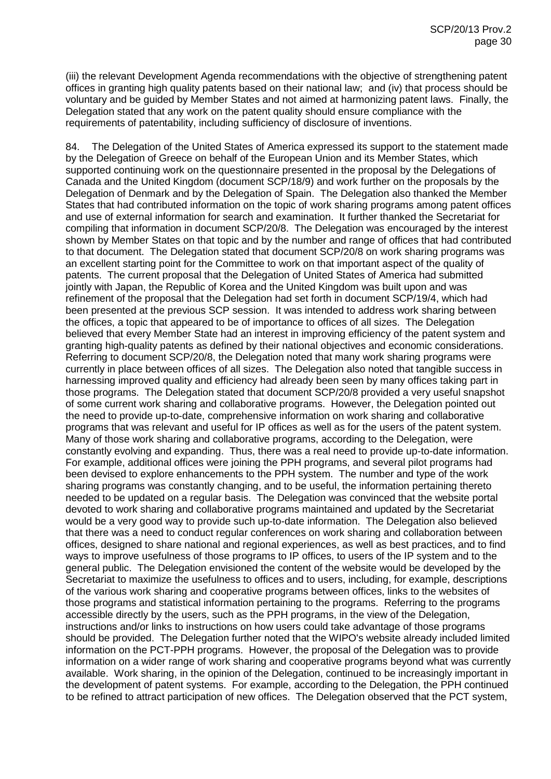(iii) the relevant Development Agenda recommendations with the objective of strengthening patent offices in granting high quality patents based on their national law; and (iv) that process should be voluntary and be guided by Member States and not aimed at harmonizing patent laws. Finally, the Delegation stated that any work on the patent quality should ensure compliance with the requirements of patentability, including sufficiency of disclosure of inventions.

84. The Delegation of the United States of America expressed its support to the statement made by the Delegation of Greece on behalf of the European Union and its Member States, which supported continuing work on the questionnaire presented in the proposal by the Delegations of Canada and the United Kingdom (document SCP/18/9) and work further on the proposals by the Delegation of Denmark and by the Delegation of Spain. The Delegation also thanked the Member States that had contributed information on the topic of work sharing programs among patent offices and use of external information for search and examination. It further thanked the Secretariat for compiling that information in document SCP/20/8. The Delegation was encouraged by the interest shown by Member States on that topic and by the number and range of offices that had contributed to that document. The Delegation stated that document SCP/20/8 on work sharing programs was an excellent starting point for the Committee to work on that important aspect of the quality of patents. The current proposal that the Delegation of United States of America had submitted jointly with Japan, the Republic of Korea and the United Kingdom was built upon and was refinement of the proposal that the Delegation had set forth in document SCP/19/4, which had been presented at the previous SCP session. It was intended to address work sharing between the offices, a topic that appeared to be of importance to offices of all sizes. The Delegation believed that every Member State had an interest in improving efficiency of the patent system and granting high-quality patents as defined by their national objectives and economic considerations. Referring to document SCP/20/8, the Delegation noted that many work sharing programs were currently in place between offices of all sizes. The Delegation also noted that tangible success in harnessing improved quality and efficiency had already been seen by many offices taking part in those programs. The Delegation stated that document SCP/20/8 provided a very useful snapshot of some current work sharing and collaborative programs. However, the Delegation pointed out the need to provide up-to-date, comprehensive information on work sharing and collaborative programs that was relevant and useful for IP offices as well as for the users of the patent system. Many of those work sharing and collaborative programs, according to the Delegation, were constantly evolving and expanding. Thus, there was a real need to provide up-to-date information. For example, additional offices were joining the PPH programs, and several pilot programs had been devised to explore enhancements to the PPH system. The number and type of the work sharing programs was constantly changing, and to be useful, the information pertaining thereto needed to be updated on a regular basis. The Delegation was convinced that the website portal devoted to work sharing and collaborative programs maintained and updated by the Secretariat would be a very good way to provide such up-to-date information. The Delegation also believed that there was a need to conduct regular conferences on work sharing and collaboration between offices, designed to share national and regional experiences, as well as best practices, and to find ways to improve usefulness of those programs to IP offices, to users of the IP system and to the general public. The Delegation envisioned the content of the website would be developed by the Secretariat to maximize the usefulness to offices and to users, including, for example, descriptions of the various work sharing and cooperative programs between offices, links to the websites of those programs and statistical information pertaining to the programs. Referring to the programs accessible directly by the users, such as the PPH programs, in the view of the Delegation, instructions and/or links to instructions on how users could take advantage of those programs should be provided. The Delegation further noted that the WIPO's website already included limited information on the PCT-PPH programs. However, the proposal of the Delegation was to provide information on a wider range of work sharing and cooperative programs beyond what was currently available. Work sharing, in the opinion of the Delegation, continued to be increasingly important in the development of patent systems. For example, according to the Delegation, the PPH continued to be refined to attract participation of new offices. The Delegation observed that the PCT system,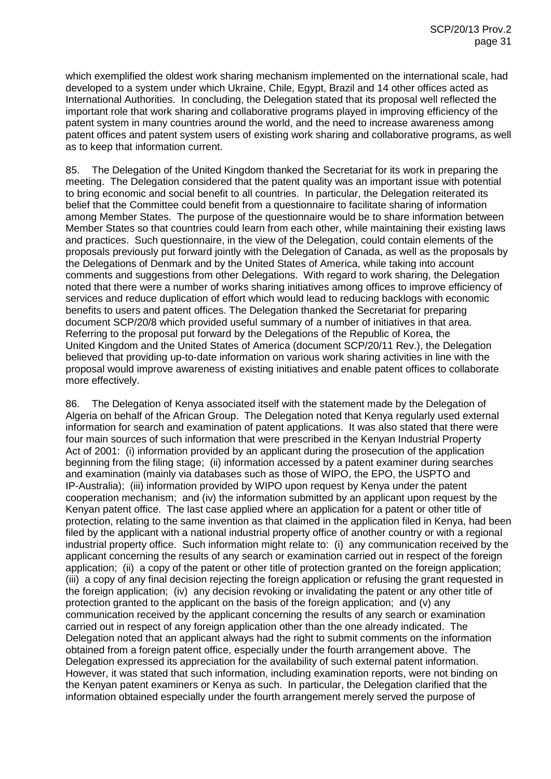which exemplified the oldest work sharing mechanism implemented on the international scale, had developed to a system under which Ukraine, Chile, Egypt, Brazil and 14 other offices acted as International Authorities. In concluding, the Delegation stated that its proposal well reflected the important role that work sharing and collaborative programs played in improving efficiency of the patent system in many countries around the world, and the need to increase awareness among patent offices and patent system users of existing work sharing and collaborative programs, as well as to keep that information current.

85. The Delegation of the United Kingdom thanked the Secretariat for its work in preparing the meeting. The Delegation considered that the patent quality was an important issue with potential to bring economic and social benefit to all countries. In particular, the Delegation reiterated its belief that the Committee could benefit from a questionnaire to facilitate sharing of information among Member States. The purpose of the questionnaire would be to share information between Member States so that countries could learn from each other, while maintaining their existing laws and practices. Such questionnaire, in the view of the Delegation, could contain elements of the proposals previously put forward jointly with the Delegation of Canada, as well as the proposals by the Delegations of Denmark and by the United States of America, while taking into account comments and suggestions from other Delegations. With regard to work sharing, the Delegation noted that there were a number of works sharing initiatives among offices to improve efficiency of services and reduce duplication of effort which would lead to reducing backlogs with economic benefits to users and patent offices. The Delegation thanked the Secretariat for preparing document SCP/20/8 which provided useful summary of a number of initiatives in that area. Referring to the proposal put forward by the Delegations of the Republic of Korea, the United Kingdom and the United States of America (document SCP/20/11 Rev.), the Delegation believed that providing up-to-date information on various work sharing activities in line with the proposal would improve awareness of existing initiatives and enable patent offices to collaborate more effectively.

86. The Delegation of Kenya associated itself with the statement made by the Delegation of Algeria on behalf of the African Group. The Delegation noted that Kenya regularly used external information for search and examination of patent applications. It was also stated that there were four main sources of such information that were prescribed in the Kenyan Industrial Property Act of 2001: (i) information provided by an applicant during the prosecution of the application beginning from the filing stage; (ii) information accessed by a patent examiner during searches and examination (mainly via databases such as those of WIPO, the EPO, the USPTO and IP-Australia); (iii) information provided by WIPO upon request by Kenya under the patent cooperation mechanism; and (iv) the information submitted by an applicant upon request by the Kenyan patent office. The last case applied where an application for a patent or other title of protection, relating to the same invention as that claimed in the application filed in Kenya, had been filed by the applicant with a national industrial property office of another country or with a regional industrial property office. Such information might relate to: (i) any communication received by the applicant concerning the results of any search or examination carried out in respect of the foreign application; (ii) a copy of the patent or other title of protection granted on the foreign application; (iii) a copy of any final decision rejecting the foreign application or refusing the grant requested in the foreign application; (iv) any decision revoking or invalidating the patent or any other title of protection granted to the applicant on the basis of the foreign application; and (v) any communication received by the applicant concerning the results of any search or examination carried out in respect of any foreign application other than the one already indicated. The Delegation noted that an applicant always had the right to submit comments on the information obtained from a foreign patent office, especially under the fourth arrangement above. The Delegation expressed its appreciation for the availability of such external patent information. However, it was stated that such information, including examination reports, were not binding on the Kenyan patent examiners or Kenya as such. In particular, the Delegation clarified that the information obtained especially under the fourth arrangement merely served the purpose of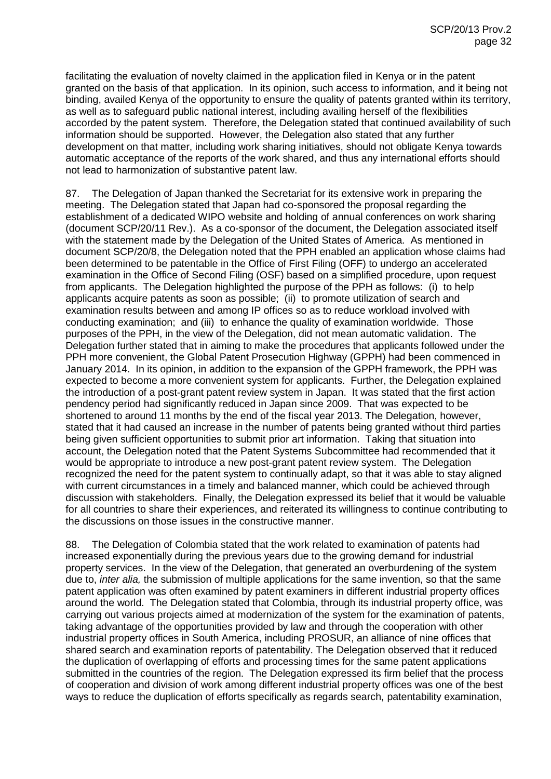facilitating the evaluation of novelty claimed in the application filed in Kenya or in the patent granted on the basis of that application. In its opinion, such access to information, and it being not binding, availed Kenya of the opportunity to ensure the quality of patents granted within its territory, as well as to safeguard public national interest, including availing herself of the flexibilities accorded by the patent system. Therefore, the Delegation stated that continued availability of such information should be supported. However, the Delegation also stated that any further development on that matter, including work sharing initiatives, should not obligate Kenya towards automatic acceptance of the reports of the work shared, and thus any international efforts should not lead to harmonization of substantive patent law.

87. The Delegation of Japan thanked the Secretariat for its extensive work in preparing the meeting. The Delegation stated that Japan had co-sponsored the proposal regarding the establishment of a dedicated WIPO website and holding of annual conferences on work sharing (document SCP/20/11 Rev.). As a co-sponsor of the document, the Delegation associated itself with the statement made by the Delegation of the United States of America. As mentioned in document SCP/20/8, the Delegation noted that the PPH enabled an application whose claims had been determined to be patentable in the Office of First Filing (OFF) to undergo an accelerated examination in the Office of Second Filing (OSF) based on a simplified procedure, upon request from applicants. The Delegation highlighted the purpose of the PPH as follows: (i) to help applicants acquire patents as soon as possible; (ii) to promote utilization of search and examination results between and among IP offices so as to reduce workload involved with conducting examination; and (iii) to enhance the quality of examination worldwide. Those purposes of the PPH, in the view of the Delegation, did not mean automatic validation. The Delegation further stated that in aiming to make the procedures that applicants followed under the PPH more convenient, the Global Patent Prosecution Highway (GPPH) had been commenced in January 2014. In its opinion, in addition to the expansion of the GPPH framework, the PPH was expected to become a more convenient system for applicants. Further, the Delegation explained the introduction of a post-grant patent review system in Japan. It was stated that the first action pendency period had significantly reduced in Japan since 2009. That was expected to be shortened to around 11 months by the end of the fiscal year 2013. The Delegation, however, stated that it had caused an increase in the number of patents being granted without third parties being given sufficient opportunities to submit prior art information. Taking that situation into account, the Delegation noted that the Patent Systems Subcommittee had recommended that it would be appropriate to introduce a new post-grant patent review system. The Delegation recognized the need for the patent system to continually adapt, so that it was able to stay aligned with current circumstances in a timely and balanced manner, which could be achieved through discussion with stakeholders. Finally, the Delegation expressed its belief that it would be valuable for all countries to share their experiences, and reiterated its willingness to continue contributing to the discussions on those issues in the constructive manner.

88. The Delegation of Colombia stated that the work related to examination of patents had increased exponentially during the previous years due to the growing demand for industrial property services. In the view of the Delegation, that generated an overburdening of the system due to, *inter alia,* the submission of multiple applications for the same invention, so that the same patent application was often examined by patent examiners in different industrial property offices around the world. The Delegation stated that Colombia, through its industrial property office, was carrying out various projects aimed at modernization of the system for the examination of patents, taking advantage of the opportunities provided by law and through the cooperation with other industrial property offices in South America, including PROSUR, an alliance of nine offices that shared search and examination reports of patentability. The Delegation observed that it reduced the duplication of overlapping of efforts and processing times for the same patent applications submitted in the countries of the region. The Delegation expressed its firm belief that the process of cooperation and division of work among different industrial property offices was one of the best ways to reduce the duplication of efforts specifically as regards search, patentability examination,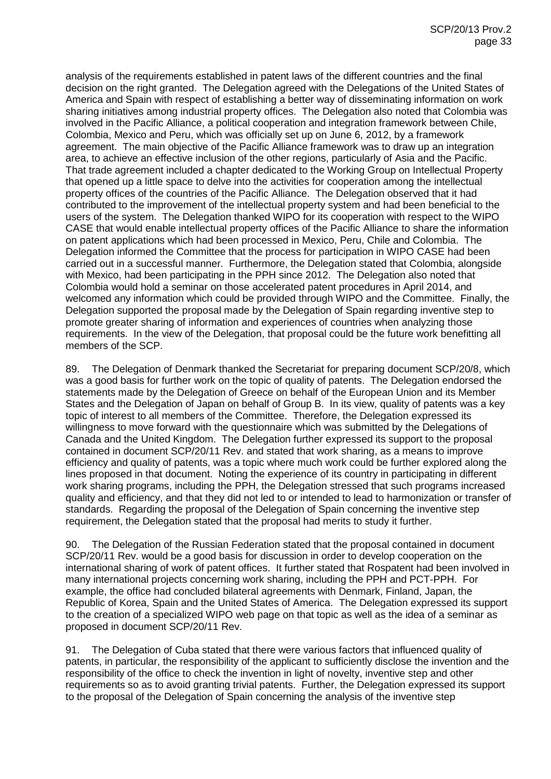analysis of the requirements established in patent laws of the different countries and the final decision on the right granted. The Delegation agreed with the Delegations of the United States of America and Spain with respect of establishing a better way of disseminating information on work sharing initiatives among industrial property offices. The Delegation also noted that Colombia was involved in the Pacific Alliance, a political cooperation and integration framework between Chile, Colombia, Mexico and Peru, which was officially set up on June 6, 2012, by a framework agreement. The main objective of the Pacific Alliance framework was to draw up an integration area, to achieve an effective inclusion of the other regions, particularly of Asia and the Pacific. That trade agreement included a chapter dedicated to the Working Group on Intellectual Property that opened up a little space to delve into the activities for cooperation among the intellectual property offices of the countries of the Pacific Alliance. The Delegation observed that it had contributed to the improvement of the intellectual property system and had been beneficial to the users of the system. The Delegation thanked WIPO for its cooperation with respect to the WIPO CASE that would enable intellectual property offices of the Pacific Alliance to share the information on patent applications which had been processed in Mexico, Peru, Chile and Colombia. The Delegation informed the Committee that the process for participation in WIPO CASE had been carried out in a successful manner. Furthermore, the Delegation stated that Colombia, alongside with Mexico, had been participating in the PPH since 2012. The Delegation also noted that Colombia would hold a seminar on those accelerated patent procedures in April 2014, and welcomed any information which could be provided through WIPO and the Committee. Finally, the Delegation supported the proposal made by the Delegation of Spain regarding inventive step to promote greater sharing of information and experiences of countries when analyzing those requirements. In the view of the Delegation, that proposal could be the future work benefitting all members of the SCP.

89. The Delegation of Denmark thanked the Secretariat for preparing document SCP/20/8, which was a good basis for further work on the topic of quality of patents. The Delegation endorsed the statements made by the Delegation of Greece on behalf of the European Union and its Member States and the Delegation of Japan on behalf of Group B. In its view, quality of patents was a key topic of interest to all members of the Committee. Therefore, the Delegation expressed its willingness to move forward with the questionnaire which was submitted by the Delegations of Canada and the United Kingdom. The Delegation further expressed its support to the proposal contained in document SCP/20/11 Rev. and stated that work sharing, as a means to improve efficiency and quality of patents, was a topic where much work could be further explored along the lines proposed in that document. Noting the experience of its country in participating in different work sharing programs, including the PPH, the Delegation stressed that such programs increased quality and efficiency, and that they did not led to or intended to lead to harmonization or transfer of standards. Regarding the proposal of the Delegation of Spain concerning the inventive step requirement, the Delegation stated that the proposal had merits to study it further.

90. The Delegation of the Russian Federation stated that the proposal contained in document SCP/20/11 Rev. would be a good basis for discussion in order to develop cooperation on the international sharing of work of patent offices. It further stated that Rospatent had been involved in many international projects concerning work sharing, including the PPH and PCT-PPH. For example, the office had concluded bilateral agreements with Denmark, Finland, Japan, the Republic of Korea, Spain and the United States of America. The Delegation expressed its support to the creation of a specialized WIPO web page on that topic as well as the idea of a seminar as proposed in document SCP/20/11 Rev.

91. The Delegation of Cuba stated that there were various factors that influenced quality of patents, in particular, the responsibility of the applicant to sufficiently disclose the invention and the responsibility of the office to check the invention in light of novelty, inventive step and other requirements so as to avoid granting trivial patents. Further, the Delegation expressed its support to the proposal of the Delegation of Spain concerning the analysis of the inventive step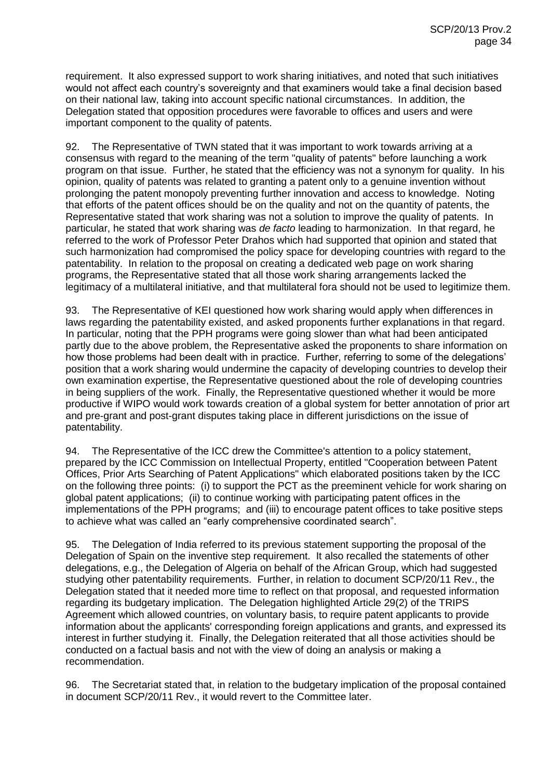requirement. It also expressed support to work sharing initiatives, and noted that such initiatives would not affect each country's sovereignty and that examiners would take a final decision based on their national law, taking into account specific national circumstances. In addition, the Delegation stated that opposition procedures were favorable to offices and users and were important component to the quality of patents.

92. The Representative of TWN stated that it was important to work towards arriving at a consensus with regard to the meaning of the term "quality of patents" before launching a work program on that issue. Further, he stated that the efficiency was not a synonym for quality. In his opinion, quality of patents was related to granting a patent only to a genuine invention without prolonging the patent monopoly preventing further innovation and access to knowledge. Noting that efforts of the patent offices should be on the quality and not on the quantity of patents, the Representative stated that work sharing was not a solution to improve the quality of patents. In particular, he stated that work sharing was *de facto* leading to harmonization. In that regard, he referred to the work of Professor Peter Drahos which had supported that opinion and stated that such harmonization had compromised the policy space for developing countries with regard to the patentability. In relation to the proposal on creating a dedicated web page on work sharing programs, the Representative stated that all those work sharing arrangements lacked the legitimacy of a multilateral initiative, and that multilateral fora should not be used to legitimize them.

93. The Representative of KEI questioned how work sharing would apply when differences in laws regarding the patentability existed, and asked proponents further explanations in that regard. In particular, noting that the PPH programs were going slower than what had been anticipated partly due to the above problem, the Representative asked the proponents to share information on how those problems had been dealt with in practice. Further, referring to some of the delegations' position that a work sharing would undermine the capacity of developing countries to develop their own examination expertise, the Representative questioned about the role of developing countries in being suppliers of the work. Finally, the Representative questioned whether it would be more productive if WIPO would work towards creation of a global system for better annotation of prior art and pre-grant and post-grant disputes taking place in different jurisdictions on the issue of patentability.

94. The Representative of the ICC drew the Committee's attention to a policy statement, prepared by the ICC Commission on Intellectual Property, entitled "Cooperation between Patent Offices, Prior Arts Searching of Patent Applications" which elaborated positions taken by the ICC on the following three points: (i) to support the PCT as the preeminent vehicle for work sharing on global patent applications; (ii) to continue working with participating patent offices in the implementations of the PPH programs; and (iii) to encourage patent offices to take positive steps to achieve what was called an "early comprehensive coordinated search".

95. The Delegation of India referred to its previous statement supporting the proposal of the Delegation of Spain on the inventive step requirement. It also recalled the statements of other delegations, e.g., the Delegation of Algeria on behalf of the African Group, which had suggested studying other patentability requirements. Further, in relation to document SCP/20/11 Rev., the Delegation stated that it needed more time to reflect on that proposal, and requested information regarding its budgetary implication. The Delegation highlighted Article 29(2) of the TRIPS Agreement which allowed countries, on voluntary basis, to require patent applicants to provide information about the applicants' corresponding foreign applications and grants, and expressed its interest in further studying it. Finally, the Delegation reiterated that all those activities should be conducted on a factual basis and not with the view of doing an analysis or making a recommendation.

96. The Secretariat stated that, in relation to the budgetary implication of the proposal contained in document SCP/20/11 Rev., it would revert to the Committee later.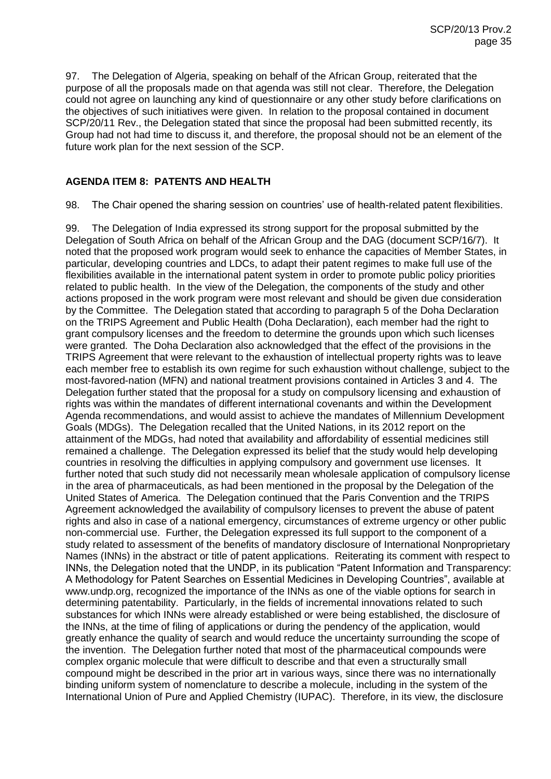97. The Delegation of Algeria, speaking on behalf of the African Group, reiterated that the purpose of all the proposals made on that agenda was still not clear. Therefore, the Delegation could not agree on launching any kind of questionnaire or any other study before clarifications on the objectives of such initiatives were given. In relation to the proposal contained in document SCP/20/11 Rev., the Delegation stated that since the proposal had been submitted recently, its Group had not had time to discuss it, and therefore, the proposal should not be an element of the future work plan for the next session of the SCP.

## **AGENDA ITEM 8: PATENTS AND HEALTH**

98. The Chair opened the sharing session on countries' use of health-related patent flexibilities.

99. The Delegation of India expressed its strong support for the proposal submitted by the Delegation of South Africa on behalf of the African Group and the DAG (document SCP/16/7). It noted that the proposed work program would seek to enhance the capacities of Member States, in particular, developing countries and LDCs, to adapt their patent regimes to make full use of the flexibilities available in the international patent system in order to promote public policy priorities related to public health. In the view of the Delegation, the components of the study and other actions proposed in the work program were most relevant and should be given due consideration by the Committee. The Delegation stated that according to paragraph 5 of the Doha Declaration on the TRIPS Agreement and Public Health (Doha Declaration), each member had the right to grant compulsory licenses and the freedom to determine the grounds upon which such licenses were granted. The Doha Declaration also acknowledged that the effect of the provisions in the TRIPS Agreement that were relevant to the exhaustion of intellectual property rights was to leave each member free to establish its own regime for such exhaustion without challenge, subject to the most-favored-nation (MFN) and national treatment provisions contained in Articles 3 and 4. The Delegation further stated that the proposal for a study on compulsory licensing and exhaustion of rights was within the mandates of different international covenants and within the Development Agenda recommendations, and would assist to achieve the mandates of Millennium Development Goals (MDGs). The Delegation recalled that the United Nations, in its 2012 report on the attainment of the MDGs, had noted that availability and affordability of essential medicines still remained a challenge. The Delegation expressed its belief that the study would help developing countries in resolving the difficulties in applying compulsory and government use licenses. It further noted that such study did not necessarily mean wholesale application of compulsory license in the area of pharmaceuticals, as had been mentioned in the proposal by the Delegation of the United States of America. The Delegation continued that the Paris Convention and the TRIPS Agreement acknowledged the availability of compulsory licenses to prevent the abuse of patent rights and also in case of a national emergency, circumstances of extreme urgency or other public non-commercial use. Further, the Delegation expressed its full support to the component of a study related to assessment of the benefits of mandatory disclosure of International Nonproprietary Names (INNs) in the abstract or title of patent applications. Reiterating its comment with respect to INNs, the Delegation noted that the UNDP, in its publication "Patent Information and Transparency: A Methodology for Patent Searches on Essential Medicines in Developing Countries", available at www.undp.org, recognized the importance of the INNs as one of the viable options for search in determining patentability. Particularly, in the fields of incremental innovations related to such substances for which INNs were already established or were being established, the disclosure of the INNs, at the time of filing of applications or during the pendency of the application, would greatly enhance the quality of search and would reduce the uncertainty surrounding the scope of the invention. The Delegation further noted that most of the pharmaceutical compounds were complex organic molecule that were difficult to describe and that even a structurally small compound might be described in the prior art in various ways, since there was no internationally binding uniform system of nomenclature to describe a molecule, including in the system of the International Union of Pure and Applied Chemistry (IUPAC). Therefore, in its view, the disclosure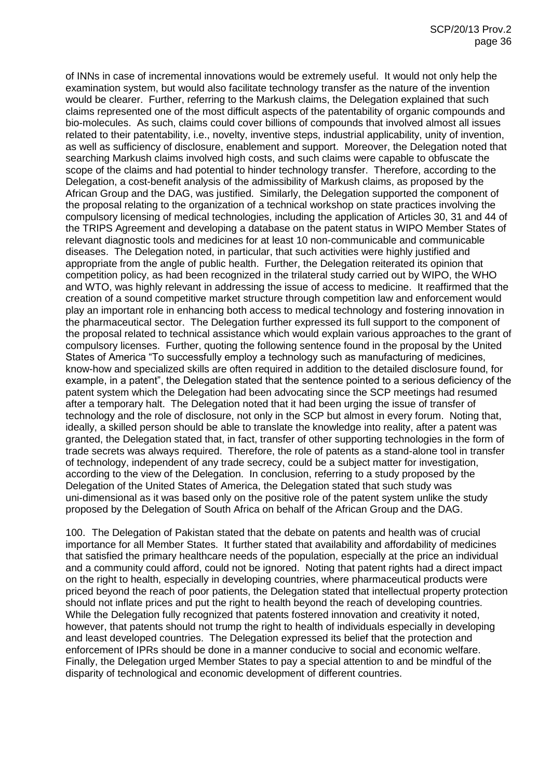of INNs in case of incremental innovations would be extremely useful. It would not only help the examination system, but would also facilitate technology transfer as the nature of the invention would be clearer. Further, referring to the Markush claims, the Delegation explained that such claims represented one of the most difficult aspects of the patentability of organic compounds and bio-molecules. As such, claims could cover billions of compounds that involved almost all issues related to their patentability, i.e., novelty, inventive steps, industrial applicability, unity of invention, as well as sufficiency of disclosure, enablement and support. Moreover, the Delegation noted that searching Markush claims involved high costs, and such claims were capable to obfuscate the scope of the claims and had potential to hinder technology transfer. Therefore, according to the Delegation, a cost-benefit analysis of the admissibility of Markush claims, as proposed by the African Group and the DAG, was justified. Similarly, the Delegation supported the component of the proposal relating to the organization of a technical workshop on state practices involving the compulsory licensing of medical technologies, including the application of Articles 30, 31 and 44 of the TRIPS Agreement and developing a database on the patent status in WIPO Member States of relevant diagnostic tools and medicines for at least 10 non-communicable and communicable diseases. The Delegation noted, in particular, that such activities were highly justified and appropriate from the angle of public health. Further, the Delegation reiterated its opinion that competition policy, as had been recognized in the trilateral study carried out by WIPO, the WHO and WTO, was highly relevant in addressing the issue of access to medicine. It reaffirmed that the creation of a sound competitive market structure through competition law and enforcement would play an important role in enhancing both access to medical technology and fostering innovation in the pharmaceutical sector. The Delegation further expressed its full support to the component of the proposal related to technical assistance which would explain various approaches to the grant of compulsory licenses. Further, quoting the following sentence found in the proposal by the United States of America "To successfully employ a technology such as manufacturing of medicines, know-how and specialized skills are often required in addition to the detailed disclosure found, for example, in a patent", the Delegation stated that the sentence pointed to a serious deficiency of the patent system which the Delegation had been advocating since the SCP meetings had resumed after a temporary halt. The Delegation noted that it had been urging the issue of transfer of technology and the role of disclosure, not only in the SCP but almost in every forum. Noting that, ideally, a skilled person should be able to translate the knowledge into reality, after a patent was granted, the Delegation stated that, in fact, transfer of other supporting technologies in the form of trade secrets was always required. Therefore, the role of patents as a stand-alone tool in transfer of technology, independent of any trade secrecy, could be a subject matter for investigation, according to the view of the Delegation. In conclusion, referring to a study proposed by the Delegation of the United States of America, the Delegation stated that such study was uni-dimensional as it was based only on the positive role of the patent system unlike the study proposed by the Delegation of South Africa on behalf of the African Group and the DAG.

100. The Delegation of Pakistan stated that the debate on patents and health was of crucial importance for all Member States. It further stated that availability and affordability of medicines that satisfied the primary healthcare needs of the population, especially at the price an individual and a community could afford, could not be ignored. Noting that patent rights had a direct impact on the right to health, especially in developing countries, where pharmaceutical products were priced beyond the reach of poor patients, the Delegation stated that intellectual property protection should not inflate prices and put the right to health beyond the reach of developing countries. While the Delegation fully recognized that patents fostered innovation and creativity it noted, however, that patents should not trump the right to health of individuals especially in developing and least developed countries. The Delegation expressed its belief that the protection and enforcement of IPRs should be done in a manner conducive to social and economic welfare. Finally, the Delegation urged Member States to pay a special attention to and be mindful of the disparity of technological and economic development of different countries.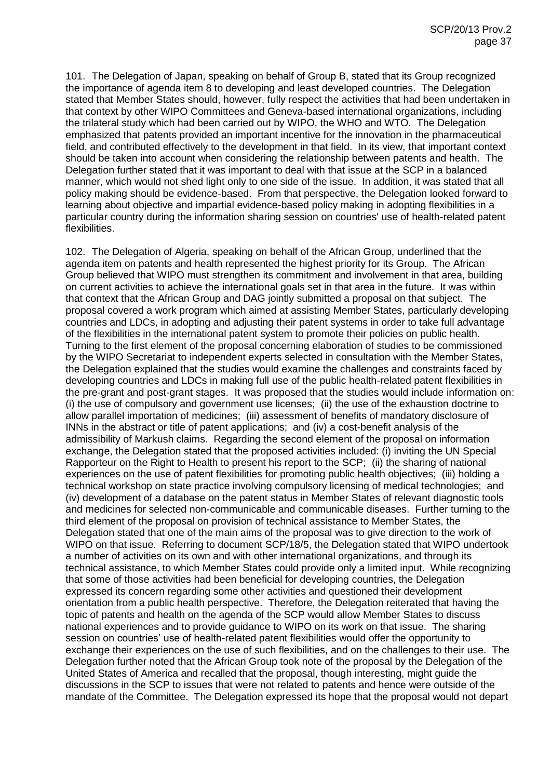101. The Delegation of Japan, speaking on behalf of Group B, stated that its Group recognized the importance of agenda item 8 to developing and least developed countries. The Delegation stated that Member States should, however, fully respect the activities that had been undertaken in that context by other WIPO Committees and Geneva-based international organizations, including the trilateral study which had been carried out by WIPO, the WHO and WTO. The Delegation emphasized that patents provided an important incentive for the innovation in the pharmaceutical field, and contributed effectively to the development in that field. In its view, that important context should be taken into account when considering the relationship between patents and health. The Delegation further stated that it was important to deal with that issue at the SCP in a balanced manner, which would not shed light only to one side of the issue. In addition, it was stated that all policy making should be evidence-based. From that perspective, the Delegation looked forward to learning about objective and impartial evidence-based policy making in adopting flexibilities in a particular country during the information sharing session on countries' use of health-related patent flexibilities.

102. The Delegation of Algeria, speaking on behalf of the African Group, underlined that the agenda item on patents and health represented the highest priority for its Group. The African Group believed that WIPO must strengthen its commitment and involvement in that area, building on current activities to achieve the international goals set in that area in the future. It was within that context that the African Group and DAG jointly submitted a proposal on that subject. The proposal covered a work program which aimed at assisting Member States, particularly developing countries and LDCs, in adopting and adjusting their patent systems in order to take full advantage of the flexibilities in the international patent system to promote their policies on public health. Turning to the first element of the proposal concerning elaboration of studies to be commissioned by the WIPO Secretariat to independent experts selected in consultation with the Member States, the Delegation explained that the studies would examine the challenges and constraints faced by developing countries and LDCs in making full use of the public health-related patent flexibilities in the pre-grant and post-grant stages. It was proposed that the studies would include information on: (i) the use of compulsory and government use licenses; (ii) the use of the exhaustion doctrine to allow parallel importation of medicines; (iii) assessment of benefits of mandatory disclosure of INNs in the abstract or title of patent applications; and (iv) a cost-benefit analysis of the admissibility of Markush claims. Regarding the second element of the proposal on information exchange, the Delegation stated that the proposed activities included: (i) inviting the UN Special Rapporteur on the Right to Health to present his report to the SCP; (ii) the sharing of national experiences on the use of patent flexibilities for promoting public health objectives; (iii) holding a technical workshop on state practice involving compulsory licensing of medical technologies; and (iv) development of a database on the patent status in Member States of relevant diagnostic tools and medicines for selected non-communicable and communicable diseases. Further turning to the third element of the proposal on provision of technical assistance to Member States, the Delegation stated that one of the main aims of the proposal was to give direction to the work of WIPO on that issue. Referring to document SCP/18/5, the Delegation stated that WIPO undertook a number of activities on its own and with other international organizations, and through its technical assistance, to which Member States could provide only a limited input. While recognizing that some of those activities had been beneficial for developing countries, the Delegation expressed its concern regarding some other activities and questioned their development orientation from a public health perspective. Therefore, the Delegation reiterated that having the topic of patents and health on the agenda of the SCP would allow Member States to discuss national experiences and to provide guidance to WIPO on its work on that issue. The sharing session on countries' use of health-related patent flexibilities would offer the opportunity to exchange their experiences on the use of such flexibilities, and on the challenges to their use. The Delegation further noted that the African Group took note of the proposal by the Delegation of the United States of America and recalled that the proposal, though interesting, might guide the discussions in the SCP to issues that were not related to patents and hence were outside of the mandate of the Committee. The Delegation expressed its hope that the proposal would not depart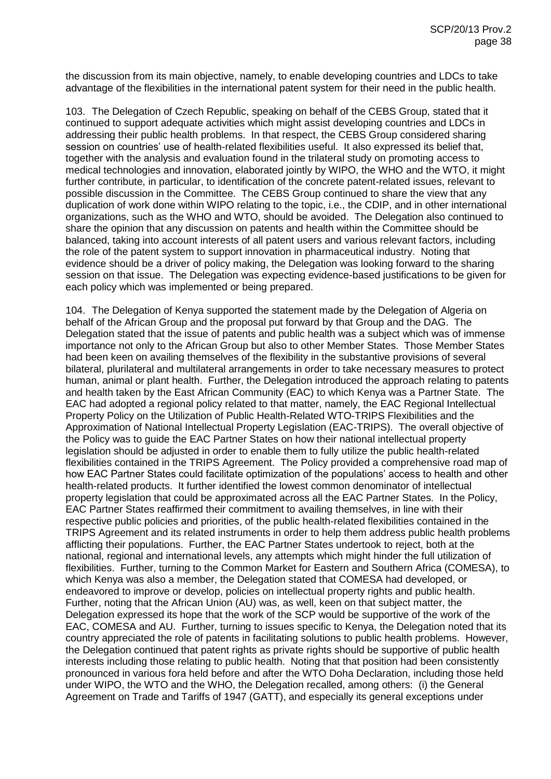the discussion from its main objective, namely, to enable developing countries and LDCs to take advantage of the flexibilities in the international patent system for their need in the public health.

103. The Delegation of Czech Republic, speaking on behalf of the CEBS Group, stated that it continued to support adequate activities which might assist developing countries and LDCs in addressing their public health problems. In that respect, the CEBS Group considered sharing session on countries' use of health-related flexibilities useful. It also expressed its belief that, together with the analysis and evaluation found in the trilateral study on promoting access to medical technologies and innovation, elaborated jointly by WIPO, the WHO and the WTO, it might further contribute, in particular, to identification of the concrete patent-related issues, relevant to possible discussion in the Committee. The CEBS Group continued to share the view that any duplication of work done within WIPO relating to the topic, i.e., the CDIP, and in other international organizations, such as the WHO and WTO, should be avoided. The Delegation also continued to share the opinion that any discussion on patents and health within the Committee should be balanced, taking into account interests of all patent users and various relevant factors, including the role of the patent system to support innovation in pharmaceutical industry. Noting that evidence should be a driver of policy making, the Delegation was looking forward to the sharing session on that issue. The Delegation was expecting evidence-based justifications to be given for each policy which was implemented or being prepared.

104. The Delegation of Kenya supported the statement made by the Delegation of Algeria on behalf of the African Group and the proposal put forward by that Group and the DAG. The Delegation stated that the issue of patents and public health was a subject which was of immense importance not only to the African Group but also to other Member States. Those Member States had been keen on availing themselves of the flexibility in the substantive provisions of several bilateral, plurilateral and multilateral arrangements in order to take necessary measures to protect human, animal or plant health. Further, the Delegation introduced the approach relating to patents and health taken by the East African Community (EAC) to which Kenya was a Partner State. The EAC had adopted a regional policy related to that matter, namely, the EAC Regional Intellectual Property Policy on the Utilization of Public Health-Related WTO-TRIPS Flexibilities and the Approximation of National Intellectual Property Legislation (EAC-TRIPS). The overall objective of the Policy was to guide the EAC Partner States on how their national intellectual property legislation should be adjusted in order to enable them to fully utilize the public health-related flexibilities contained in the TRIPS Agreement. The Policy provided a comprehensive road map of how EAC Partner States could facilitate optimization of the populations' access to health and other health-related products. It further identified the lowest common denominator of intellectual property legislation that could be approximated across all the EAC Partner States. In the Policy, EAC Partner States reaffirmed their commitment to availing themselves, in line with their respective public policies and priorities, of the public health-related flexibilities contained in the TRIPS Agreement and its related instruments in order to help them address public health problems afflicting their populations. Further, the EAC Partner States undertook to reject, both at the national, regional and international levels, any attempts which might hinder the full utilization of flexibilities. Further, turning to the Common Market for Eastern and Southern Africa (COMESA), to which Kenya was also a member, the Delegation stated that COMESA had developed, or endeavored to improve or develop, policies on intellectual property rights and public health. Further, noting that the African Union (AU) was, as well, keen on that subject matter, the Delegation expressed its hope that the work of the SCP would be supportive of the work of the EAC, COMESA and AU. Further, turning to issues specific to Kenya, the Delegation noted that its country appreciated the role of patents in facilitating solutions to public health problems. However, the Delegation continued that patent rights as private rights should be supportive of public health interests including those relating to public health. Noting that that position had been consistently pronounced in various fora held before and after the WTO Doha Declaration, including those held under WIPO, the WTO and the WHO, the Delegation recalled, among others: (i) the General Agreement on Trade and Tariffs of 1947 (GATT), and especially its general exceptions under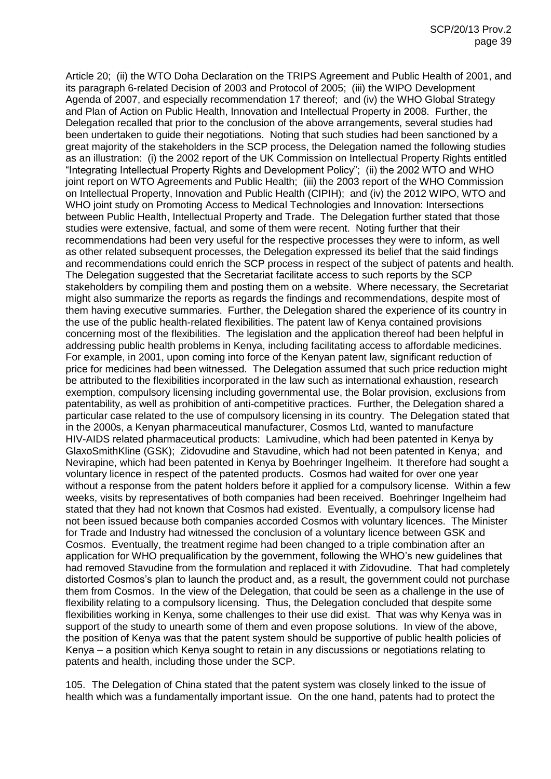Article 20; (ii) the WTO Doha Declaration on the TRIPS Agreement and Public Health of 2001, and its paragraph 6-related Decision of 2003 and Protocol of 2005; (iii) the WIPO Development Agenda of 2007, and especially recommendation 17 thereof; and (iv) the WHO Global Strategy and Plan of Action on Public Health, Innovation and Intellectual Property in 2008. Further, the Delegation recalled that prior to the conclusion of the above arrangements, several studies had been undertaken to guide their negotiations. Noting that such studies had been sanctioned by a great majority of the stakeholders in the SCP process, the Delegation named the following studies as an illustration: (i) the 2002 report of the UK Commission on Intellectual Property Rights entitled "Integrating Intellectual Property Rights and Development Policy"; (ii) the 2002 WTO and WHO joint report on WTO Agreements and Public Health; (iii) the 2003 report of the WHO Commission on Intellectual Property, Innovation and Public Health (CIPIH); and (iv) the 2012 WIPO, WTO and WHO joint study on Promoting Access to Medical Technologies and Innovation: Intersections between Public Health, Intellectual Property and Trade. The Delegation further stated that those studies were extensive, factual, and some of them were recent. Noting further that their recommendations had been very useful for the respective processes they were to inform, as well as other related subsequent processes, the Delegation expressed its belief that the said findings and recommendations could enrich the SCP process in respect of the subject of patents and health. The Delegation suggested that the Secretariat facilitate access to such reports by the SCP stakeholders by compiling them and posting them on a website. Where necessary, the Secretariat might also summarize the reports as regards the findings and recommendations, despite most of them having executive summaries. Further, the Delegation shared the experience of its country in the use of the public health-related flexibilities. The patent law of Kenya contained provisions concerning most of the flexibilities. The legislation and the application thereof had been helpful in addressing public health problems in Kenya, including facilitating access to affordable medicines. For example, in 2001, upon coming into force of the Kenyan patent law, significant reduction of price for medicines had been witnessed. The Delegation assumed that such price reduction might be attributed to the flexibilities incorporated in the law such as international exhaustion, research exemption, compulsory licensing including governmental use, the Bolar provision, exclusions from patentability, as well as prohibition of anti-competitive practices. Further, the Delegation shared a particular case related to the use of compulsory licensing in its country. The Delegation stated that in the 2000s, a Kenyan pharmaceutical manufacturer, Cosmos Ltd, wanted to manufacture HIV-AIDS related pharmaceutical products: Lamivudine, which had been patented in Kenya by GlaxoSmithKline (GSK); Zidovudine and Stavudine, which had not been patented in Kenya; and Nevirapine, which had been patented in Kenya by Boehringer Ingelheim. It therefore had sought a voluntary licence in respect of the patented products. Cosmos had waited for over one year without a response from the patent holders before it applied for a compulsory license. Within a few weeks, visits by representatives of both companies had been received. Boehringer Ingelheim had stated that they had not known that Cosmos had existed. Eventually, a compulsory license had not been issued because both companies accorded Cosmos with voluntary licences. The Minister for Trade and Industry had witnessed the conclusion of a voluntary licence between GSK and Cosmos. Eventually, the treatment regime had been changed to a triple combination after an application for WHO prequalification by the government, following the WHO's new guidelines that had removed Stavudine from the formulation and replaced it with Zidovudine. That had completely distorted Cosmos's plan to launch the product and, as a result, the government could not purchase them from Cosmos. In the view of the Delegation, that could be seen as a challenge in the use of flexibility relating to a compulsory licensing. Thus, the Delegation concluded that despite some flexibilities working in Kenya, some challenges to their use did exist. That was why Kenya was in support of the study to unearth some of them and even propose solutions. In view of the above, the position of Kenya was that the patent system should be supportive of public health policies of Kenya – a position which Kenya sought to retain in any discussions or negotiations relating to patents and health, including those under the SCP.

105. The Delegation of China stated that the patent system was closely linked to the issue of health which was a fundamentally important issue. On the one hand, patents had to protect the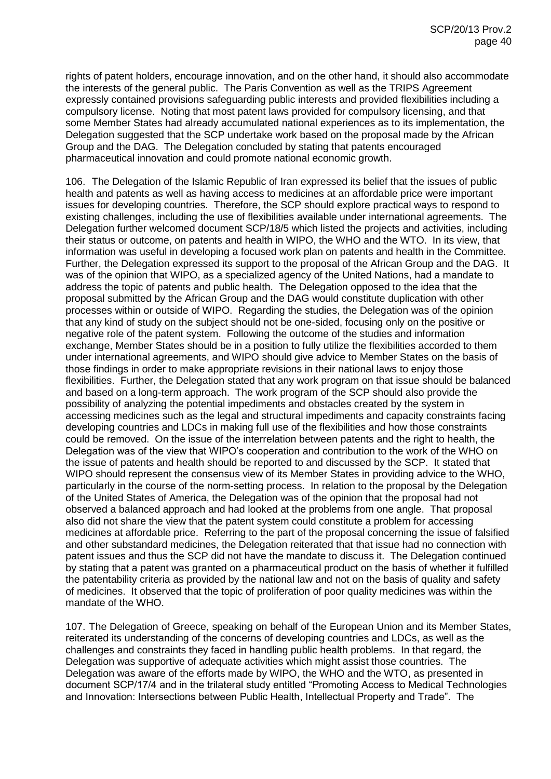rights of patent holders, encourage innovation, and on the other hand, it should also accommodate the interests of the general public. The Paris Convention as well as the TRIPS Agreement expressly contained provisions safeguarding public interests and provided flexibilities including a compulsory license. Noting that most patent laws provided for compulsory licensing, and that some Member States had already accumulated national experiences as to its implementation, the Delegation suggested that the SCP undertake work based on the proposal made by the African Group and the DAG. The Delegation concluded by stating that patents encouraged pharmaceutical innovation and could promote national economic growth.

106. The Delegation of the Islamic Republic of Iran expressed its belief that the issues of public health and patents as well as having access to medicines at an affordable price were important issues for developing countries. Therefore, the SCP should explore practical ways to respond to existing challenges, including the use of flexibilities available under international agreements. The Delegation further welcomed document SCP/18/5 which listed the projects and activities, including their status or outcome, on patents and health in WIPO, the WHO and the WTO. In its view, that information was useful in developing a focused work plan on patents and health in the Committee. Further, the Delegation expressed its support to the proposal of the African Group and the DAG. It was of the opinion that WIPO, as a specialized agency of the United Nations, had a mandate to address the topic of patents and public health. The Delegation opposed to the idea that the proposal submitted by the African Group and the DAG would constitute duplication with other processes within or outside of WIPO. Regarding the studies, the Delegation was of the opinion that any kind of study on the subject should not be one-sided, focusing only on the positive or negative role of the patent system. Following the outcome of the studies and information exchange, Member States should be in a position to fully utilize the flexibilities accorded to them under international agreements, and WIPO should give advice to Member States on the basis of those findings in order to make appropriate revisions in their national laws to enjoy those flexibilities. Further, the Delegation stated that any work program on that issue should be balanced and based on a long-term approach. The work program of the SCP should also provide the possibility of analyzing the potential impediments and obstacles created by the system in accessing medicines such as the legal and structural impediments and capacity constraints facing developing countries and LDCs in making full use of the flexibilities and how those constraints could be removed. On the issue of the interrelation between patents and the right to health, the Delegation was of the view that WIPO's cooperation and contribution to the work of the WHO on the issue of patents and health should be reported to and discussed by the SCP. It stated that WIPO should represent the consensus view of its Member States in providing advice to the WHO, particularly in the course of the norm-setting process. In relation to the proposal by the Delegation of the United States of America, the Delegation was of the opinion that the proposal had not observed a balanced approach and had looked at the problems from one angle. That proposal also did not share the view that the patent system could constitute a problem for accessing medicines at affordable price. Referring to the part of the proposal concerning the issue of falsified and other substandard medicines, the Delegation reiterated that that issue had no connection with patent issues and thus the SCP did not have the mandate to discuss it. The Delegation continued by stating that a patent was granted on a pharmaceutical product on the basis of whether it fulfilled the patentability criteria as provided by the national law and not on the basis of quality and safety of medicines. It observed that the topic of proliferation of poor quality medicines was within the mandate of the WHO.

107. The Delegation of Greece, speaking on behalf of the European Union and its Member States, reiterated its understanding of the concerns of developing countries and LDCs, as well as the challenges and constraints they faced in handling public health problems. In that regard, the Delegation was supportive of adequate activities which might assist those countries. The Delegation was aware of the efforts made by WIPO, the WHO and the WTO, as presented in document SCP/17/4 and in the trilateral study entitled "Promoting Access to Medical Technologies and Innovation: Intersections between Public Health, Intellectual Property and Trade". The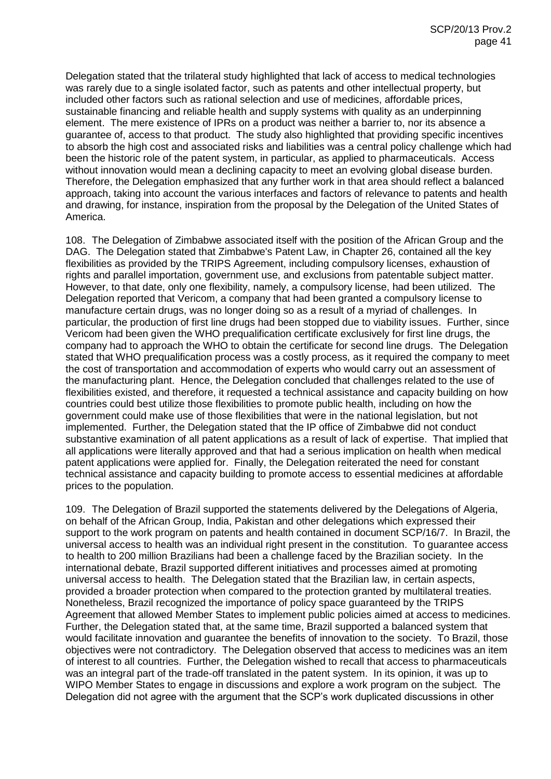Delegation stated that the trilateral study highlighted that lack of access to medical technologies was rarely due to a single isolated factor, such as patents and other intellectual property, but included other factors such as rational selection and use of medicines, affordable prices, sustainable financing and reliable health and supply systems with quality as an underpinning element. The mere existence of IPRs on a product was neither a barrier to, nor its absence a guarantee of, access to that product. The study also highlighted that providing specific incentives to absorb the high cost and associated risks and liabilities was a central policy challenge which had been the historic role of the patent system, in particular, as applied to pharmaceuticals. Access without innovation would mean a declining capacity to meet an evolving global disease burden. Therefore, the Delegation emphasized that any further work in that area should reflect a balanced approach, taking into account the various interfaces and factors of relevance to patents and health and drawing, for instance, inspiration from the proposal by the Delegation of the United States of America.

108. The Delegation of Zimbabwe associated itself with the position of the African Group and the DAG. The Delegation stated that Zimbabwe's Patent Law, in Chapter 26, contained all the key flexibilities as provided by the TRIPS Agreement, including compulsory licenses, exhaustion of rights and parallel importation, government use, and exclusions from patentable subject matter. However, to that date, only one flexibility, namely, a compulsory license, had been utilized. The Delegation reported that Vericom, a company that had been granted a compulsory license to manufacture certain drugs, was no longer doing so as a result of a myriad of challenges. In particular, the production of first line drugs had been stopped due to viability issues. Further, since Vericom had been given the WHO prequalification certificate exclusively for first line drugs, the company had to approach the WHO to obtain the certificate for second line drugs. The Delegation stated that WHO prequalification process was a costly process, as it required the company to meet the cost of transportation and accommodation of experts who would carry out an assessment of the manufacturing plant. Hence, the Delegation concluded that challenges related to the use of flexibilities existed, and therefore, it requested a technical assistance and capacity building on how countries could best utilize those flexibilities to promote public health, including on how the government could make use of those flexibilities that were in the national legislation, but not implemented. Further, the Delegation stated that the IP office of Zimbabwe did not conduct substantive examination of all patent applications as a result of lack of expertise. That implied that all applications were literally approved and that had a serious implication on health when medical patent applications were applied for. Finally, the Delegation reiterated the need for constant technical assistance and capacity building to promote access to essential medicines at affordable prices to the population.

109. The Delegation of Brazil supported the statements delivered by the Delegations of Algeria, on behalf of the African Group, India, Pakistan and other delegations which expressed their support to the work program on patents and health contained in document SCP/16/7. In Brazil, the universal access to health was an individual right present in the constitution. To guarantee access to health to 200 million Brazilians had been a challenge faced by the Brazilian society. In the international debate, Brazil supported different initiatives and processes aimed at promoting universal access to health. The Delegation stated that the Brazilian law, in certain aspects, provided a broader protection when compared to the protection granted by multilateral treaties. Nonetheless, Brazil recognized the importance of policy space guaranteed by the TRIPS Agreement that allowed Member States to implement public policies aimed at access to medicines. Further, the Delegation stated that, at the same time, Brazil supported a balanced system that would facilitate innovation and guarantee the benefits of innovation to the society. To Brazil, those objectives were not contradictory. The Delegation observed that access to medicines was an item of interest to all countries. Further, the Delegation wished to recall that access to pharmaceuticals was an integral part of the trade-off translated in the patent system. In its opinion, it was up to WIPO Member States to engage in discussions and explore a work program on the subject. The Delegation did not agree with the argument that the SCP's work duplicated discussions in other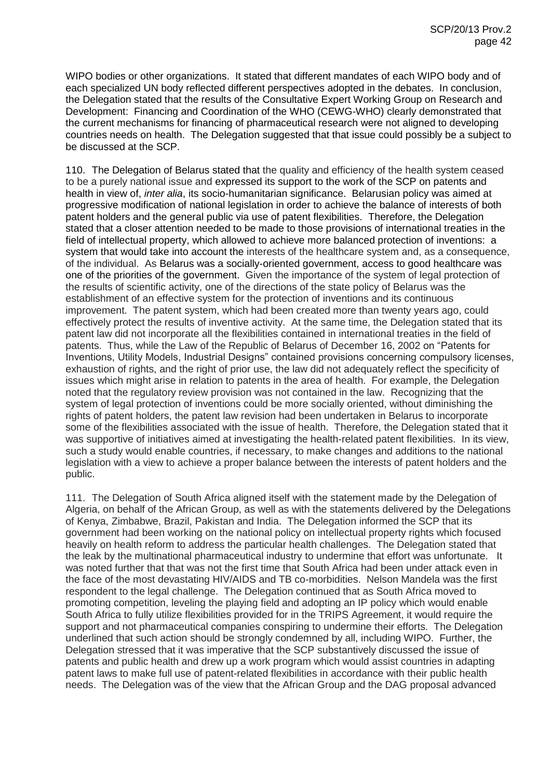WIPO bodies or other organizations. It stated that different mandates of each WIPO body and of each specialized UN body reflected different perspectives adopted in the debates. In conclusion, the Delegation stated that the results of the Consultative Expert Working Group on Research and Development: Financing and Coordination of the WHO (CEWG-WHO) clearly demonstrated that the current mechanisms for financing of pharmaceutical research were not aligned to developing countries needs on health. The Delegation suggested that that issue could possibly be a subject to be discussed at the SCP.

110. The Delegation of Belarus stated that the quality and efficiency of the health system ceased to be a purely national issue and expressed its support to the work of the SCP on patents and health in view of, *inter alia*, its socio-humanitarian significance. Belarusian policy was aimed at progressive modification of national legislation in order to achieve the balance of interests of both patent holders and the general public via use of patent flexibilities. Therefore, the Delegation stated that a closer attention needed to be made to those provisions of international treaties in the field of intellectual property, which allowed to achieve more balanced protection of inventions: a system that would take into account the interests of the healthcare system and, as a consequence, of the individual. As Belarus was a socially-oriented government, access to good healthcare was one of the priorities of the government. Given the importance of the system of legal protection of the results of scientific activity, one of the directions of the state policy of Belarus was the establishment of an effective system for the protection of inventions and its continuous improvement. The patent system, which had been created more than twenty years ago, could effectively protect the results of inventive activity. At the same time, the Delegation stated that its patent law did not incorporate all the flexibilities contained in international treaties in the field of patents. Thus, while the Law of the Republic of Belarus of December 16, 2002 on "Patents for Inventions, Utility Models, Industrial Designs" contained provisions concerning compulsory licenses, exhaustion of rights, and the right of prior use, the law did not adequately reflect the specificity of issues which might arise in relation to patents in the area of health. For example, the Delegation noted that the regulatory review provision was not contained in the law. Recognizing that the system of legal protection of inventions could be more socially oriented, without diminishing the rights of patent holders, the patent law revision had been undertaken in Belarus to incorporate some of the flexibilities associated with the issue of health. Therefore, the Delegation stated that it was supportive of initiatives aimed at investigating the health-related patent flexibilities. In its view, such a study would enable countries, if necessary, to make changes and additions to the national legislation with a view to achieve a proper balance between the interests of patent holders and the public.

111. The Delegation of South Africa aligned itself with the statement made by the Delegation of Algeria, on behalf of the African Group, as well as with the statements delivered by the Delegations of Kenya, Zimbabwe, Brazil, Pakistan and India. The Delegation informed the SCP that its government had been working on the national policy on intellectual property rights which focused heavily on health reform to address the particular health challenges. The Delegation stated that the leak by the multinational pharmaceutical industry to undermine that effort was unfortunate. It was noted further that that was not the first time that South Africa had been under attack even in the face of the most devastating HIV/AIDS and TB co-morbidities. Nelson Mandela was the first respondent to the legal challenge. The Delegation continued that as South Africa moved to promoting competition, leveling the playing field and adopting an IP policy which would enable South Africa to fully utilize flexibilities provided for in the TRIPS Agreement, it would require the support and not pharmaceutical companies conspiring to undermine their efforts. The Delegation underlined that such action should be strongly condemned by all, including WIPO. Further, the Delegation stressed that it was imperative that the SCP substantively discussed the issue of patents and public health and drew up a work program which would assist countries in adapting patent laws to make full use of patent-related flexibilities in accordance with their public health needs. The Delegation was of the view that the African Group and the DAG proposal advanced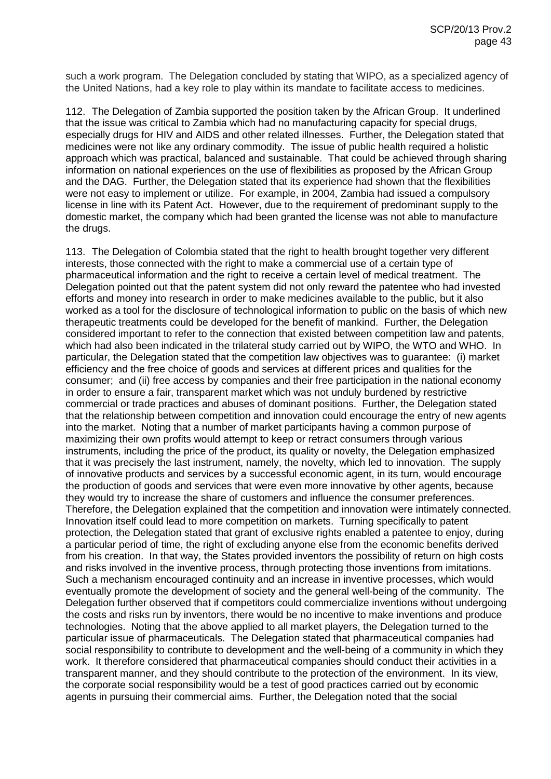such a work program. The Delegation concluded by stating that WIPO, as a specialized agency of the United Nations, had a key role to play within its mandate to facilitate access to medicines.

112. The Delegation of Zambia supported the position taken by the African Group. It underlined that the issue was critical to Zambia which had no manufacturing capacity for special drugs, especially drugs for HIV and AIDS and other related illnesses. Further, the Delegation stated that medicines were not like any ordinary commodity. The issue of public health required a holistic approach which was practical, balanced and sustainable. That could be achieved through sharing information on national experiences on the use of flexibilities as proposed by the African Group and the DAG. Further, the Delegation stated that its experience had shown that the flexibilities were not easy to implement or utilize. For example, in 2004, Zambia had issued a compulsory license in line with its Patent Act. However, due to the requirement of predominant supply to the domestic market, the company which had been granted the license was not able to manufacture the drugs.

113. The Delegation of Colombia stated that the right to health brought together very different interests, those connected with the right to make a commercial use of a certain type of pharmaceutical information and the right to receive a certain level of medical treatment. The Delegation pointed out that the patent system did not only reward the patentee who had invested efforts and money into research in order to make medicines available to the public, but it also worked as a tool for the disclosure of technological information to public on the basis of which new therapeutic treatments could be developed for the benefit of mankind. Further, the Delegation considered important to refer to the connection that existed between competition law and patents, which had also been indicated in the trilateral study carried out by WIPO, the WTO and WHO. In particular, the Delegation stated that the competition law objectives was to guarantee: (i) market efficiency and the free choice of goods and services at different prices and qualities for the consumer; and (ii) free access by companies and their free participation in the national economy in order to ensure a fair, transparent market which was not unduly burdened by restrictive commercial or trade practices and abuses of dominant positions. Further, the Delegation stated that the relationship between competition and innovation could encourage the entry of new agents into the market. Noting that a number of market participants having a common purpose of maximizing their own profits would attempt to keep or retract consumers through various instruments, including the price of the product, its quality or novelty, the Delegation emphasized that it was precisely the last instrument, namely, the novelty, which led to innovation. The supply of innovative products and services by a successful economic agent, in its turn, would encourage the production of goods and services that were even more innovative by other agents, because they would try to increase the share of customers and influence the consumer preferences. Therefore, the Delegation explained that the competition and innovation were intimately connected. Innovation itself could lead to more competition on markets. Turning specifically to patent protection, the Delegation stated that grant of exclusive rights enabled a patentee to enjoy, during a particular period of time, the right of excluding anyone else from the economic benefits derived from his creation. In that way, the States provided inventors the possibility of return on high costs and risks involved in the inventive process, through protecting those inventions from imitations. Such a mechanism encouraged continuity and an increase in inventive processes, which would eventually promote the development of society and the general well-being of the community. The Delegation further observed that if competitors could commercialize inventions without undergoing the costs and risks run by inventors, there would be no incentive to make inventions and produce technologies. Noting that the above applied to all market players, the Delegation turned to the particular issue of pharmaceuticals. The Delegation stated that pharmaceutical companies had social responsibility to contribute to development and the well-being of a community in which they work. It therefore considered that pharmaceutical companies should conduct their activities in a transparent manner, and they should contribute to the protection of the environment. In its view, the corporate social responsibility would be a test of good practices carried out by economic agents in pursuing their commercial aims. Further, the Delegation noted that the social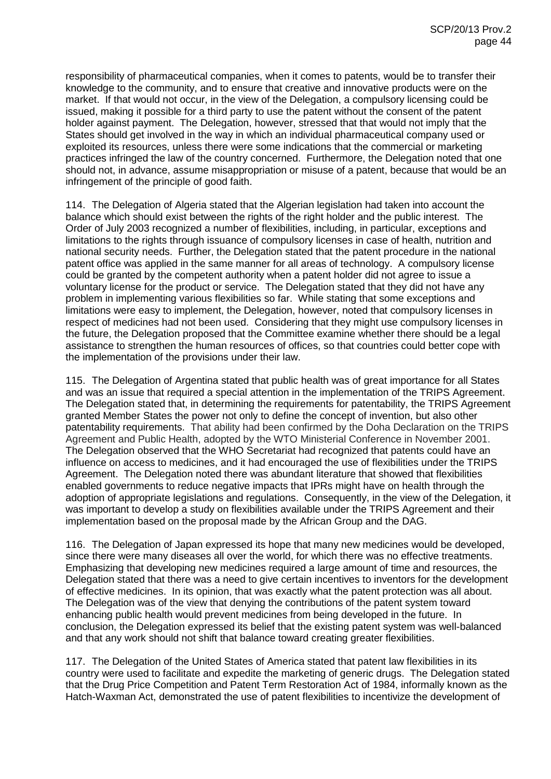responsibility of pharmaceutical companies, when it comes to patents, would be to transfer their knowledge to the community, and to ensure that creative and innovative products were on the market. If that would not occur, in the view of the Delegation, a compulsory licensing could be issued, making it possible for a third party to use the patent without the consent of the patent holder against payment. The Delegation, however, stressed that that would not imply that the States should get involved in the way in which an individual pharmaceutical company used or exploited its resources, unless there were some indications that the commercial or marketing practices infringed the law of the country concerned. Furthermore, the Delegation noted that one should not, in advance, assume misappropriation or misuse of a patent, because that would be an infringement of the principle of good faith.

114. The Delegation of Algeria stated that the Algerian legislation had taken into account the balance which should exist between the rights of the right holder and the public interest. The Order of July 2003 recognized a number of flexibilities, including, in particular, exceptions and limitations to the rights through issuance of compulsory licenses in case of health, nutrition and national security needs. Further, the Delegation stated that the patent procedure in the national patent office was applied in the same manner for all areas of technology. A compulsory license could be granted by the competent authority when a patent holder did not agree to issue a voluntary license for the product or service. The Delegation stated that they did not have any problem in implementing various flexibilities so far. While stating that some exceptions and limitations were easy to implement, the Delegation, however, noted that compulsory licenses in respect of medicines had not been used. Considering that they might use compulsory licenses in the future, the Delegation proposed that the Committee examine whether there should be a legal assistance to strengthen the human resources of offices, so that countries could better cope with the implementation of the provisions under their law.

115. The Delegation of Argentina stated that public health was of great importance for all States and was an issue that required a special attention in the implementation of the TRIPS Agreement. The Delegation stated that, in determining the requirements for patentability, the TRIPS Agreement granted Member States the power not only to define the concept of invention, but also other patentability requirements. That ability had been confirmed by the Doha Declaration on the TRIPS Agreement and Public Health, adopted by the WTO Ministerial Conference in November 2001. The Delegation observed that the WHO Secretariat had recognized that patents could have an influence on access to medicines, and it had encouraged the use of flexibilities under the TRIPS Agreement. The Delegation noted there was abundant literature that showed that flexibilities enabled governments to reduce negative impacts that IPRs might have on health through the adoption of appropriate legislations and regulations. Consequently, in the view of the Delegation, it was important to develop a study on flexibilities available under the TRIPS Agreement and their implementation based on the proposal made by the African Group and the DAG.

116. The Delegation of Japan expressed its hope that many new medicines would be developed, since there were many diseases all over the world, for which there was no effective treatments. Emphasizing that developing new medicines required a large amount of time and resources, the Delegation stated that there was a need to give certain incentives to inventors for the development of effective medicines. In its opinion, that was exactly what the patent protection was all about. The Delegation was of the view that denying the contributions of the patent system toward enhancing public health would prevent medicines from being developed in the future. In conclusion, the Delegation expressed its belief that the existing patent system was well-balanced and that any work should not shift that balance toward creating greater flexibilities.

117. The Delegation of the United States of America stated that patent law flexibilities in its country were used to facilitate and expedite the marketing of generic drugs. The Delegation stated that the Drug Price Competition and Patent Term Restoration Act of 1984, informally known as the Hatch-Waxman Act, demonstrated the use of patent flexibilities to incentivize the development of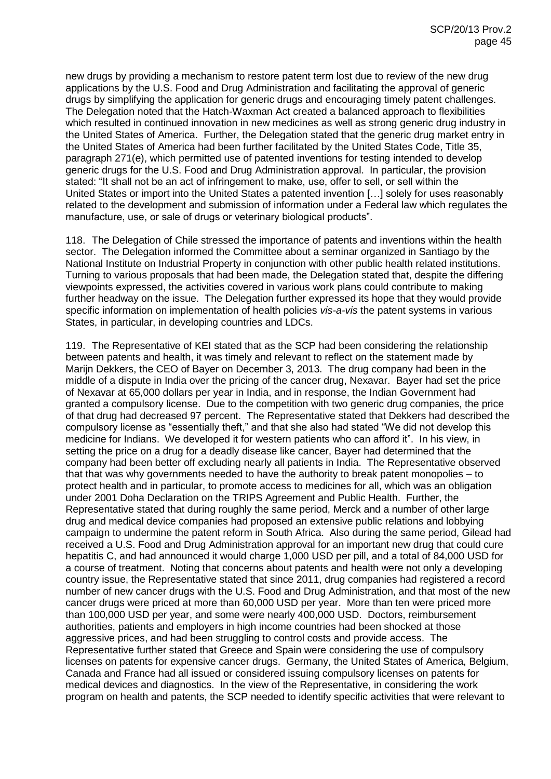new drugs by providing a mechanism to restore patent term lost due to review of the new drug applications by the U.S. Food and Drug Administration and facilitating the approval of generic drugs by simplifying the application for generic drugs and encouraging timely patent challenges. The Delegation noted that the Hatch-Waxman Act created a balanced approach to flexibilities which resulted in continued innovation in new medicines as well as strong generic drug industry in the United States of America. Further, the Delegation stated that the generic drug market entry in the United States of America had been further facilitated by the United States Code, Title 35, paragraph 271(e), which permitted use of patented inventions for testing intended to develop generic drugs for the U.S. Food and Drug Administration approval. In particular, the provision stated: "It shall not be an act of infringement to make, use, offer to sell, or sell within the United States or import into the United States a patented invention […] solely for uses reasonably related to the development and submission of information under a Federal law which regulates the manufacture, use, or sale of drugs or veterinary biological products".

118. The Delegation of Chile stressed the importance of patents and inventions within the health sector. The Delegation informed the Committee about a seminar organized in Santiago by the National Institute on Industrial Property in conjunction with other public health related institutions. Turning to various proposals that had been made, the Delegation stated that, despite the differing viewpoints expressed, the activities covered in various work plans could contribute to making further headway on the issue. The Delegation further expressed its hope that they would provide specific information on implementation of health policies *vis-a-vis* the patent systems in various States, in particular, in developing countries and LDCs.

119. The Representative of KEI stated that as the SCP had been considering the relationship between patents and health, it was timely and relevant to reflect on the statement made by Marijn Dekkers, the CEO of Bayer on December 3, 2013. The drug company had been in the middle of a dispute in India over the pricing of the cancer drug, Nexavar. Bayer had set the price of Nexavar at 65,000 dollars per year in India, and in response, the Indian Government had granted a compulsory license. Due to the competition with two generic drug companies, the price of that drug had decreased 97 percent. The Representative stated that Dekkers had described the compulsory license as "essentially theft," and that she also had stated "We did not develop this medicine for Indians. We developed it for western patients who can afford it". In his view, in setting the price on a drug for a deadly disease like cancer, Bayer had determined that the company had been better off excluding nearly all patients in India. The Representative observed that that was why governments needed to have the authority to break patent monopolies – to protect health and in particular, to promote access to medicines for all, which was an obligation under 2001 Doha Declaration on the TRIPS Agreement and Public Health. Further, the Representative stated that during roughly the same period, Merck and a number of other large drug and medical device companies had proposed an extensive public relations and lobbying campaign to undermine the patent reform in South Africa. Also during the same period, Gilead had received a U.S. Food and Drug Administration approval for an important new drug that could cure hepatitis C, and had announced it would charge 1,000 USD per pill, and a total of 84,000 USD for a course of treatment. Noting that concerns about patents and health were not only a developing country issue, the Representative stated that since 2011, drug companies had registered a record number of new cancer drugs with the U.S. Food and Drug Administration, and that most of the new cancer drugs were priced at more than 60,000 USD per year. More than ten were priced more than 100,000 USD per year, and some were nearly 400,000 USD. Doctors, reimbursement authorities, patients and employers in high income countries had been shocked at those aggressive prices, and had been struggling to control costs and provide access. The Representative further stated that Greece and Spain were considering the use of compulsory licenses on patents for expensive cancer drugs. Germany, the United States of America, Belgium, Canada and France had all issued or considered issuing compulsory licenses on patents for medical devices and diagnostics. In the view of the Representative, in considering the work program on health and patents, the SCP needed to identify specific activities that were relevant to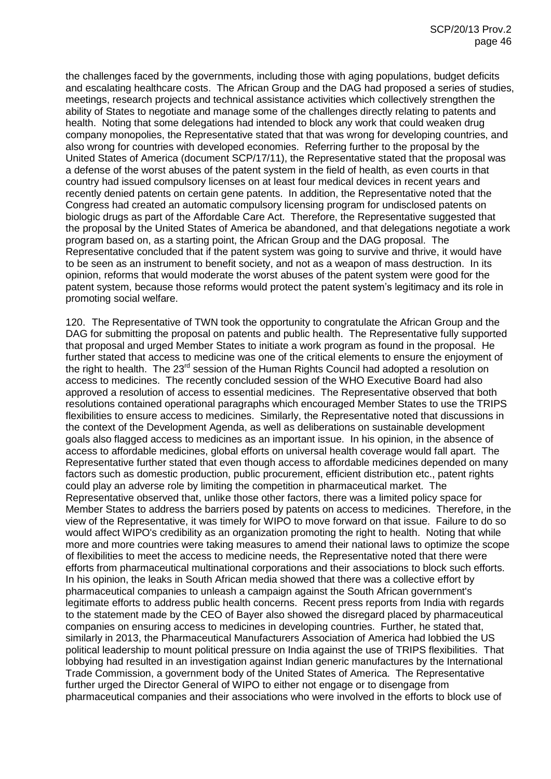the challenges faced by the governments, including those with aging populations, budget deficits and escalating healthcare costs. The African Group and the DAG had proposed a series of studies, meetings, research projects and technical assistance activities which collectively strengthen the ability of States to negotiate and manage some of the challenges directly relating to patents and health. Noting that some delegations had intended to block any work that could weaken drug company monopolies, the Representative stated that that was wrong for developing countries, and also wrong for countries with developed economies. Referring further to the proposal by the United States of America (document SCP/17/11), the Representative stated that the proposal was a defense of the worst abuses of the patent system in the field of health, as even courts in that country had issued compulsory licenses on at least four medical devices in recent years and recently denied patents on certain gene patents. In addition, the Representative noted that the Congress had created an automatic compulsory licensing program for undisclosed patents on biologic drugs as part of the Affordable Care Act. Therefore, the Representative suggested that the proposal by the United States of America be abandoned, and that delegations negotiate a work program based on, as a starting point, the African Group and the DAG proposal. The Representative concluded that if the patent system was going to survive and thrive, it would have to be seen as an instrument to benefit society, and not as a weapon of mass destruction. In its opinion, reforms that would moderate the worst abuses of the patent system were good for the patent system, because those reforms would protect the patent system's legitimacy and its role in promoting social welfare.

120. The Representative of TWN took the opportunity to congratulate the African Group and the DAG for submitting the proposal on patents and public health. The Representative fully supported that proposal and urged Member States to initiate a work program as found in the proposal. He further stated that access to medicine was one of the critical elements to ensure the enjoyment of the right to health. The 23<sup>rd</sup> session of the Human Rights Council had adopted a resolution on access to medicines. The recently concluded session of the WHO Executive Board had also approved a resolution of access to essential medicines. The Representative observed that both resolutions contained operational paragraphs which encouraged Member States to use the TRIPS flexibilities to ensure access to medicines. Similarly, the Representative noted that discussions in the context of the Development Agenda, as well as deliberations on sustainable development goals also flagged access to medicines as an important issue. In his opinion, in the absence of access to affordable medicines, global efforts on universal health coverage would fall apart. The Representative further stated that even though access to affordable medicines depended on many factors such as domestic production, public procurement, efficient distribution etc., patent rights could play an adverse role by limiting the competition in pharmaceutical market. The Representative observed that, unlike those other factors, there was a limited policy space for Member States to address the barriers posed by patents on access to medicines. Therefore, in the view of the Representative, it was timely for WIPO to move forward on that issue. Failure to do so would affect WIPO's credibility as an organization promoting the right to health. Noting that while more and more countries were taking measures to amend their national laws to optimize the scope of flexibilities to meet the access to medicine needs, the Representative noted that there were efforts from pharmaceutical multinational corporations and their associations to block such efforts. In his opinion, the leaks in South African media showed that there was a collective effort by pharmaceutical companies to unleash a campaign against the South African government's legitimate efforts to address public health concerns. Recent press reports from India with regards to the statement made by the CEO of Bayer also showed the disregard placed by pharmaceutical companies on ensuring access to medicines in developing countries. Further, he stated that, similarly in 2013, the Pharmaceutical Manufacturers Association of America had lobbied the US political leadership to mount political pressure on India against the use of TRIPS flexibilities. That lobbying had resulted in an investigation against Indian generic manufactures by the International Trade Commission, a government body of the United States of America. The Representative further urged the Director General of WIPO to either not engage or to disengage from pharmaceutical companies and their associations who were involved in the efforts to block use of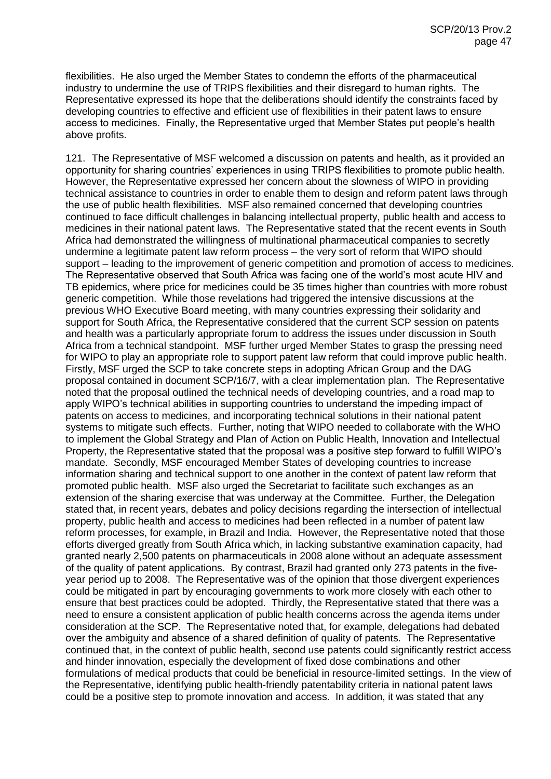flexibilities. He also urged the Member States to condemn the efforts of the pharmaceutical industry to undermine the use of TRIPS flexibilities and their disregard to human rights. The Representative expressed its hope that the deliberations should identify the constraints faced by developing countries to effective and efficient use of flexibilities in their patent laws to ensure access to medicines. Finally, the Representative urged that Member States put people's health above profits.

121. The Representative of MSF welcomed a discussion on patents and health, as it provided an opportunity for sharing countries' experiences in using TRIPS flexibilities to promote public health. However, the Representative expressed her concern about the slowness of WIPO in providing technical assistance to countries in order to enable them to design and reform patent laws through the use of public health flexibilities. MSF also remained concerned that developing countries continued to face difficult challenges in balancing intellectual property, public health and access to medicines in their national patent laws. The Representative stated that the recent events in South Africa had demonstrated the willingness of multinational pharmaceutical companies to secretly undermine a legitimate patent law reform process – the very sort of reform that WIPO should support – leading to the improvement of generic competition and promotion of access to medicines. The Representative observed that South Africa was facing one of the world's most acute HIV and TB epidemics, where price for medicines could be 35 times higher than countries with more robust generic competition. While those revelations had triggered the intensive discussions at the previous WHO Executive Board meeting, with many countries expressing their solidarity and support for South Africa, the Representative considered that the current SCP session on patents and health was a particularly appropriate forum to address the issues under discussion in South Africa from a technical standpoint. MSF further urged Member States to grasp the pressing need for WIPO to play an appropriate role to support patent law reform that could improve public health. Firstly, MSF urged the SCP to take concrete steps in adopting African Group and the DAG proposal contained in document SCP/16/7, with a clear implementation plan. The Representative noted that the proposal outlined the technical needs of developing countries, and a road map to apply WIPO's technical abilities in supporting countries to understand the impeding impact of patents on access to medicines, and incorporating technical solutions in their national patent systems to mitigate such effects. Further, noting that WIPO needed to collaborate with the WHO to implement the Global Strategy and Plan of Action on Public Health, Innovation and Intellectual Property, the Representative stated that the proposal was a positive step forward to fulfill WIPO's mandate. Secondly, MSF encouraged Member States of developing countries to increase information sharing and technical support to one another in the context of patent law reform that promoted public health. MSF also urged the Secretariat to facilitate such exchanges as an extension of the sharing exercise that was underway at the Committee. Further, the Delegation stated that, in recent years, debates and policy decisions regarding the intersection of intellectual property, public health and access to medicines had been reflected in a number of patent law reform processes, for example, in Brazil and India. However, the Representative noted that those efforts diverged greatly from South Africa which, in lacking substantive examination capacity, had granted nearly 2,500 patents on pharmaceuticals in 2008 alone without an adequate assessment of the quality of patent applications. By contrast, Brazil had granted only 273 patents in the fiveyear period up to 2008. The Representative was of the opinion that those divergent experiences could be mitigated in part by encouraging governments to work more closely with each other to ensure that best practices could be adopted. Thirdly, the Representative stated that there was a need to ensure a consistent application of public health concerns across the agenda items under consideration at the SCP. The Representative noted that, for example, delegations had debated over the ambiguity and absence of a shared definition of quality of patents. The Representative continued that, in the context of public health, second use patents could significantly restrict access and hinder innovation, especially the development of fixed dose combinations and other formulations of medical products that could be beneficial in resource-limited settings. In the view of the Representative, identifying public health-friendly patentability criteria in national patent laws could be a positive step to promote innovation and access. In addition, it was stated that any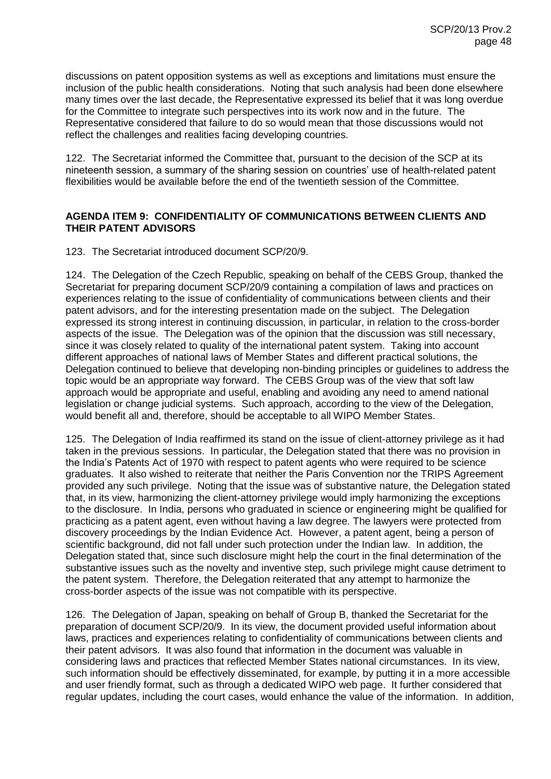discussions on patent opposition systems as well as exceptions and limitations must ensure the inclusion of the public health considerations. Noting that such analysis had been done elsewhere many times over the last decade, the Representative expressed its belief that it was long overdue for the Committee to integrate such perspectives into its work now and in the future. The Representative considered that failure to do so would mean that those discussions would not reflect the challenges and realities facing developing countries.

122. The Secretariat informed the Committee that, pursuant to the decision of the SCP at its nineteenth session, a summary of the sharing session on countries' use of health-related patent flexibilities would be available before the end of the twentieth session of the Committee.

# **AGENDA ITEM 9: CONFIDENTIALITY OF COMMUNICATIONS BETWEEN CLIENTS AND THEIR PATENT ADVISORS**

123. The Secretariat introduced document SCP/20/9.

124. The Delegation of the Czech Republic, speaking on behalf of the CEBS Group, thanked the Secretariat for preparing document SCP/20/9 containing a compilation of laws and practices on experiences relating to the issue of confidentiality of communications between clients and their patent advisors, and for the interesting presentation made on the subject. The Delegation expressed its strong interest in continuing discussion, in particular, in relation to the cross-border aspects of the issue. The Delegation was of the opinion that the discussion was still necessary, since it was closely related to quality of the international patent system. Taking into account different approaches of national laws of Member States and different practical solutions, the Delegation continued to believe that developing non-binding principles or guidelines to address the topic would be an appropriate way forward. The CEBS Group was of the view that soft law approach would be appropriate and useful, enabling and avoiding any need to amend national legislation or change judicial systems. Such approach, according to the view of the Delegation, would benefit all and, therefore, should be acceptable to all WIPO Member States.

125. The Delegation of India reaffirmed its stand on the issue of client-attorney privilege as it had taken in the previous sessions. In particular, the Delegation stated that there was no provision in the India's Patents Act of 1970 with respect to patent agents who were required to be science graduates. It also wished to reiterate that neither the Paris Convention nor the TRIPS Agreement provided any such privilege. Noting that the issue was of substantive nature, the Delegation stated that, in its view, harmonizing the client-attorney privilege would imply harmonizing the exceptions to the disclosure. In India, persons who graduated in science or engineering might be qualified for practicing as a patent agent, even without having a law degree. The lawyers were protected from discovery proceedings by the Indian Evidence Act. However, a patent agent, being a person of scientific background, did not fall under such protection under the Indian law. In addition, the Delegation stated that, since such disclosure might help the court in the final determination of the substantive issues such as the novelty and inventive step, such privilege might cause detriment to the patent system. Therefore, the Delegation reiterated that any attempt to harmonize the cross-border aspects of the issue was not compatible with its perspective.

126. The Delegation of Japan, speaking on behalf of Group B, thanked the Secretariat for the preparation of document SCP/20/9. In its view, the document provided useful information about laws, practices and experiences relating to confidentiality of communications between clients and their patent advisors. It was also found that information in the document was valuable in considering laws and practices that reflected Member States national circumstances. In its view, such information should be effectively disseminated, for example, by putting it in a more accessible and user friendly format, such as through a dedicated WIPO web page. It further considered that regular updates, including the court cases, would enhance the value of the information. In addition,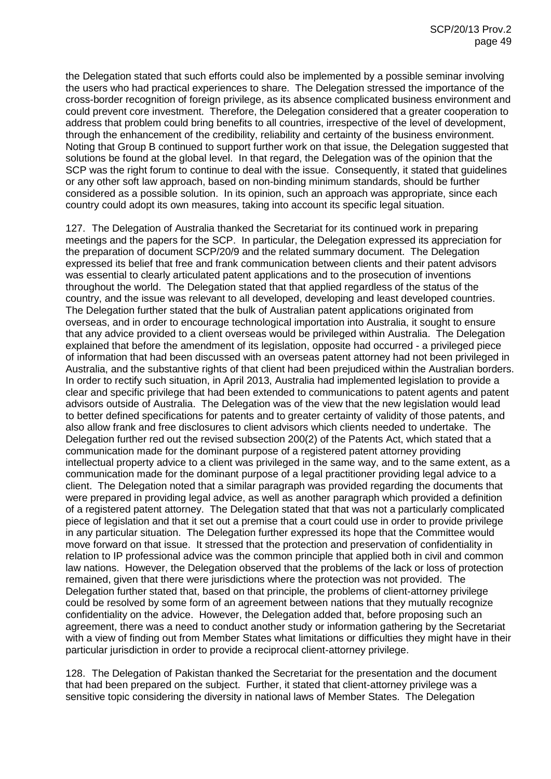the Delegation stated that such efforts could also be implemented by a possible seminar involving the users who had practical experiences to share. The Delegation stressed the importance of the cross-border recognition of foreign privilege, as its absence complicated business environment and could prevent core investment. Therefore, the Delegation considered that a greater cooperation to address that problem could bring benefits to all countries, irrespective of the level of development, through the enhancement of the credibility, reliability and certainty of the business environment. Noting that Group B continued to support further work on that issue, the Delegation suggested that solutions be found at the global level. In that regard, the Delegation was of the opinion that the SCP was the right forum to continue to deal with the issue. Consequently, it stated that guidelines or any other soft law approach, based on non-binding minimum standards, should be further considered as a possible solution. In its opinion, such an approach was appropriate, since each country could adopt its own measures, taking into account its specific legal situation.

127. The Delegation of Australia thanked the Secretariat for its continued work in preparing meetings and the papers for the SCP. In particular, the Delegation expressed its appreciation for the preparation of document SCP/20/9 and the related summary document. The Delegation expressed its belief that free and frank communication between clients and their patent advisors was essential to clearly articulated patent applications and to the prosecution of inventions throughout the world. The Delegation stated that that applied regardless of the status of the country, and the issue was relevant to all developed, developing and least developed countries. The Delegation further stated that the bulk of Australian patent applications originated from overseas, and in order to encourage technological importation into Australia, it sought to ensure that any advice provided to a client overseas would be privileged within Australia. The Delegation explained that before the amendment of its legislation, opposite had occurred - a privileged piece of information that had been discussed with an overseas patent attorney had not been privileged in Australia, and the substantive rights of that client had been prejudiced within the Australian borders. In order to rectify such situation, in April 2013, Australia had implemented legislation to provide a clear and specific privilege that had been extended to communications to patent agents and patent advisors outside of Australia. The Delegation was of the view that the new legislation would lead to better defined specifications for patents and to greater certainty of validity of those patents, and also allow frank and free disclosures to client advisors which clients needed to undertake. The Delegation further red out the revised subsection 200(2) of the Patents Act, which stated that a communication made for the dominant purpose of a registered patent attorney providing intellectual property advice to a client was privileged in the same way, and to the same extent, as a communication made for the dominant purpose of a legal practitioner providing legal advice to a client. The Delegation noted that a similar paragraph was provided regarding the documents that were prepared in providing legal advice, as well as another paragraph which provided a definition of a registered patent attorney. The Delegation stated that that was not a particularly complicated piece of legislation and that it set out a premise that a court could use in order to provide privilege in any particular situation. The Delegation further expressed its hope that the Committee would move forward on that issue. It stressed that the protection and preservation of confidentiality in relation to IP professional advice was the common principle that applied both in civil and common law nations. However, the Delegation observed that the problems of the lack or loss of protection remained, given that there were jurisdictions where the protection was not provided. The Delegation further stated that, based on that principle, the problems of client-attorney privilege could be resolved by some form of an agreement between nations that they mutually recognize confidentiality on the advice. However, the Delegation added that, before proposing such an agreement, there was a need to conduct another study or information gathering by the Secretariat with a view of finding out from Member States what limitations or difficulties they might have in their particular jurisdiction in order to provide a reciprocal client-attorney privilege.

128. The Delegation of Pakistan thanked the Secretariat for the presentation and the document that had been prepared on the subject. Further, it stated that client-attorney privilege was a sensitive topic considering the diversity in national laws of Member States. The Delegation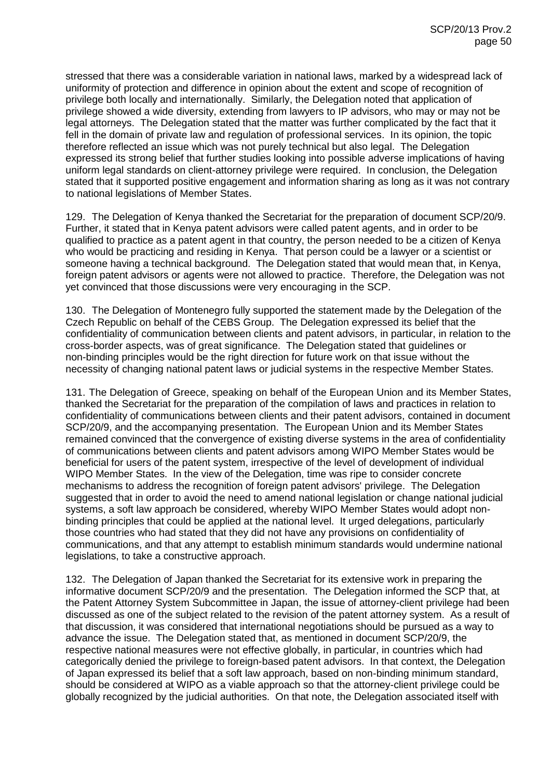stressed that there was a considerable variation in national laws, marked by a widespread lack of uniformity of protection and difference in opinion about the extent and scope of recognition of privilege both locally and internationally. Similarly, the Delegation noted that application of privilege showed a wide diversity, extending from lawyers to IP advisors, who may or may not be legal attorneys. The Delegation stated that the matter was further complicated by the fact that it fell in the domain of private law and regulation of professional services. In its opinion, the topic therefore reflected an issue which was not purely technical but also legal. The Delegation expressed its strong belief that further studies looking into possible adverse implications of having uniform legal standards on client-attorney privilege were required. In conclusion, the Delegation stated that it supported positive engagement and information sharing as long as it was not contrary to national legislations of Member States.

129. The Delegation of Kenya thanked the Secretariat for the preparation of document SCP/20/9. Further, it stated that in Kenya patent advisors were called patent agents, and in order to be qualified to practice as a patent agent in that country, the person needed to be a citizen of Kenya who would be practicing and residing in Kenya. That person could be a lawyer or a scientist or someone having a technical background. The Delegation stated that would mean that, in Kenya, foreign patent advisors or agents were not allowed to practice. Therefore, the Delegation was not yet convinced that those discussions were very encouraging in the SCP.

130. The Delegation of Montenegro fully supported the statement made by the Delegation of the Czech Republic on behalf of the CEBS Group. The Delegation expressed its belief that the confidentiality of communication between clients and patent advisors, in particular, in relation to the cross-border aspects, was of great significance. The Delegation stated that guidelines or non-binding principles would be the right direction for future work on that issue without the necessity of changing national patent laws or judicial systems in the respective Member States.

131. The Delegation of Greece, speaking on behalf of the European Union and its Member States, thanked the Secretariat for the preparation of the compilation of laws and practices in relation to confidentiality of communications between clients and their patent advisors, contained in document SCP/20/9, and the accompanying presentation. The European Union and its Member States remained convinced that the convergence of existing diverse systems in the area of confidentiality of communications between clients and patent advisors among WIPO Member States would be beneficial for users of the patent system, irrespective of the level of development of individual WIPO Member States. In the view of the Delegation, time was ripe to consider concrete mechanisms to address the recognition of foreign patent advisors' privilege. The Delegation suggested that in order to avoid the need to amend national legislation or change national judicial systems, a soft law approach be considered, whereby WIPO Member States would adopt nonbinding principles that could be applied at the national level. It urged delegations, particularly those countries who had stated that they did not have any provisions on confidentiality of communications, and that any attempt to establish minimum standards would undermine national legislations, to take a constructive approach.

132. The Delegation of Japan thanked the Secretariat for its extensive work in preparing the informative document SCP/20/9 and the presentation. The Delegation informed the SCP that, at the Patent Attorney System Subcommittee in Japan, the issue of attorney-client privilege had been discussed as one of the subject related to the revision of the patent attorney system. As a result of that discussion, it was considered that international negotiations should be pursued as a way to advance the issue. The Delegation stated that, as mentioned in document SCP/20/9, the respective national measures were not effective globally, in particular, in countries which had categorically denied the privilege to foreign-based patent advisors. In that context, the Delegation of Japan expressed its belief that a soft law approach, based on non-binding minimum standard, should be considered at WIPO as a viable approach so that the attorney-client privilege could be globally recognized by the judicial authorities. On that note, the Delegation associated itself with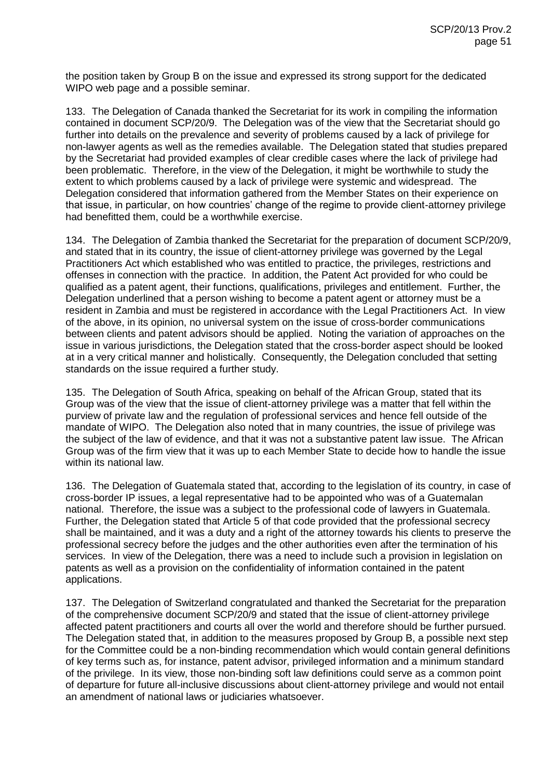the position taken by Group B on the issue and expressed its strong support for the dedicated WIPO web page and a possible seminar.

133. The Delegation of Canada thanked the Secretariat for its work in compiling the information contained in document SCP/20/9. The Delegation was of the view that the Secretariat should go further into details on the prevalence and severity of problems caused by a lack of privilege for non-lawyer agents as well as the remedies available. The Delegation stated that studies prepared by the Secretariat had provided examples of clear credible cases where the lack of privilege had been problematic. Therefore, in the view of the Delegation, it might be worthwhile to study the extent to which problems caused by a lack of privilege were systemic and widespread. The Delegation considered that information gathered from the Member States on their experience on that issue, in particular, on how countries' change of the regime to provide client-attorney privilege had benefitted them, could be a worthwhile exercise.

134. The Delegation of Zambia thanked the Secretariat for the preparation of document SCP/20/9, and stated that in its country, the issue of client-attorney privilege was governed by the Legal Practitioners Act which established who was entitled to practice, the privileges, restrictions and offenses in connection with the practice. In addition, the Patent Act provided for who could be qualified as a patent agent, their functions, qualifications, privileges and entitlement. Further, the Delegation underlined that a person wishing to become a patent agent or attorney must be a resident in Zambia and must be registered in accordance with the Legal Practitioners Act. In view of the above, in its opinion, no universal system on the issue of cross-border communications between clients and patent advisors should be applied. Noting the variation of approaches on the issue in various jurisdictions, the Delegation stated that the cross-border aspect should be looked at in a very critical manner and holistically. Consequently, the Delegation concluded that setting standards on the issue required a further study.

135. The Delegation of South Africa, speaking on behalf of the African Group, stated that its Group was of the view that the issue of client-attorney privilege was a matter that fell within the purview of private law and the regulation of professional services and hence fell outside of the mandate of WIPO. The Delegation also noted that in many countries, the issue of privilege was the subject of the law of evidence, and that it was not a substantive patent law issue. The African Group was of the firm view that it was up to each Member State to decide how to handle the issue within its national law.

136. The Delegation of Guatemala stated that, according to the legislation of its country, in case of cross-border IP issues, a legal representative had to be appointed who was of a Guatemalan national. Therefore, the issue was a subject to the professional code of lawyers in Guatemala. Further, the Delegation stated that Article 5 of that code provided that the professional secrecy shall be maintained, and it was a duty and a right of the attorney towards his clients to preserve the professional secrecy before the judges and the other authorities even after the termination of his services. In view of the Delegation, there was a need to include such a provision in legislation on patents as well as a provision on the confidentiality of information contained in the patent applications.

137. The Delegation of Switzerland congratulated and thanked the Secretariat for the preparation of the comprehensive document SCP/20/9 and stated that the issue of client-attorney privilege affected patent practitioners and courts all over the world and therefore should be further pursued. The Delegation stated that, in addition to the measures proposed by Group B, a possible next step for the Committee could be a non-binding recommendation which would contain general definitions of key terms such as, for instance, patent advisor, privileged information and a minimum standard of the privilege. In its view, those non-binding soft law definitions could serve as a common point of departure for future all-inclusive discussions about client-attorney privilege and would not entail an amendment of national laws or judiciaries whatsoever.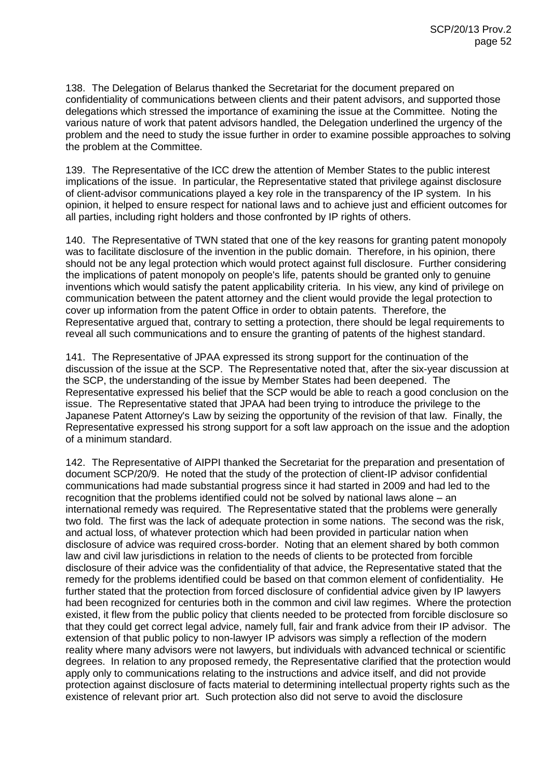138. The Delegation of Belarus thanked the Secretariat for the document prepared on confidentiality of communications between clients and their patent advisors, and supported those delegations which stressed the importance of examining the issue at the Committee. Noting the various nature of work that patent advisors handled, the Delegation underlined the urgency of the problem and the need to study the issue further in order to examine possible approaches to solving the problem at the Committee.

139. The Representative of the ICC drew the attention of Member States to the public interest implications of the issue. In particular, the Representative stated that privilege against disclosure of client-advisor communications played a key role in the transparency of the IP system. In his opinion, it helped to ensure respect for national laws and to achieve just and efficient outcomes for all parties, including right holders and those confronted by IP rights of others.

140. The Representative of TWN stated that one of the key reasons for granting patent monopoly was to facilitate disclosure of the invention in the public domain. Therefore, in his opinion, there should not be any legal protection which would protect against full disclosure. Further considering the implications of patent monopoly on people's life, patents should be granted only to genuine inventions which would satisfy the patent applicability criteria. In his view, any kind of privilege on communication between the patent attorney and the client would provide the legal protection to cover up information from the patent Office in order to obtain patents. Therefore, the Representative argued that, contrary to setting a protection, there should be legal requirements to reveal all such communications and to ensure the granting of patents of the highest standard.

141. The Representative of JPAA expressed its strong support for the continuation of the discussion of the issue at the SCP. The Representative noted that, after the six-year discussion at the SCP, the understanding of the issue by Member States had been deepened. The Representative expressed his belief that the SCP would be able to reach a good conclusion on the issue. The Representative stated that JPAA had been trying to introduce the privilege to the Japanese Patent Attorney's Law by seizing the opportunity of the revision of that law. Finally, the Representative expressed his strong support for a soft law approach on the issue and the adoption of a minimum standard.

142. The Representative of AIPPI thanked the Secretariat for the preparation and presentation of document SCP/20/9. He noted that the study of the protection of client-IP advisor confidential communications had made substantial progress since it had started in 2009 and had led to the recognition that the problems identified could not be solved by national laws alone – an international remedy was required. The Representative stated that the problems were generally two fold. The first was the lack of adequate protection in some nations. The second was the risk, and actual loss, of whatever protection which had been provided in particular nation when disclosure of advice was required cross-border. Noting that an element shared by both common law and civil law jurisdictions in relation to the needs of clients to be protected from forcible disclosure of their advice was the confidentiality of that advice, the Representative stated that the remedy for the problems identified could be based on that common element of confidentiality. He further stated that the protection from forced disclosure of confidential advice given by IP lawyers had been recognized for centuries both in the common and civil law regimes. Where the protection existed, it flew from the public policy that clients needed to be protected from forcible disclosure so that they could get correct legal advice, namely full, fair and frank advice from their IP advisor. The extension of that public policy to non-lawyer IP advisors was simply a reflection of the modern reality where many advisors were not lawyers, but individuals with advanced technical or scientific degrees. In relation to any proposed remedy, the Representative clarified that the protection would apply only to communications relating to the instructions and advice itself, and did not provide protection against disclosure of facts material to determining intellectual property rights such as the existence of relevant prior art. Such protection also did not serve to avoid the disclosure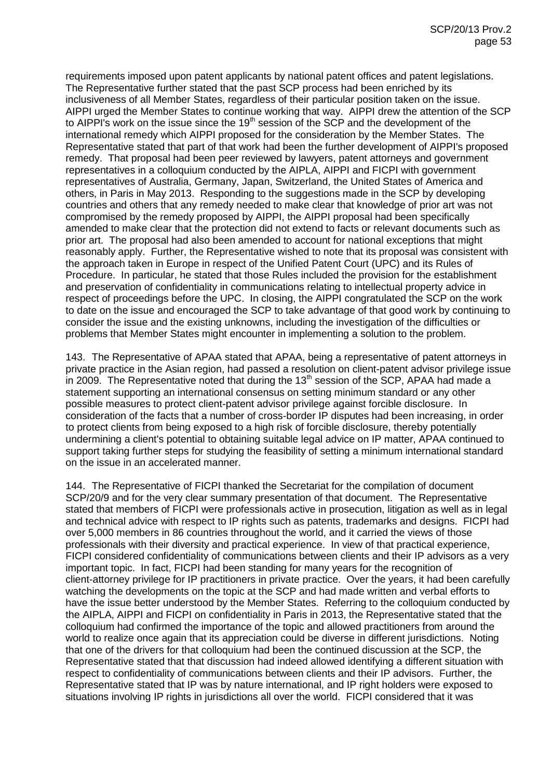requirements imposed upon patent applicants by national patent offices and patent legislations. The Representative further stated that the past SCP process had been enriched by its inclusiveness of all Member States, regardless of their particular position taken on the issue. AIPPI urged the Member States to continue working that way. AIPPI drew the attention of the SCP to AIPPI's work on the issue since the  $19<sup>th</sup>$  session of the SCP and the development of the international remedy which AIPPI proposed for the consideration by the Member States. The Representative stated that part of that work had been the further development of AIPPI's proposed remedy. That proposal had been peer reviewed by lawyers, patent attorneys and government representatives in a colloquium conducted by the AIPLA, AIPPI and FICPI with government representatives of Australia, Germany, Japan, Switzerland, the United States of America and others, in Paris in May 2013. Responding to the suggestions made in the SCP by developing countries and others that any remedy needed to make clear that knowledge of prior art was not compromised by the remedy proposed by AIPPI, the AIPPI proposal had been specifically amended to make clear that the protection did not extend to facts or relevant documents such as prior art. The proposal had also been amended to account for national exceptions that might reasonably apply. Further, the Representative wished to note that its proposal was consistent with the approach taken in Europe in respect of the Unified Patent Court (UPC) and its Rules of Procedure. In particular, he stated that those Rules included the provision for the establishment and preservation of confidentiality in communications relating to intellectual property advice in respect of proceedings before the UPC. In closing, the AIPPI congratulated the SCP on the work to date on the issue and encouraged the SCP to take advantage of that good work by continuing to consider the issue and the existing unknowns, including the investigation of the difficulties or problems that Member States might encounter in implementing a solution to the problem.

143. The Representative of APAA stated that APAA, being a representative of patent attorneys in private practice in the Asian region, had passed a resolution on client-patent advisor privilege issue in 2009. The Representative noted that during the 13<sup>th</sup> session of the SCP, APAA had made a statement supporting an international consensus on setting minimum standard or any other possible measures to protect client-patent advisor privilege against forcible disclosure. In consideration of the facts that a number of cross-border IP disputes had been increasing, in order to protect clients from being exposed to a high risk of forcible disclosure, thereby potentially undermining a client's potential to obtaining suitable legal advice on IP matter, APAA continued to support taking further steps for studying the feasibility of setting a minimum international standard on the issue in an accelerated manner.

144. The Representative of FICPI thanked the Secretariat for the compilation of document SCP/20/9 and for the very clear summary presentation of that document. The Representative stated that members of FICPI were professionals active in prosecution, litigation as well as in legal and technical advice with respect to IP rights such as patents, trademarks and designs. FICPI had over 5,000 members in 86 countries throughout the world, and it carried the views of those professionals with their diversity and practical experience. In view of that practical experience, FICPI considered confidentiality of communications between clients and their IP advisors as a very important topic. In fact, FICPI had been standing for many years for the recognition of client-attorney privilege for IP practitioners in private practice. Over the years, it had been carefully watching the developments on the topic at the SCP and had made written and verbal efforts to have the issue better understood by the Member States. Referring to the colloquium conducted by the AIPLA, AIPPI and FICPI on confidentiality in Paris in 2013, the Representative stated that the colloquium had confirmed the importance of the topic and allowed practitioners from around the world to realize once again that its appreciation could be diverse in different jurisdictions. Noting that one of the drivers for that colloquium had been the continued discussion at the SCP, the Representative stated that that discussion had indeed allowed identifying a different situation with respect to confidentiality of communications between clients and their IP advisors. Further, the Representative stated that IP was by nature international, and IP right holders were exposed to situations involving IP rights in jurisdictions all over the world. FICPI considered that it was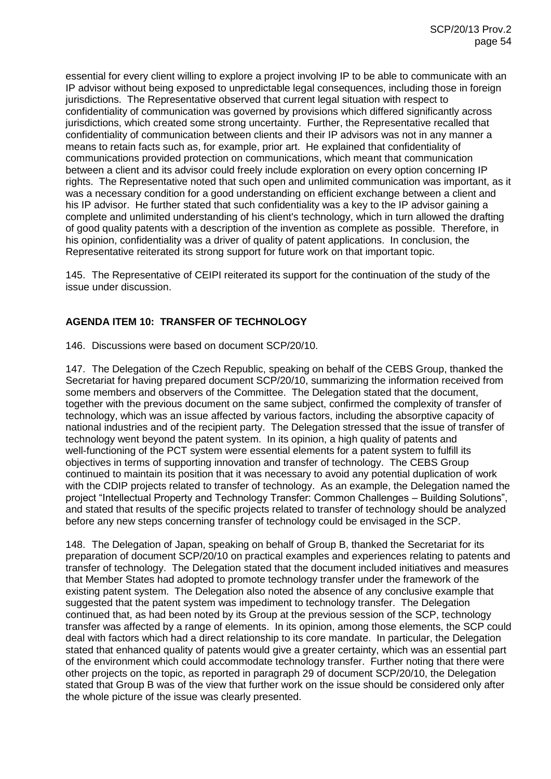essential for every client willing to explore a project involving IP to be able to communicate with an IP advisor without being exposed to unpredictable legal consequences, including those in foreign jurisdictions. The Representative observed that current legal situation with respect to confidentiality of communication was governed by provisions which differed significantly across jurisdictions, which created some strong uncertainty. Further, the Representative recalled that confidentiality of communication between clients and their IP advisors was not in any manner a means to retain facts such as, for example, prior art. He explained that confidentiality of communications provided protection on communications, which meant that communication between a client and its advisor could freely include exploration on every option concerning IP rights. The Representative noted that such open and unlimited communication was important, as it was a necessary condition for a good understanding on efficient exchange between a client and his IP advisor. He further stated that such confidentiality was a key to the IP advisor gaining a complete and unlimited understanding of his client's technology, which in turn allowed the drafting of good quality patents with a description of the invention as complete as possible. Therefore, in his opinion, confidentiality was a driver of quality of patent applications. In conclusion, the Representative reiterated its strong support for future work on that important topic.

145. The Representative of CEIPI reiterated its support for the continuation of the study of the issue under discussion.

# **AGENDA ITEM 10: TRANSFER OF TECHNOLOGY**

146. Discussions were based on document SCP/20/10.

147. The Delegation of the Czech Republic, speaking on behalf of the CEBS Group, thanked the Secretariat for having prepared document SCP/20/10, summarizing the information received from some members and observers of the Committee. The Delegation stated that the document, together with the previous document on the same subject, confirmed the complexity of transfer of technology, which was an issue affected by various factors, including the absorptive capacity of national industries and of the recipient party. The Delegation stressed that the issue of transfer of technology went beyond the patent system. In its opinion, a high quality of patents and well-functioning of the PCT system were essential elements for a patent system to fulfill its objectives in terms of supporting innovation and transfer of technology. The CEBS Group continued to maintain its position that it was necessary to avoid any potential duplication of work with the CDIP projects related to transfer of technology. As an example, the Delegation named the project "Intellectual Property and Technology Transfer: Common Challenges – Building Solutions", and stated that results of the specific projects related to transfer of technology should be analyzed before any new steps concerning transfer of technology could be envisaged in the SCP.

148. The Delegation of Japan, speaking on behalf of Group B, thanked the Secretariat for its preparation of document SCP/20/10 on practical examples and experiences relating to patents and transfer of technology. The Delegation stated that the document included initiatives and measures that Member States had adopted to promote technology transfer under the framework of the existing patent system. The Delegation also noted the absence of any conclusive example that suggested that the patent system was impediment to technology transfer. The Delegation continued that, as had been noted by its Group at the previous session of the SCP, technology transfer was affected by a range of elements. In its opinion, among those elements, the SCP could deal with factors which had a direct relationship to its core mandate. In particular, the Delegation stated that enhanced quality of patents would give a greater certainty, which was an essential part of the environment which could accommodate technology transfer. Further noting that there were other projects on the topic, as reported in paragraph 29 of document SCP/20/10, the Delegation stated that Group B was of the view that further work on the issue should be considered only after the whole picture of the issue was clearly presented.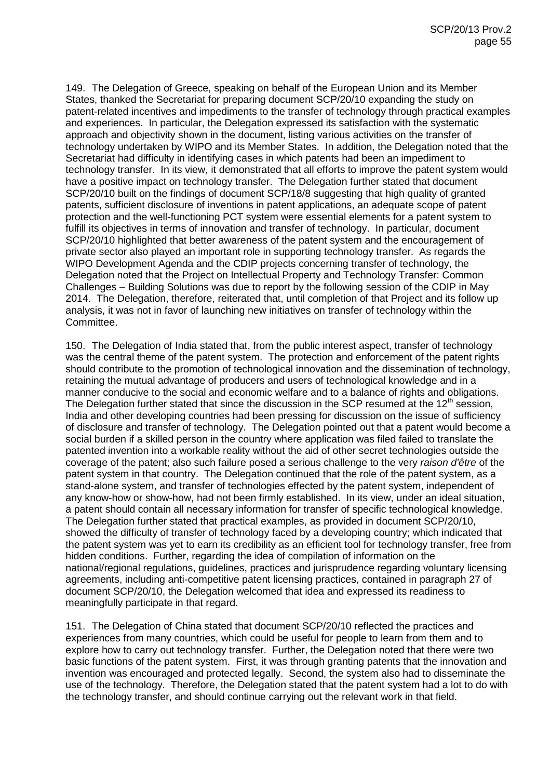149. The Delegation of Greece, speaking on behalf of the European Union and its Member States, thanked the Secretariat for preparing document SCP/20/10 expanding the study on patent-related incentives and impediments to the transfer of technology through practical examples and experiences. In particular, the Delegation expressed its satisfaction with the systematic approach and objectivity shown in the document, listing various activities on the transfer of technology undertaken by WIPO and its Member States. In addition, the Delegation noted that the Secretariat had difficulty in identifying cases in which patents had been an impediment to technology transfer. In its view, it demonstrated that all efforts to improve the patent system would have a positive impact on technology transfer. The Delegation further stated that document SCP/20/10 built on the findings of document SCP/18/8 suggesting that high quality of granted patents, sufficient disclosure of inventions in patent applications, an adequate scope of patent protection and the well-functioning PCT system were essential elements for a patent system to fulfill its objectives in terms of innovation and transfer of technology. In particular, document SCP/20/10 highlighted that better awareness of the patent system and the encouragement of private sector also played an important role in supporting technology transfer. As regards the WIPO Development Agenda and the CDIP projects concerning transfer of technology, the Delegation noted that the Project on Intellectual Property and Technology Transfer: Common Challenges – Building Solutions was due to report by the following session of the CDIP in May 2014. The Delegation, therefore, reiterated that, until completion of that Project and its follow up analysis, it was not in favor of launching new initiatives on transfer of technology within the Committee.

150. The Delegation of India stated that, from the public interest aspect, transfer of technology was the central theme of the patent system. The protection and enforcement of the patent rights should contribute to the promotion of technological innovation and the dissemination of technology, retaining the mutual advantage of producers and users of technological knowledge and in a manner conducive to the social and economic welfare and to a balance of rights and obligations. The Delegation further stated that since the discussion in the SCP resumed at the 12<sup>th</sup> session, India and other developing countries had been pressing for discussion on the issue of sufficiency of disclosure and transfer of technology. The Delegation pointed out that a patent would become a social burden if a skilled person in the country where application was filed failed to translate the patented invention into a workable reality without the aid of other secret technologies outside the coverage of the patent; also such failure posed a serious challenge to the very *raison d'être* of the patent system in that country. The Delegation continued that the role of the patent system, as a stand-alone system, and transfer of technologies effected by the patent system, independent of any know-how or show-how, had not been firmly established. In its view, under an ideal situation, a patent should contain all necessary information for transfer of specific technological knowledge. The Delegation further stated that practical examples, as provided in document SCP/20/10, showed the difficulty of transfer of technology faced by a developing country; which indicated that the patent system was yet to earn its credibility as an efficient tool for technology transfer, free from hidden conditions. Further, regarding the idea of compilation of information on the national/regional regulations, guidelines, practices and jurisprudence regarding voluntary licensing agreements, including anti-competitive patent licensing practices, contained in paragraph 27 of document SCP/20/10, the Delegation welcomed that idea and expressed its readiness to meaningfully participate in that regard.

151. The Delegation of China stated that document SCP/20/10 reflected the practices and experiences from many countries, which could be useful for people to learn from them and to explore how to carry out technology transfer. Further, the Delegation noted that there were two basic functions of the patent system. First, it was through granting patents that the innovation and invention was encouraged and protected legally. Second, the system also had to disseminate the use of the technology. Therefore, the Delegation stated that the patent system had a lot to do with the technology transfer, and should continue carrying out the relevant work in that field.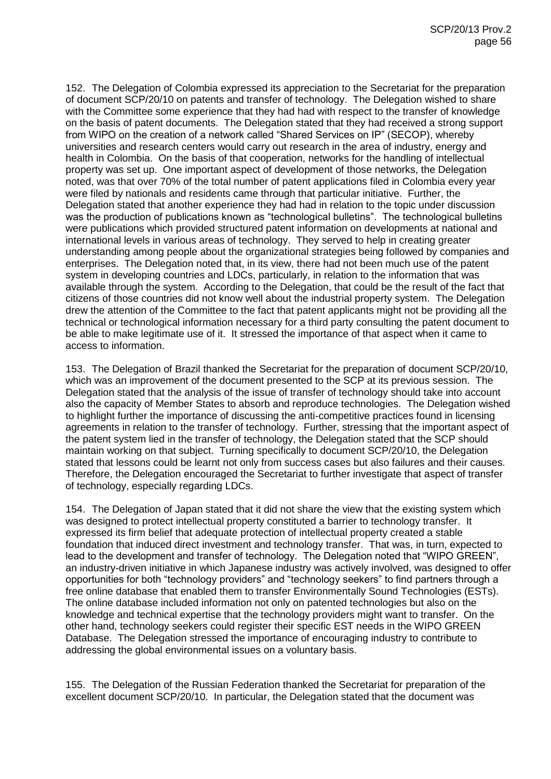152. The Delegation of Colombia expressed its appreciation to the Secretariat for the preparation of document SCP/20/10 on patents and transfer of technology. The Delegation wished to share with the Committee some experience that they had had with respect to the transfer of knowledge on the basis of patent documents. The Delegation stated that they had received a strong support from WIPO on the creation of a network called "Shared Services on IP" (SECOP), whereby universities and research centers would carry out research in the area of industry, energy and health in Colombia. On the basis of that cooperation, networks for the handling of intellectual property was set up. One important aspect of development of those networks, the Delegation noted, was that over 70% of the total number of patent applications filed in Colombia every year were filed by nationals and residents came through that particular initiative. Further, the Delegation stated that another experience they had had in relation to the topic under discussion was the production of publications known as "technological bulletins". The technological bulletins were publications which provided structured patent information on developments at national and international levels in various areas of technology. They served to help in creating greater understanding among people about the organizational strategies being followed by companies and enterprises. The Delegation noted that, in its view, there had not been much use of the patent system in developing countries and LDCs, particularly, in relation to the information that was available through the system. According to the Delegation, that could be the result of the fact that citizens of those countries did not know well about the industrial property system. The Delegation drew the attention of the Committee to the fact that patent applicants might not be providing all the technical or technological information necessary for a third party consulting the patent document to be able to make legitimate use of it. It stressed the importance of that aspect when it came to access to information.

153. The Delegation of Brazil thanked the Secretariat for the preparation of document SCP/20/10, which was an improvement of the document presented to the SCP at its previous session. The Delegation stated that the analysis of the issue of transfer of technology should take into account also the capacity of Member States to absorb and reproduce technologies. The Delegation wished to highlight further the importance of discussing the anti-competitive practices found in licensing agreements in relation to the transfer of technology. Further, stressing that the important aspect of the patent system lied in the transfer of technology, the Delegation stated that the SCP should maintain working on that subject. Turning specifically to document SCP/20/10, the Delegation stated that lessons could be learnt not only from success cases but also failures and their causes. Therefore, the Delegation encouraged the Secretariat to further investigate that aspect of transfer of technology, especially regarding LDCs.

154. The Delegation of Japan stated that it did not share the view that the existing system which was designed to protect intellectual property constituted a barrier to technology transfer. It expressed its firm belief that adequate protection of intellectual property created a stable foundation that induced direct investment and technology transfer. That was, in turn, expected to lead to the development and transfer of technology. The Delegation noted that "WIPO GREEN", an industry-driven initiative in which Japanese industry was actively involved, was designed to offer opportunities for both "technology providers" and "technology seekers" to find partners through a free online database that enabled them to transfer Environmentally Sound Technologies (ESTs). The online database included information not only on patented technologies but also on the knowledge and technical expertise that the technology providers might want to transfer. On the other hand, technology seekers could register their specific EST needs in the WIPO GREEN Database. The Delegation stressed the importance of encouraging industry to contribute to addressing the global environmental issues on a voluntary basis.

155. The Delegation of the Russian Federation thanked the Secretariat for preparation of the excellent document SCP/20/10. In particular, the Delegation stated that the document was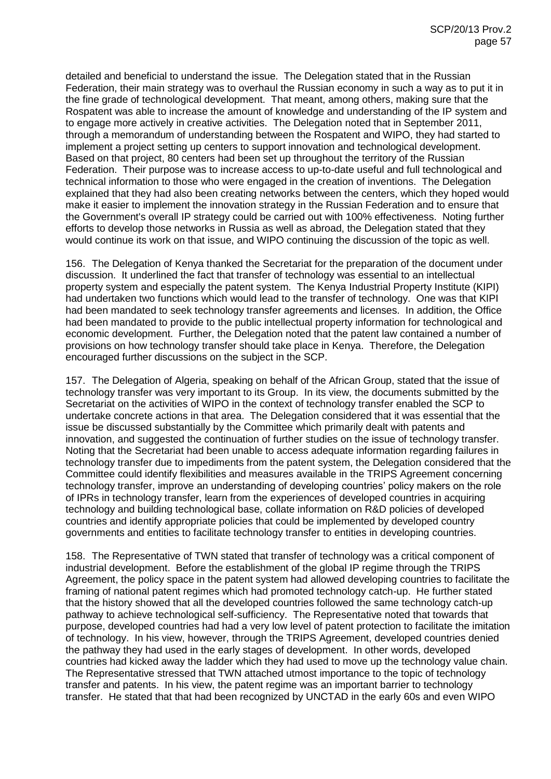detailed and beneficial to understand the issue. The Delegation stated that in the Russian Federation, their main strategy was to overhaul the Russian economy in such a way as to put it in the fine grade of technological development. That meant, among others, making sure that the Rospatent was able to increase the amount of knowledge and understanding of the IP system and to engage more actively in creative activities. The Delegation noted that in September 2011, through a memorandum of understanding between the Rospatent and WIPO, they had started to implement a project setting up centers to support innovation and technological development. Based on that project, 80 centers had been set up throughout the territory of the Russian Federation. Their purpose was to increase access to up-to-date useful and full technological and technical information to those who were engaged in the creation of inventions. The Delegation explained that they had also been creating networks between the centers, which they hoped would make it easier to implement the innovation strategy in the Russian Federation and to ensure that the Government's overall IP strategy could be carried out with 100% effectiveness. Noting further efforts to develop those networks in Russia as well as abroad, the Delegation stated that they would continue its work on that issue, and WIPO continuing the discussion of the topic as well.

156. The Delegation of Kenya thanked the Secretariat for the preparation of the document under discussion. It underlined the fact that transfer of technology was essential to an intellectual property system and especially the patent system. The Kenya Industrial Property Institute (KIPI) had undertaken two functions which would lead to the transfer of technology. One was that KIPI had been mandated to seek technology transfer agreements and licenses. In addition, the Office had been mandated to provide to the public intellectual property information for technological and economic development. Further, the Delegation noted that the patent law contained a number of provisions on how technology transfer should take place in Kenya. Therefore, the Delegation encouraged further discussions on the subject in the SCP.

157. The Delegation of Algeria, speaking on behalf of the African Group, stated that the issue of technology transfer was very important to its Group. In its view, the documents submitted by the Secretariat on the activities of WIPO in the context of technology transfer enabled the SCP to undertake concrete actions in that area. The Delegation considered that it was essential that the issue be discussed substantially by the Committee which primarily dealt with patents and innovation, and suggested the continuation of further studies on the issue of technology transfer. Noting that the Secretariat had been unable to access adequate information regarding failures in technology transfer due to impediments from the patent system, the Delegation considered that the Committee could identify flexibilities and measures available in the TRIPS Agreement concerning technology transfer, improve an understanding of developing countries' policy makers on the role of IPRs in technology transfer, learn from the experiences of developed countries in acquiring technology and building technological base, collate information on R&D policies of developed countries and identify appropriate policies that could be implemented by developed country governments and entities to facilitate technology transfer to entities in developing countries.

158. The Representative of TWN stated that transfer of technology was a critical component of industrial development. Before the establishment of the global IP regime through the TRIPS Agreement, the policy space in the patent system had allowed developing countries to facilitate the framing of national patent regimes which had promoted technology catch-up. He further stated that the history showed that all the developed countries followed the same technology catch-up pathway to achieve technological self-sufficiency. The Representative noted that towards that purpose, developed countries had had a very low level of patent protection to facilitate the imitation of technology. In his view, however, through the TRIPS Agreement, developed countries denied the pathway they had used in the early stages of development. In other words, developed countries had kicked away the ladder which they had used to move up the technology value chain. The Representative stressed that TWN attached utmost importance to the topic of technology transfer and patents. In his view, the patent regime was an important barrier to technology transfer. He stated that that had been recognized by UNCTAD in the early 60s and even WIPO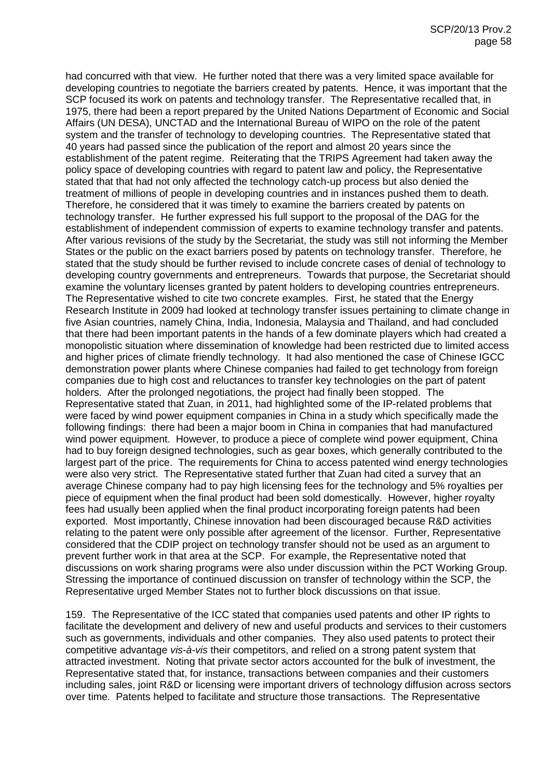had concurred with that view. He further noted that there was a very limited space available for developing countries to negotiate the barriers created by patents. Hence, it was important that the SCP focused its work on patents and technology transfer. The Representative recalled that, in 1975, there had been a report prepared by the United Nations Department of Economic and Social Affairs (UN DESA), UNCTAD and the International Bureau of WIPO on the role of the patent system and the transfer of technology to developing countries. The Representative stated that 40 years had passed since the publication of the report and almost 20 years since the establishment of the patent regime. Reiterating that the TRIPS Agreement had taken away the policy space of developing countries with regard to patent law and policy, the Representative stated that that had not only affected the technology catch-up process but also denied the treatment of millions of people in developing countries and in instances pushed them to death. Therefore, he considered that it was timely to examine the barriers created by patents on technology transfer. He further expressed his full support to the proposal of the DAG for the establishment of independent commission of experts to examine technology transfer and patents. After various revisions of the study by the Secretariat, the study was still not informing the Member States or the public on the exact barriers posed by patents on technology transfer. Therefore, he stated that the study should be further revised to include concrete cases of denial of technology to developing country governments and entrepreneurs. Towards that purpose, the Secretariat should examine the voluntary licenses granted by patent holders to developing countries entrepreneurs. The Representative wished to cite two concrete examples. First, he stated that the Energy Research Institute in 2009 had looked at technology transfer issues pertaining to climate change in five Asian countries, namely China, India, Indonesia, Malaysia and Thailand, and had concluded that there had been important patents in the hands of a few dominate players which had created a monopolistic situation where dissemination of knowledge had been restricted due to limited access and higher prices of climate friendly technology. It had also mentioned the case of Chinese IGCC demonstration power plants where Chinese companies had failed to get technology from foreign companies due to high cost and reluctances to transfer key technologies on the part of patent holders. After the prolonged negotiations, the project had finally been stopped. The Representative stated that Zuan, in 2011, had highlighted some of the IP-related problems that were faced by wind power equipment companies in China in a study which specifically made the following findings: there had been a major boom in China in companies that had manufactured wind power equipment. However, to produce a piece of complete wind power equipment, China had to buy foreign designed technologies, such as gear boxes, which generally contributed to the largest part of the price. The requirements for China to access patented wind energy technologies were also very strict. The Representative stated further that Zuan had cited a survey that an average Chinese company had to pay high licensing fees for the technology and 5% royalties per piece of equipment when the final product had been sold domestically. However, higher royalty fees had usually been applied when the final product incorporating foreign patents had been exported. Most importantly, Chinese innovation had been discouraged because R&D activities relating to the patent were only possible after agreement of the licensor. Further, Representative considered that the CDIP project on technology transfer should not be used as an argument to prevent further work in that area at the SCP. For example, the Representative noted that discussions on work sharing programs were also under discussion within the PCT Working Group. Stressing the importance of continued discussion on transfer of technology within the SCP, the Representative urged Member States not to further block discussions on that issue.

159. The Representative of the ICC stated that companies used patents and other IP rights to facilitate the development and delivery of new and useful products and services to their customers such as governments, individuals and other companies. They also used patents to protect their competitive advantage *vis-à-vis* their competitors, and relied on a strong patent system that attracted investment. Noting that private sector actors accounted for the bulk of investment, the Representative stated that, for instance, transactions between companies and their customers including sales, joint R&D or licensing were important drivers of technology diffusion across sectors over time. Patents helped to facilitate and structure those transactions. The Representative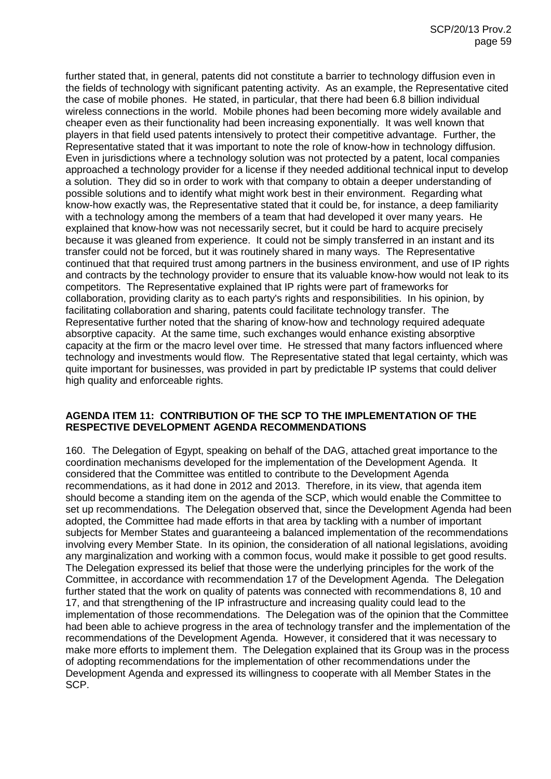further stated that, in general, patents did not constitute a barrier to technology diffusion even in the fields of technology with significant patenting activity. As an example, the Representative cited the case of mobile phones. He stated, in particular, that there had been 6.8 billion individual wireless connections in the world. Mobile phones had been becoming more widely available and cheaper even as their functionality had been increasing exponentially. It was well known that players in that field used patents intensively to protect their competitive advantage. Further, the Representative stated that it was important to note the role of know-how in technology diffusion. Even in jurisdictions where a technology solution was not protected by a patent, local companies approached a technology provider for a license if they needed additional technical input to develop a solution. They did so in order to work with that company to obtain a deeper understanding of possible solutions and to identify what might work best in their environment. Regarding what know-how exactly was, the Representative stated that it could be, for instance, a deep familiarity with a technology among the members of a team that had developed it over many years. He explained that know-how was not necessarily secret, but it could be hard to acquire precisely because it was gleaned from experience. It could not be simply transferred in an instant and its transfer could not be forced, but it was routinely shared in many ways. The Representative continued that that required trust among partners in the business environment, and use of IP rights and contracts by the technology provider to ensure that its valuable know-how would not leak to its competitors. The Representative explained that IP rights were part of frameworks for collaboration, providing clarity as to each party's rights and responsibilities. In his opinion, by facilitating collaboration and sharing, patents could facilitate technology transfer. The Representative further noted that the sharing of know-how and technology required adequate absorptive capacity. At the same time, such exchanges would enhance existing absorptive capacity at the firm or the macro level over time. He stressed that many factors influenced where technology and investments would flow. The Representative stated that legal certainty, which was quite important for businesses, was provided in part by predictable IP systems that could deliver high quality and enforceable rights.

### **AGENDA ITEM 11: CONTRIBUTION OF THE SCP TO THE IMPLEMENTATION OF THE RESPECTIVE DEVELOPMENT AGENDA RECOMMENDATIONS**

160. The Delegation of Egypt, speaking on behalf of the DAG, attached great importance to the coordination mechanisms developed for the implementation of the Development Agenda. It considered that the Committee was entitled to contribute to the Development Agenda recommendations, as it had done in 2012 and 2013. Therefore, in its view, that agenda item should become a standing item on the agenda of the SCP, which would enable the Committee to set up recommendations. The Delegation observed that, since the Development Agenda had been adopted, the Committee had made efforts in that area by tackling with a number of important subjects for Member States and guaranteeing a balanced implementation of the recommendations involving every Member State. In its opinion, the consideration of all national legislations, avoiding any marginalization and working with a common focus, would make it possible to get good results. The Delegation expressed its belief that those were the underlying principles for the work of the Committee, in accordance with recommendation 17 of the Development Agenda. The Delegation further stated that the work on quality of patents was connected with recommendations 8, 10 and 17, and that strengthening of the IP infrastructure and increasing quality could lead to the implementation of those recommendations. The Delegation was of the opinion that the Committee had been able to achieve progress in the area of technology transfer and the implementation of the recommendations of the Development Agenda. However, it considered that it was necessary to make more efforts to implement them. The Delegation explained that its Group was in the process of adopting recommendations for the implementation of other recommendations under the Development Agenda and expressed its willingness to cooperate with all Member States in the SCP.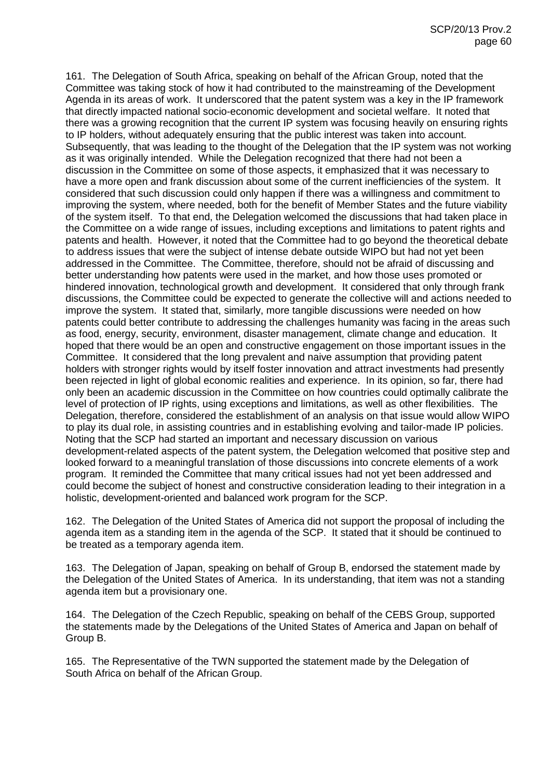161. The Delegation of South Africa, speaking on behalf of the African Group, noted that the Committee was taking stock of how it had contributed to the mainstreaming of the Development Agenda in its areas of work. It underscored that the patent system was a key in the IP framework that directly impacted national socio-economic development and societal welfare. It noted that there was a growing recognition that the current IP system was focusing heavily on ensuring rights to IP holders, without adequately ensuring that the public interest was taken into account. Subsequently, that was leading to the thought of the Delegation that the IP system was not working as it was originally intended. While the Delegation recognized that there had not been a discussion in the Committee on some of those aspects, it emphasized that it was necessary to have a more open and frank discussion about some of the current inefficiencies of the system. It considered that such discussion could only happen if there was a willingness and commitment to improving the system, where needed, both for the benefit of Member States and the future viability of the system itself. To that end, the Delegation welcomed the discussions that had taken place in the Committee on a wide range of issues, including exceptions and limitations to patent rights and patents and health. However, it noted that the Committee had to go beyond the theoretical debate to address issues that were the subject of intense debate outside WIPO but had not yet been addressed in the Committee. The Committee, therefore, should not be afraid of discussing and better understanding how patents were used in the market, and how those uses promoted or hindered innovation, technological growth and development. It considered that only through frank discussions, the Committee could be expected to generate the collective will and actions needed to improve the system. It stated that, similarly, more tangible discussions were needed on how patents could better contribute to addressing the challenges humanity was facing in the areas such as food, energy, security, environment, disaster management, climate change and education. It hoped that there would be an open and constructive engagement on those important issues in the Committee. It considered that the long prevalent and naive assumption that providing patent holders with stronger rights would by itself foster innovation and attract investments had presently been rejected in light of global economic realities and experience. In its opinion, so far, there had only been an academic discussion in the Committee on how countries could optimally calibrate the level of protection of IP rights, using exceptions and limitations, as well as other flexibilities. The Delegation, therefore, considered the establishment of an analysis on that issue would allow WIPO to play its dual role, in assisting countries and in establishing evolving and tailor-made IP policies. Noting that the SCP had started an important and necessary discussion on various development-related aspects of the patent system, the Delegation welcomed that positive step and looked forward to a meaningful translation of those discussions into concrete elements of a work program. It reminded the Committee that many critical issues had not yet been addressed and could become the subject of honest and constructive consideration leading to their integration in a holistic, development-oriented and balanced work program for the SCP.

162. The Delegation of the United States of America did not support the proposal of including the agenda item as a standing item in the agenda of the SCP. It stated that it should be continued to be treated as a temporary agenda item.

163. The Delegation of Japan, speaking on behalf of Group B, endorsed the statement made by the Delegation of the United States of America. In its understanding, that item was not a standing agenda item but a provisionary one.

164. The Delegation of the Czech Republic, speaking on behalf of the CEBS Group, supported the statements made by the Delegations of the United States of America and Japan on behalf of Group B.

165. The Representative of the TWN supported the statement made by the Delegation of South Africa on behalf of the African Group.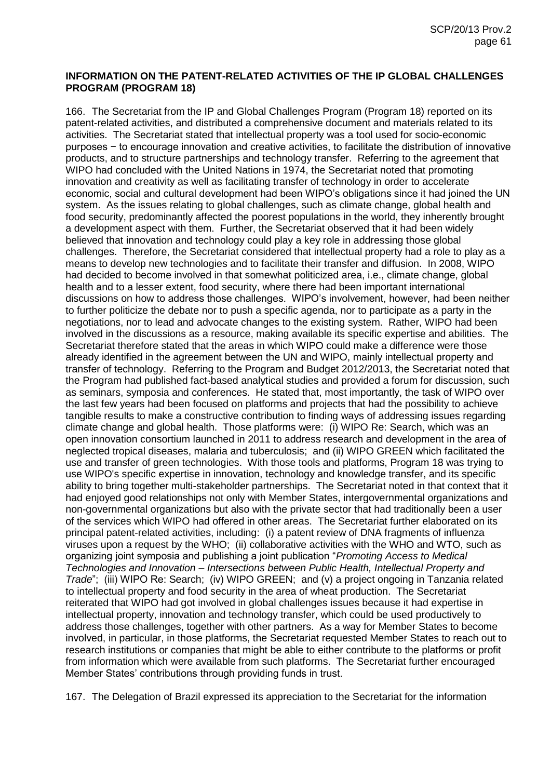## **INFORMATION ON THE PATENT-RELATED ACTIVITIES OF THE IP GLOBAL CHALLENGES PROGRAM (PROGRAM 18)**

166. The Secretariat from the IP and Global Challenges Program (Program 18) reported on its patent-related activities, and distributed a comprehensive document and materials related to its activities. The Secretariat stated that intellectual property was a tool used for socio-economic purposes − to encourage innovation and creative activities, to facilitate the distribution of innovative products, and to structure partnerships and technology transfer. Referring to the agreement that WIPO had concluded with the United Nations in 1974, the Secretariat noted that promoting innovation and creativity as well as facilitating transfer of technology in order to accelerate economic, social and cultural development had been WIPO's obligations since it had joined the UN system. As the issues relating to global challenges, such as climate change, global health and food security, predominantly affected the poorest populations in the world, they inherently brought a development aspect with them. Further, the Secretariat observed that it had been widely believed that innovation and technology could play a key role in addressing those global challenges. Therefore, the Secretariat considered that intellectual property had a role to play as a means to develop new technologies and to facilitate their transfer and diffusion. In 2008, WIPO had decided to become involved in that somewhat politicized area, i.e., climate change, global health and to a lesser extent, food security, where there had been important international discussions on how to address those challenges. WIPO's involvement, however, had been neither to further politicize the debate nor to push a specific agenda, nor to participate as a party in the negotiations, nor to lead and advocate changes to the existing system. Rather, WIPO had been involved in the discussions as a resource, making available its specific expertise and abilities. The Secretariat therefore stated that the areas in which WIPO could make a difference were those already identified in the agreement between the UN and WIPO, mainly intellectual property and transfer of technology. Referring to the Program and Budget 2012/2013, the Secretariat noted that the Program had published fact-based analytical studies and provided a forum for discussion, such as seminars, symposia and conferences. He stated that, most importantly, the task of WIPO over the last few years had been focused on platforms and projects that had the possibility to achieve tangible results to make a constructive contribution to finding ways of addressing issues regarding climate change and global health. Those platforms were: (i) WIPO Re: Search, which was an open innovation consortium launched in 2011 to address research and development in the area of neglected tropical diseases, malaria and tuberculosis; and (ii) WIPO GREEN which facilitated the use and transfer of green technologies. With those tools and platforms, Program 18 was trying to use WIPO's specific expertise in innovation, technology and knowledge transfer, and its specific ability to bring together multi-stakeholder partnerships. The Secretariat noted in that context that it had enjoyed good relationships not only with Member States, intergovernmental organizations and non-governmental organizations but also with the private sector that had traditionally been a user of the services which WIPO had offered in other areas. The Secretariat further elaborated on its principal patent-related activities, including: (i) a patent review of DNA fragments of influenza viruses upon a request by the WHO; (ii) collaborative activities with the WHO and WTO, such as organizing joint symposia and publishing a joint publication "*Promoting Access to Medical Technologies and Innovation – Intersections between Public Health, Intellectual Property and Trade*"; (iii) WIPO Re: Search; (iv) WIPO GREEN; and (v) a project ongoing in Tanzania related to intellectual property and food security in the area of wheat production. The Secretariat reiterated that WIPO had got involved in global challenges issues because it had expertise in intellectual property, innovation and technology transfer, which could be used productively to address those challenges, together with other partners. As a way for Member States to become involved, in particular, in those platforms, the Secretariat requested Member States to reach out to research institutions or companies that might be able to either contribute to the platforms or profit from information which were available from such platforms. The Secretariat further encouraged Member States' contributions through providing funds in trust.

167. The Delegation of Brazil expressed its appreciation to the Secretariat for the information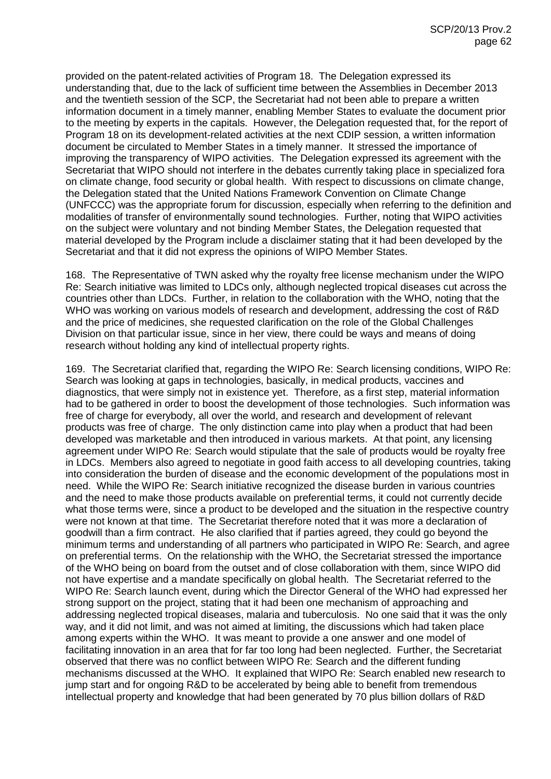provided on the patent-related activities of Program 18. The Delegation expressed its understanding that, due to the lack of sufficient time between the Assemblies in December 2013 and the twentieth session of the SCP, the Secretariat had not been able to prepare a written information document in a timely manner, enabling Member States to evaluate the document prior to the meeting by experts in the capitals. However, the Delegation requested that, for the report of Program 18 on its development-related activities at the next CDIP session, a written information document be circulated to Member States in a timely manner. It stressed the importance of improving the transparency of WIPO activities. The Delegation expressed its agreement with the Secretariat that WIPO should not interfere in the debates currently taking place in specialized fora on climate change, food security or global health. With respect to discussions on climate change, the Delegation stated that the United Nations Framework Convention on Climate Change (UNFCCC) was the appropriate forum for discussion, especially when referring to the definition and modalities of transfer of environmentally sound technologies. Further, noting that WIPO activities on the subject were voluntary and not binding Member States, the Delegation requested that material developed by the Program include a disclaimer stating that it had been developed by the Secretariat and that it did not express the opinions of WIPO Member States.

168. The Representative of TWN asked why the royalty free license mechanism under the WIPO Re: Search initiative was limited to LDCs only, although neglected tropical diseases cut across the countries other than LDCs. Further, in relation to the collaboration with the WHO, noting that the WHO was working on various models of research and development, addressing the cost of R&D and the price of medicines, she requested clarification on the role of the Global Challenges Division on that particular issue, since in her view, there could be ways and means of doing research without holding any kind of intellectual property rights.

169. The Secretariat clarified that, regarding the WIPO Re: Search licensing conditions, WIPO Re: Search was looking at gaps in technologies, basically, in medical products, vaccines and diagnostics, that were simply not in existence yet. Therefore, as a first step, material information had to be gathered in order to boost the development of those technologies. Such information was free of charge for everybody, all over the world, and research and development of relevant products was free of charge. The only distinction came into play when a product that had been developed was marketable and then introduced in various markets. At that point, any licensing agreement under WIPO Re: Search would stipulate that the sale of products would be royalty free in LDCs. Members also agreed to negotiate in good faith access to all developing countries, taking into consideration the burden of disease and the economic development of the populations most in need. While the WIPO Re: Search initiative recognized the disease burden in various countries and the need to make those products available on preferential terms, it could not currently decide what those terms were, since a product to be developed and the situation in the respective country were not known at that time. The Secretariat therefore noted that it was more a declaration of goodwill than a firm contract. He also clarified that if parties agreed, they could go beyond the minimum terms and understanding of all partners who participated in WIPO Re: Search, and agree on preferential terms. On the relationship with the WHO, the Secretariat stressed the importance of the WHO being on board from the outset and of close collaboration with them, since WIPO did not have expertise and a mandate specifically on global health. The Secretariat referred to the WIPO Re: Search launch event, during which the Director General of the WHO had expressed her strong support on the project, stating that it had been one mechanism of approaching and addressing neglected tropical diseases, malaria and tuberculosis. No one said that it was the only way, and it did not limit, and was not aimed at limiting, the discussions which had taken place among experts within the WHO. It was meant to provide a one answer and one model of facilitating innovation in an area that for far too long had been neglected. Further, the Secretariat observed that there was no conflict between WIPO Re: Search and the different funding mechanisms discussed at the WHO. It explained that WIPO Re: Search enabled new research to jump start and for ongoing R&D to be accelerated by being able to benefit from tremendous intellectual property and knowledge that had been generated by 70 plus billion dollars of R&D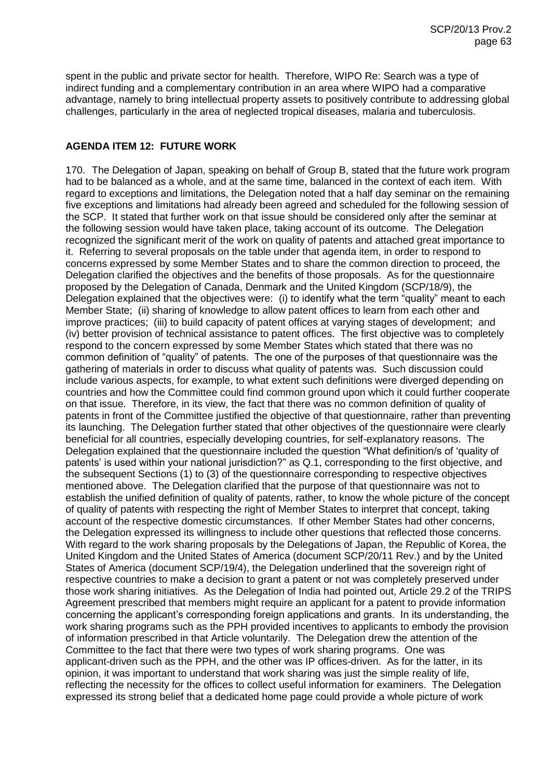spent in the public and private sector for health. Therefore, WIPO Re: Search was a type of indirect funding and a complementary contribution in an area where WIPO had a comparative advantage, namely to bring intellectual property assets to positively contribute to addressing global challenges, particularly in the area of neglected tropical diseases, malaria and tuberculosis.

# **AGENDA ITEM 12: FUTURE WORK**

170. The Delegation of Japan, speaking on behalf of Group B, stated that the future work program had to be balanced as a whole, and at the same time, balanced in the context of each item. With regard to exceptions and limitations, the Delegation noted that a half day seminar on the remaining five exceptions and limitations had already been agreed and scheduled for the following session of the SCP. It stated that further work on that issue should be considered only after the seminar at the following session would have taken place, taking account of its outcome. The Delegation recognized the significant merit of the work on quality of patents and attached great importance to it. Referring to several proposals on the table under that agenda item, in order to respond to concerns expressed by some Member States and to share the common direction to proceed, the Delegation clarified the objectives and the benefits of those proposals. As for the questionnaire proposed by the Delegation of Canada, Denmark and the United Kingdom (SCP/18/9), the Delegation explained that the objectives were: (i) to identify what the term "quality" meant to each Member State; (ii) sharing of knowledge to allow patent offices to learn from each other and improve practices; (iii) to build capacity of patent offices at varying stages of development; and (iv) better provision of technical assistance to patent offices. The first objective was to completely respond to the concern expressed by some Member States which stated that there was no common definition of "quality" of patents. The one of the purposes of that questionnaire was the gathering of materials in order to discuss what quality of patents was. Such discussion could include various aspects, for example, to what extent such definitions were diverged depending on countries and how the Committee could find common ground upon which it could further cooperate on that issue. Therefore, in its view, the fact that there was no common definition of quality of patents in front of the Committee justified the objective of that questionnaire, rather than preventing its launching. The Delegation further stated that other objectives of the questionnaire were clearly beneficial for all countries, especially developing countries, for self-explanatory reasons. The Delegation explained that the questionnaire included the question "What definition/s of 'quality of patents' is used within your national jurisdiction?" as Q.1, corresponding to the first objective, and the subsequent Sections (1) to (3) of the questionnaire corresponding to respective objectives mentioned above. The Delegation clarified that the purpose of that questionnaire was not to establish the unified definition of quality of patents, rather, to know the whole picture of the concept of quality of patents with respecting the right of Member States to interpret that concept, taking account of the respective domestic circumstances. If other Member States had other concerns, the Delegation expressed its willingness to include other questions that reflected those concerns. With regard to the work sharing proposals by the Delegations of Japan, the Republic of Korea, the United Kingdom and the United States of America (document SCP/20/11 Rev.) and by the United States of America (document SCP/19/4), the Delegation underlined that the sovereign right of respective countries to make a decision to grant a patent or not was completely preserved under those work sharing initiatives. As the Delegation of India had pointed out, Article 29.2 of the TRIPS Agreement prescribed that members might require an applicant for a patent to provide information concerning the applicant's corresponding foreign applications and grants. In its understanding, the work sharing programs such as the PPH provided incentives to applicants to embody the provision of information prescribed in that Article voluntarily. The Delegation drew the attention of the Committee to the fact that there were two types of work sharing programs. One was applicant-driven such as the PPH, and the other was IP offices-driven. As for the latter, in its opinion, it was important to understand that work sharing was just the simple reality of life, reflecting the necessity for the offices to collect useful information for examiners. The Delegation expressed its strong belief that a dedicated home page could provide a whole picture of work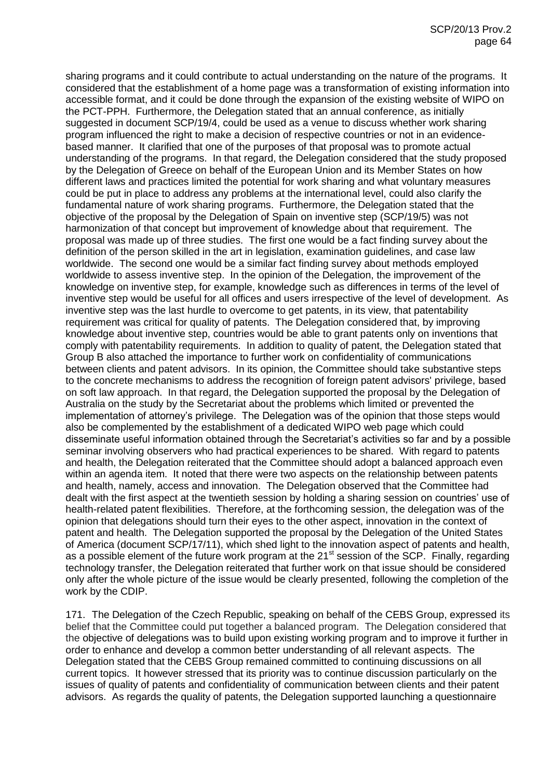sharing programs and it could contribute to actual understanding on the nature of the programs. It considered that the establishment of a home page was a transformation of existing information into accessible format, and it could be done through the expansion of the existing website of WIPO on the PCT-PPH. Furthermore, the Delegation stated that an annual conference, as initially suggested in document SCP/19/4, could be used as a venue to discuss whether work sharing program influenced the right to make a decision of respective countries or not in an evidencebased manner. It clarified that one of the purposes of that proposal was to promote actual understanding of the programs. In that regard, the Delegation considered that the study proposed by the Delegation of Greece on behalf of the European Union and its Member States on how different laws and practices limited the potential for work sharing and what voluntary measures could be put in place to address any problems at the international level, could also clarify the fundamental nature of work sharing programs. Furthermore, the Delegation stated that the objective of the proposal by the Delegation of Spain on inventive step (SCP/19/5) was not harmonization of that concept but improvement of knowledge about that requirement. The proposal was made up of three studies. The first one would be a fact finding survey about the definition of the person skilled in the art in legislation, examination guidelines, and case law worldwide. The second one would be a similar fact finding survey about methods employed worldwide to assess inventive step. In the opinion of the Delegation, the improvement of the knowledge on inventive step, for example, knowledge such as differences in terms of the level of inventive step would be useful for all offices and users irrespective of the level of development. As inventive step was the last hurdle to overcome to get patents, in its view, that patentability requirement was critical for quality of patents. The Delegation considered that, by improving knowledge about inventive step, countries would be able to grant patents only on inventions that comply with patentability requirements. In addition to quality of patent, the Delegation stated that Group B also attached the importance to further work on confidentiality of communications between clients and patent advisors. In its opinion, the Committee should take substantive steps to the concrete mechanisms to address the recognition of foreign patent advisors' privilege, based on soft law approach. In that regard, the Delegation supported the proposal by the Delegation of Australia on the study by the Secretariat about the problems which limited or prevented the implementation of attorney's privilege. The Delegation was of the opinion that those steps would also be complemented by the establishment of a dedicated WIPO web page which could disseminate useful information obtained through the Secretariat's activities so far and by a possible seminar involving observers who had practical experiences to be shared. With regard to patents and health, the Delegation reiterated that the Committee should adopt a balanced approach even within an agenda item. It noted that there were two aspects on the relationship between patents and health, namely, access and innovation. The Delegation observed that the Committee had dealt with the first aspect at the twentieth session by holding a sharing session on countries' use of health-related patent flexibilities. Therefore, at the forthcoming session, the delegation was of the opinion that delegations should turn their eyes to the other aspect, innovation in the context of patent and health. The Delegation supported the proposal by the Delegation of the United States of America (document SCP/17/11), which shed light to the innovation aspect of patents and health, as a possible element of the future work program at the 21<sup>st</sup> session of the SCP. Finally, regarding technology transfer, the Delegation reiterated that further work on that issue should be considered only after the whole picture of the issue would be clearly presented, following the completion of the work by the CDIP.

171. The Delegation of the Czech Republic, speaking on behalf of the CEBS Group, expressed its belief that the Committee could put together a balanced program. The Delegation considered that the objective of delegations was to build upon existing working program and to improve it further in order to enhance and develop a common better understanding of all relevant aspects. The Delegation stated that the CEBS Group remained committed to continuing discussions on all current topics. It however stressed that its priority was to continue discussion particularly on the issues of quality of patents and confidentiality of communication between clients and their patent advisors. As regards the quality of patents, the Delegation supported launching a questionnaire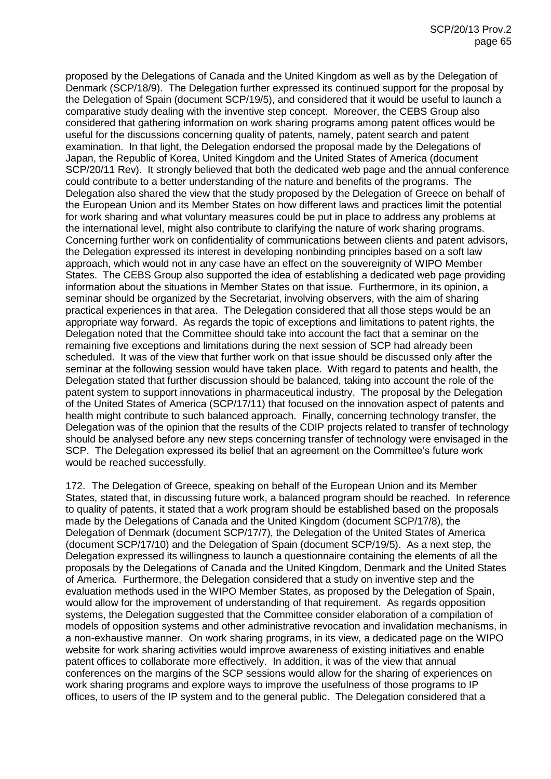proposed by the Delegations of Canada and the United Kingdom as well as by the Delegation of Denmark (SCP/18/9). The Delegation further expressed its continued support for the proposal by the Delegation of Spain (document SCP/19/5), and considered that it would be useful to launch a comparative study dealing with the inventive step concept. Moreover, the CEBS Group also considered that gathering information on work sharing programs among patent offices would be useful for the discussions concerning quality of patents, namely, patent search and patent examination. In that light, the Delegation endorsed the proposal made by the Delegations of Japan, the Republic of Korea, United Kingdom and the United States of America (document SCP/20/11 Rev). It strongly believed that both the dedicated web page and the annual conference could contribute to a better understanding of the nature and benefits of the programs. The Delegation also shared the view that the study proposed by the Delegation of Greece on behalf of the European Union and its Member States on how different laws and practices limit the potential for work sharing and what voluntary measures could be put in place to address any problems at the international level, might also contribute to clarifying the nature of work sharing programs. Concerning further work on confidentiality of communications between clients and patent advisors, the Delegation expressed its interest in developing nonbinding principles based on a soft law approach, which would not in any case have an effect on the souvereignity of WIPO Member States. The CEBS Group also supported the idea of establishing a dedicated web page providing information about the situations in Member States on that issue. Furthermore, in its opinion, a seminar should be organized by the Secretariat, involving observers, with the aim of sharing practical experiences in that area. The Delegation considered that all those steps would be an appropriate way forward. As regards the topic of exceptions and limitations to patent rights, the Delegation noted that the Committee should take into account the fact that a seminar on the remaining five exceptions and limitations during the next session of SCP had already been scheduled. It was of the view that further work on that issue should be discussed only after the seminar at the following session would have taken place. With regard to patents and health, the Delegation stated that further discussion should be balanced, taking into account the role of the patent system to support innovations in pharmaceutical industry. The proposal by the Delegation of the United States of America (SCP/17/11) that focused on the innovation aspect of patents and health might contribute to such balanced approach. Finally, concerning technology transfer, the Delegation was of the opinion that the results of the CDIP projects related to transfer of technology should be analysed before any new steps concerning transfer of technology were envisaged in the SCP. The Delegation expressed its belief that an agreement on the Committee's future work would be reached successfully.

172. The Delegation of Greece, speaking on behalf of the European Union and its Member States, stated that, in discussing future work, a balanced program should be reached. In reference to quality of patents, it stated that a work program should be established based on the proposals made by the Delegations of Canada and the United Kingdom (document SCP/17/8), the Delegation of Denmark (document SCP/17/7), the Delegation of the United States of America (document SCP/17/10) and the Delegation of Spain (document SCP/19/5). As a next step, the Delegation expressed its willingness to launch a questionnaire containing the elements of all the proposals by the Delegations of Canada and the United Kingdom, Denmark and the United States of America. Furthermore, the Delegation considered that a study on inventive step and the evaluation methods used in the WIPO Member States, as proposed by the Delegation of Spain, would allow for the improvement of understanding of that requirement. As regards opposition systems, the Delegation suggested that the Committee consider elaboration of a compilation of models of opposition systems and other administrative revocation and invalidation mechanisms, in a non-exhaustive manner. On work sharing programs, in its view, a dedicated page on the WIPO website for work sharing activities would improve awareness of existing initiatives and enable patent offices to collaborate more effectively. In addition, it was of the view that annual conferences on the margins of the SCP sessions would allow for the sharing of experiences on work sharing programs and explore ways to improve the usefulness of those programs to IP offices, to users of the IP system and to the general public. The Delegation considered that a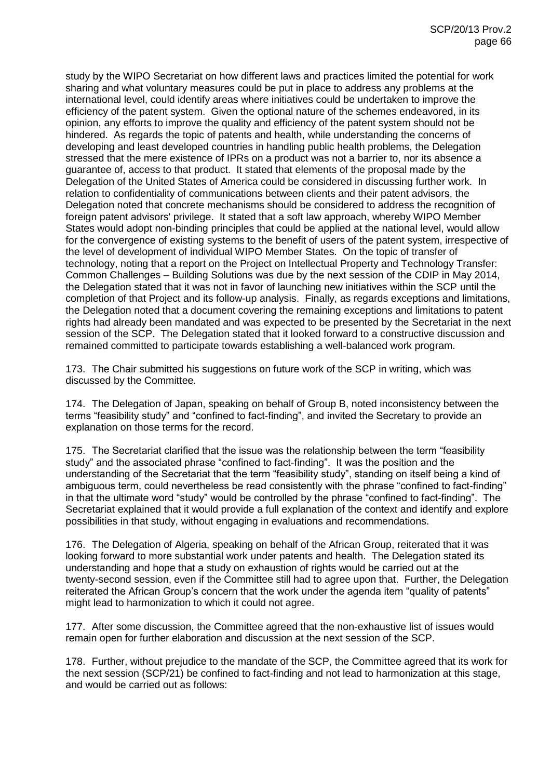study by the WIPO Secretariat on how different laws and practices limited the potential for work sharing and what voluntary measures could be put in place to address any problems at the international level, could identify areas where initiatives could be undertaken to improve the efficiency of the patent system. Given the optional nature of the schemes endeavored, in its opinion, any efforts to improve the quality and efficiency of the patent system should not be hindered. As regards the topic of patents and health, while understanding the concerns of developing and least developed countries in handling public health problems, the Delegation stressed that the mere existence of IPRs on a product was not a barrier to, nor its absence a guarantee of, access to that product. It stated that elements of the proposal made by the Delegation of the United States of America could be considered in discussing further work. In relation to confidentiality of communications between clients and their patent advisors, the Delegation noted that concrete mechanisms should be considered to address the recognition of foreign patent advisors' privilege. It stated that a soft law approach, whereby WIPO Member States would adopt non-binding principles that could be applied at the national level, would allow for the convergence of existing systems to the benefit of users of the patent system, irrespective of the level of development of individual WIPO Member States. On the topic of transfer of technology, noting that a report on the Project on Intellectual Property and Technology Transfer: Common Challenges – Building Solutions was due by the next session of the CDIP in May 2014, the Delegation stated that it was not in favor of launching new initiatives within the SCP until the completion of that Project and its follow-up analysis. Finally, as regards exceptions and limitations, the Delegation noted that a document covering the remaining exceptions and limitations to patent rights had already been mandated and was expected to be presented by the Secretariat in the next session of the SCP. The Delegation stated that it looked forward to a constructive discussion and remained committed to participate towards establishing a well-balanced work program.

173. The Chair submitted his suggestions on future work of the SCP in writing, which was discussed by the Committee.

174. The Delegation of Japan, speaking on behalf of Group B, noted inconsistency between the terms "feasibility study" and "confined to fact-finding", and invited the Secretary to provide an explanation on those terms for the record.

175. The Secretariat clarified that the issue was the relationship between the term "feasibility study" and the associated phrase "confined to fact-finding". It was the position and the understanding of the Secretariat that the term "feasibility study", standing on itself being a kind of ambiguous term, could nevertheless be read consistently with the phrase "confined to fact-finding" in that the ultimate word "study" would be controlled by the phrase "confined to fact-finding". The Secretariat explained that it would provide a full explanation of the context and identify and explore possibilities in that study, without engaging in evaluations and recommendations.

176. The Delegation of Algeria, speaking on behalf of the African Group, reiterated that it was looking forward to more substantial work under patents and health. The Delegation stated its understanding and hope that a study on exhaustion of rights would be carried out at the twenty-second session, even if the Committee still had to agree upon that. Further, the Delegation reiterated the African Group's concern that the work under the agenda item "quality of patents" might lead to harmonization to which it could not agree.

177. After some discussion, the Committee agreed that the non-exhaustive list of issues would remain open for further elaboration and discussion at the next session of the SCP.

178. Further, without prejudice to the mandate of the SCP, the Committee agreed that its work for the next session (SCP/21) be confined to fact-finding and not lead to harmonization at this stage, and would be carried out as follows: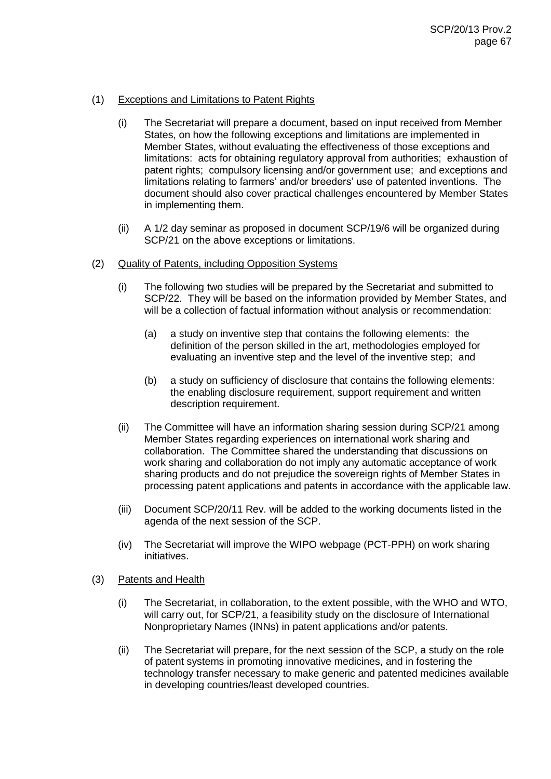## (1) Exceptions and Limitations to Patent Rights

- (i) The Secretariat will prepare a document, based on input received from Member States, on how the following exceptions and limitations are implemented in Member States, without evaluating the effectiveness of those exceptions and limitations: acts for obtaining regulatory approval from authorities; exhaustion of patent rights; compulsory licensing and/or government use; and exceptions and limitations relating to farmers' and/or breeders' use of patented inventions. The document should also cover practical challenges encountered by Member States in implementing them.
- (ii) A 1/2 day seminar as proposed in document SCP/19/6 will be organized during SCP/21 on the above exceptions or limitations.

#### (2) Quality of Patents, including Opposition Systems

- (i) The following two studies will be prepared by the Secretariat and submitted to SCP/22. They will be based on the information provided by Member States, and will be a collection of factual information without analysis or recommendation:
	- (a) a study on inventive step that contains the following elements: the definition of the person skilled in the art, methodologies employed for evaluating an inventive step and the level of the inventive step; and
	- (b) a study on sufficiency of disclosure that contains the following elements: the enabling disclosure requirement, support requirement and written description requirement.
- (ii) The Committee will have an information sharing session during SCP/21 among Member States regarding experiences on international work sharing and collaboration. The Committee shared the understanding that discussions on work sharing and collaboration do not imply any automatic acceptance of work sharing products and do not prejudice the sovereign rights of Member States in processing patent applications and patents in accordance with the applicable law.
- (iii) Document SCP/20/11 Rev. will be added to the working documents listed in the agenda of the next session of the SCP.
- (iv) The Secretariat will improve the WIPO webpage (PCT-PPH) on work sharing initiatives.
- (3) Patents and Health
	- (i) The Secretariat, in collaboration, to the extent possible, with the WHO and WTO, will carry out, for SCP/21, a feasibility study on the disclosure of International Nonproprietary Names (INNs) in patent applications and/or patents.
	- (ii) The Secretariat will prepare, for the next session of the SCP, a study on the role of patent systems in promoting innovative medicines, and in fostering the technology transfer necessary to make generic and patented medicines available in developing countries/least developed countries.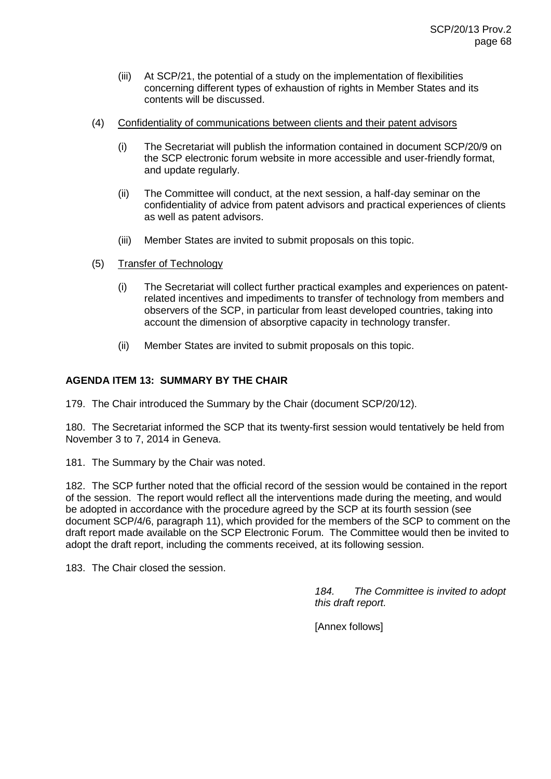- (iii) At SCP/21, the potential of a study on the implementation of flexibilities concerning different types of exhaustion of rights in Member States and its contents will be discussed.
- (4) Confidentiality of communications between clients and their patent advisors
	- (i) The Secretariat will publish the information contained in document SCP/20/9 on the SCP electronic forum website in more accessible and user-friendly format, and update regularly.
	- (ii) The Committee will conduct, at the next session, a half-day seminar on the confidentiality of advice from patent advisors and practical experiences of clients as well as patent advisors.
	- (iii) Member States are invited to submit proposals on this topic.
- (5) Transfer of Technology
	- (i) The Secretariat will collect further practical examples and experiences on patentrelated incentives and impediments to transfer of technology from members and observers of the SCP, in particular from least developed countries, taking into account the dimension of absorptive capacity in technology transfer.
	- (ii) Member States are invited to submit proposals on this topic.

# **AGENDA ITEM 13: SUMMARY BY THE CHAIR**

179. The Chair introduced the Summary by the Chair (document SCP/20/12).

180. The Secretariat informed the SCP that its twenty-first session would tentatively be held from November 3 to 7, 2014 in Geneva.

181. The Summary by the Chair was noted.

182. The SCP further noted that the official record of the session would be contained in the report of the session. The report would reflect all the interventions made during the meeting, and would be adopted in accordance with the procedure agreed by the SCP at its fourth session (see document SCP/4/6, paragraph 11), which provided for the members of the SCP to comment on the draft report made available on the SCP Electronic Forum. The Committee would then be invited to adopt the draft report, including the comments received, at its following session.

183. The Chair closed the session.

*184. The Committee is invited to adopt this draft report.*

[Annex follows]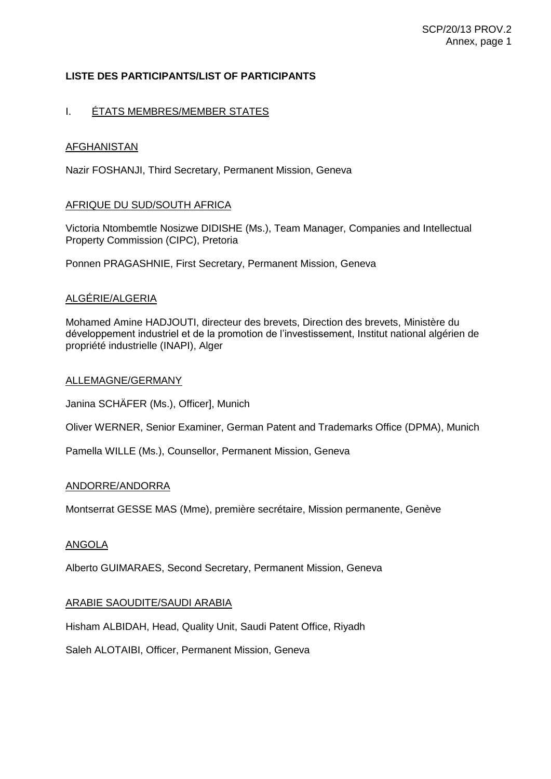# **LISTE DES PARTICIPANTS/LIST OF PARTICIPANTS**

# I. <u>ÉTATS MEMBRES/MEMBER STATES</u>

# AFGHANISTAN

Nazir FOSHANJI, Third Secretary, Permanent Mission, Geneva

### AFRIQUE DU SUD/SOUTH AFRICA

Victoria Ntombemtle Nosizwe DIDISHE (Ms.), Team Manager, Companies and Intellectual Property Commission (CIPC), Pretoria

Ponnen PRAGASHNIE, First Secretary, Permanent Mission, Geneva

# ALGÉRIE/ALGERIA

Mohamed Amine HADJOUTI, directeur des brevets, Direction des brevets, Ministère du développement industriel et de la promotion de l'investissement, Institut national algérien de propriété industrielle (INAPI), Alger

### ALLEMAGNE/GERMANY

Janina SCHÄFER (Ms.), Officer], Munich

Oliver WERNER, Senior Examiner, German Patent and Trademarks Office (DPMA), Munich

Pamella WILLE (Ms.), Counsellor, Permanent Mission, Geneva

#### ANDORRE/ANDORRA

Montserrat GESSE MAS (Mme), première secrétaire, Mission permanente, Genève

#### ANGOLA

Alberto GUIMARAES, Second Secretary, Permanent Mission, Geneva

# ARABIE SAOUDITE/SAUDI ARABIA

Hisham ALBIDAH, Head, Quality Unit, Saudi Patent Office, Riyadh

Saleh ALOTAIBI, Officer, Permanent Mission, Geneva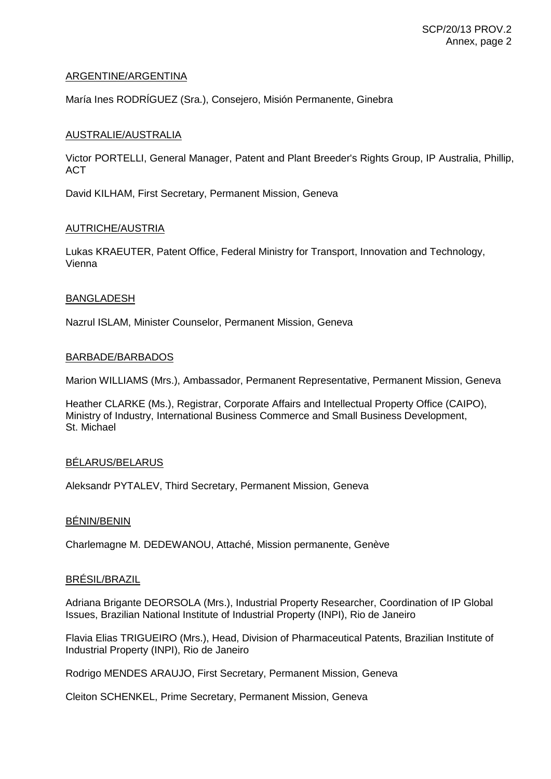### ARGENTINE/ARGENTINA

María Ines RODRÍGUEZ (Sra.), Consejero, Misión Permanente, Ginebra

### AUSTRALIE/AUSTRALIA

Victor PORTELLI, General Manager, Patent and Plant Breeder's Rights Group, IP Australia, Phillip, ACT

David KILHAM, First Secretary, Permanent Mission, Geneva

#### AUTRICHE/AUSTRIA

Lukas KRAEUTER, Patent Office, Federal Ministry for Transport, Innovation and Technology, Vienna

#### BANGLADESH

Nazrul ISLAM, Minister Counselor, Permanent Mission, Geneva

# BARBADE/BARBADOS

Marion WILLIAMS (Mrs.), Ambassador, Permanent Representative, Permanent Mission, Geneva

Heather CLARKE (Ms.), Registrar, Corporate Affairs and Intellectual Property Office (CAIPO), Ministry of Industry, International Business Commerce and Small Business Development, St. Michael

# BÉLARUS/BELARUS

Aleksandr PYTALEV, Third Secretary, Permanent Mission, Geneva

# BÉNIN/BENIN

Charlemagne M. DEDEWANOU, Attaché, Mission permanente, Genève

### BRÉSIL/BRAZIL

Adriana Brigante DEORSOLA (Mrs.), Industrial Property Researcher, Coordination of IP Global Issues, Brazilian National Institute of Industrial Property (INPI), Rio de Janeiro

Flavia Elias TRIGUEIRO (Mrs.), Head, Division of Pharmaceutical Patents, Brazilian Institute of Industrial Property (INPI), Rio de Janeiro

Rodrigo MENDES ARAUJO, First Secretary, Permanent Mission, Geneva

Cleiton SCHENKEL, Prime Secretary, Permanent Mission, Geneva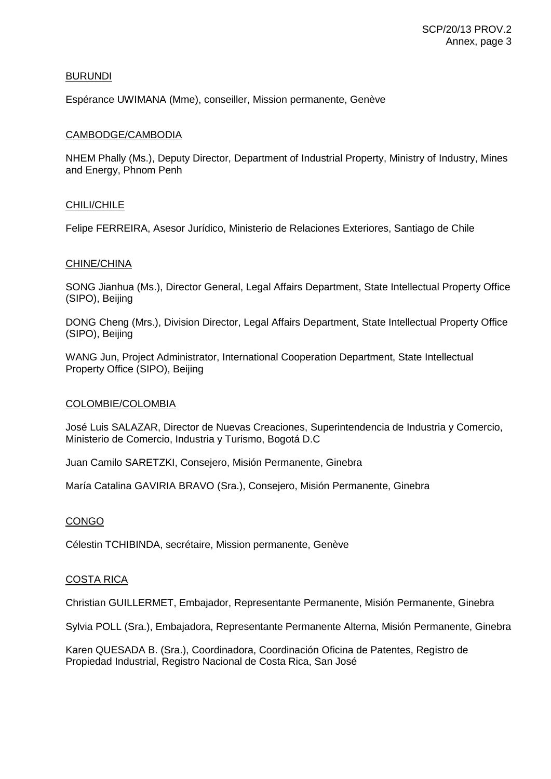### BURUNDI

Espérance UWIMANA (Mme), conseiller, Mission permanente, Genève

### CAMBODGE/CAMBODIA

NHEM Phally (Ms.), Deputy Director, Department of Industrial Property, Ministry of Industry, Mines and Energy, Phnom Penh

### CHILI/CHILE

Felipe FERREIRA, Asesor Jurídico, Ministerio de Relaciones Exteriores, Santiago de Chile

### CHINE/CHINA

SONG Jianhua (Ms.), Director General, Legal Affairs Department, State Intellectual Property Office (SIPO), Beijing

DONG Cheng (Mrs.), Division Director, Legal Affairs Department, State Intellectual Property Office (SIPO), Beijing

WANG Jun, Project Administrator, International Cooperation Department, State Intellectual Property Office (SIPO), Beijing

#### COLOMBIE/COLOMBIA

José Luis SALAZAR, Director de Nuevas Creaciones, Superintendencia de Industria y Comercio, Ministerio de Comercio, Industria y Turismo, Bogotá D.C

Juan Camilo SARETZKI, Consejero, Misión Permanente, Ginebra

María Catalina GAVIRIA BRAVO (Sra.), Consejero, Misión Permanente, Ginebra

# **CONGO**

Célestin TCHIBINDA, secrétaire, Mission permanente, Genève

#### COSTA RICA

Christian GUILLERMET, Embajador, Representante Permanente, Misión Permanente, Ginebra

Sylvia POLL (Sra.), Embajadora, Representante Permanente Alterna, Misión Permanente, Ginebra

Karen QUESADA B. (Sra.), Coordinadora, Coordinación Oficina de Patentes, Registro de Propiedad Industrial, Registro Nacional de Costa Rica, San José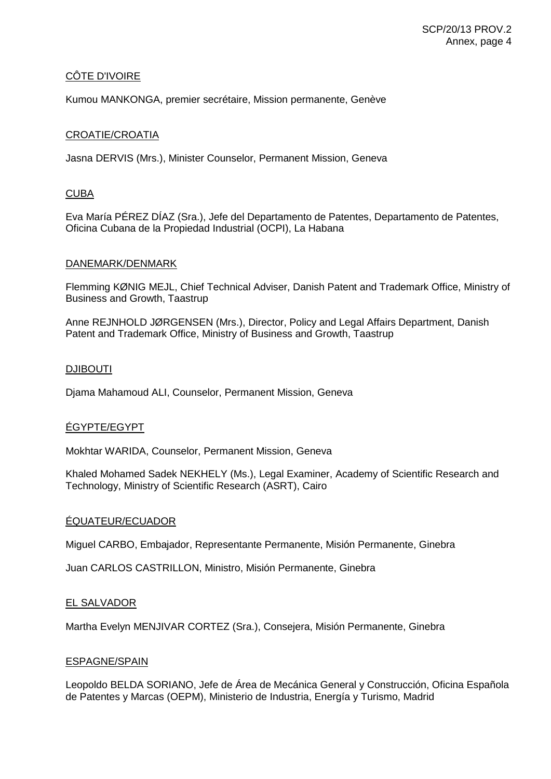# CÔTE D'IVOIRE

Kumou MANKONGA, premier secrétaire, Mission permanente, Genève

## CROATIE/CROATIA

Jasna DERVIS (Mrs.), Minister Counselor, Permanent Mission, Geneva

### **CUBA**

Eva María PÉREZ DÍAZ (Sra.), Jefe del Departamento de Patentes, Departamento de Patentes, Oficina Cubana de la Propiedad Industrial (OCPI), La Habana

#### DANEMARK/DENMARK

Flemming KØNIG MEJL, Chief Technical Adviser, Danish Patent and Trademark Office, Ministry of Business and Growth, Taastrup

Anne REJNHOLD JØRGENSEN (Mrs.), Director, Policy and Legal Affairs Department, Danish Patent and Trademark Office, Ministry of Business and Growth, Taastrup

#### DJIBOUTI

Djama Mahamoud ALI, Counselor, Permanent Mission, Geneva

# ÉGYPTE/EGYPT

Mokhtar WARIDA, Counselor, Permanent Mission, Geneva

Khaled Mohamed Sadek NEKHELY (Ms.), Legal Examiner, Academy of Scientific Research and Technology, Ministry of Scientific Research (ASRT), Cairo

#### ÉQUATEUR/ECUADOR

Miguel CARBO, Embajador, Representante Permanente, Misión Permanente, Ginebra

Juan CARLOS CASTRILLON, Ministro, Misión Permanente, Ginebra

#### EL SALVADOR

Martha Evelyn MENJIVAR CORTEZ (Sra.), Consejera, Misión Permanente, Ginebra

#### ESPAGNE/SPAIN

Leopoldo BELDA SORIANO, Jefe de Área de Mecánica General y Construcción, Oficina Española de Patentes y Marcas (OEPM), Ministerio de Industria, Energía y Turismo, Madrid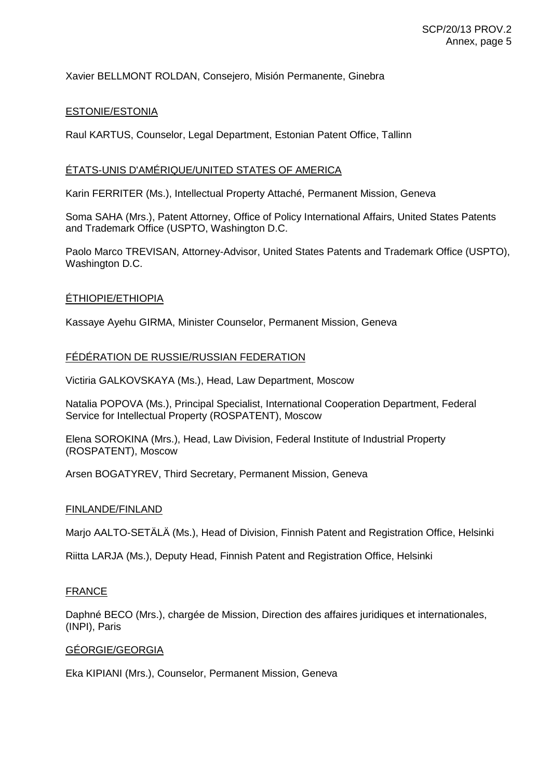# Xavier BELLMONT ROLDAN, Consejero, Misión Permanente, Ginebra

## ESTONIE/ESTONIA

Raul KARTUS, Counselor, Legal Department, Estonian Patent Office, Tallinn

## ÉTATS-UNIS D'AMÉRIQUE/UNITED STATES OF AMERICA

Karin FERRITER (Ms.), Intellectual Property Attaché, Permanent Mission, Geneva

Soma SAHA (Mrs.), Patent Attorney, Office of Policy International Affairs, United States Patents and Trademark Office (USPTO, Washington D.C.

Paolo Marco TREVISAN, Attorney-Advisor, United States Patents and Trademark Office (USPTO), Washington D.C.

## ÉTHIOPIE/ETHIOPIA

Kassaye Ayehu GIRMA, Minister Counselor, Permanent Mission, Geneva

## FÉDÉRATION DE RUSSIE/RUSSIAN FEDERATION

Victiria GALKOVSKAYA (Ms.), Head, Law Department, Moscow

Natalia POPOVA (Ms.), Principal Specialist, International Cooperation Department, Federal Service for Intellectual Property (ROSPATENT), Moscow

Elena SOROKINA (Mrs.), Head, Law Division, Federal Institute of Industrial Property (ROSPATENT), Moscow

Arsen BOGATYREV, Third Secretary, Permanent Mission, Geneva

### FINLANDE/FINLAND

Marjo AALTO-SETÄLÄ (Ms.), Head of Division, Finnish Patent and Registration Office, Helsinki

Riitta LARJA (Ms.), Deputy Head, Finnish Patent and Registration Office, Helsinki

## **FRANCE**

Daphné BECO (Mrs.), chargée de Mission, Direction des affaires juridiques et internationales, (INPI), Paris

### GÉORGIE/GEORGIA

Eka KIPIANI (Mrs.), Counselor, Permanent Mission, Geneva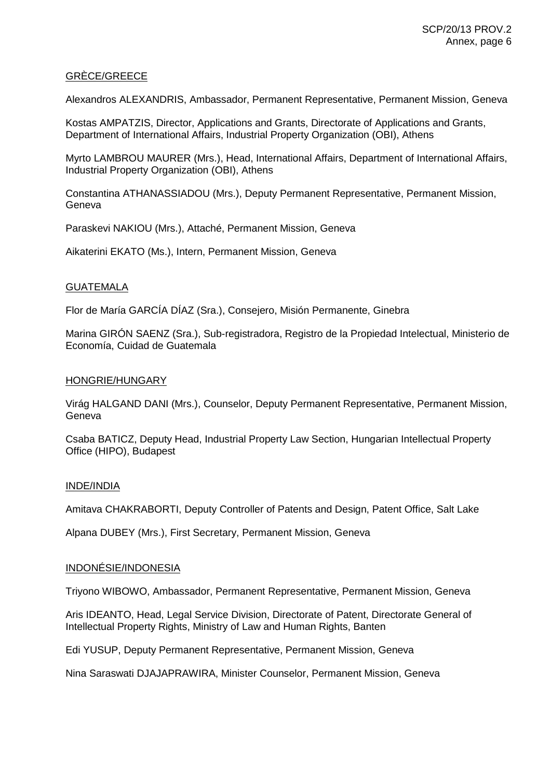## GRÈCE/GREECE

Alexandros ALEXANDRIS, Ambassador, Permanent Representative, Permanent Mission, Geneva

Kostas AMPATZIS, Director, Applications and Grants, Directorate of Applications and Grants, Department of International Affairs, Industrial Property Organization (OBI), Athens

Myrto LAMBROU MAURER (Mrs.), Head, International Affairs, Department of International Affairs, Industrial Property Organization (OBI), Athens

Constantina ATHANASSIADOU (Mrs.), Deputy Permanent Representative, Permanent Mission, Geneva

Paraskevi NAKIOU (Mrs.), Attaché, Permanent Mission, Geneva

Aikaterini EKATO (Ms.), Intern, Permanent Mission, Geneva

## **GUATEMALA**

Flor de María GARCÍA DÍAZ (Sra.), Consejero, Misión Permanente, Ginebra

Marina GIRÓN SAENZ (Sra.), Sub-registradora, Registro de la Propiedad Intelectual, Ministerio de Economía, Cuidad de Guatemala

## HONGRIE/HUNGARY

Virág HALGAND DANI (Mrs.), Counselor, Deputy Permanent Representative, Permanent Mission, **Geneva** 

Csaba BATICZ, Deputy Head, Industrial Property Law Section, Hungarian Intellectual Property Office (HIPO), Budapest

### INDE/INDIA

Amitava CHAKRABORTI, Deputy Controller of Patents and Design, Patent Office, Salt Lake

Alpana DUBEY (Mrs.), First Secretary, Permanent Mission, Geneva

### INDONÉSIE/INDONESIA

Triyono WIBOWO, Ambassador, Permanent Representative, Permanent Mission, Geneva

Aris IDEANTO, Head, Legal Service Division, Directorate of Patent, Directorate General of Intellectual Property Rights, Ministry of Law and Human Rights, Banten

Edi YUSUP, Deputy Permanent Representative, Permanent Mission, Geneva

Nina Saraswati DJAJAPRAWIRA, Minister Counselor, Permanent Mission, Geneva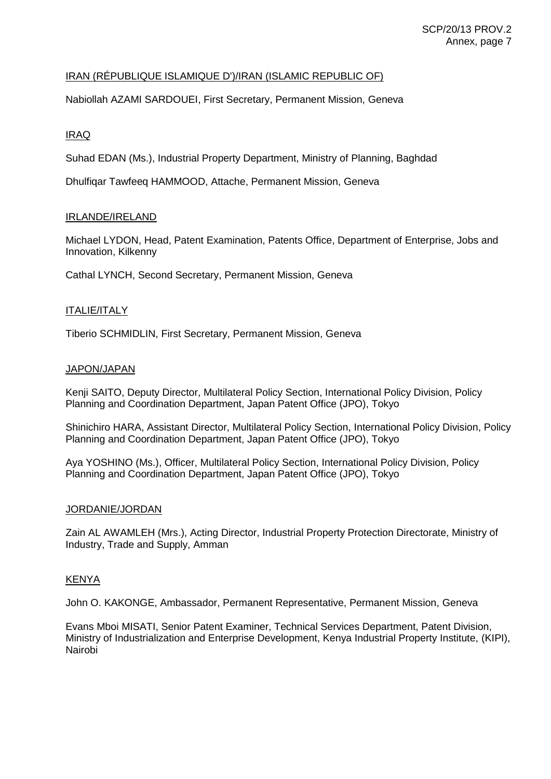# IRAN (RÉPUBLIQUE ISLAMIQUE D')/IRAN (ISLAMIC REPUBLIC OF)

Nabiollah AZAMI SARDOUEI, First Secretary, Permanent Mission, Geneva

## IRAQ

Suhad EDAN (Ms.), Industrial Property Department, Ministry of Planning, Baghdad

Dhulfiqar Tawfeeq HAMMOOD, Attache, Permanent Mission, Geneva

### IRLANDE/IRELAND

Michael LYDON, Head, Patent Examination, Patents Office, Department of Enterprise, Jobs and Innovation, Kilkenny

Cathal LYNCH, Second Secretary, Permanent Mission, Geneva

## ITALIE/ITALY

Tiberio SCHMIDLIN, First Secretary, Permanent Mission, Geneva

### JAPON/JAPAN

Kenji SAITO, Deputy Director, Multilateral Policy Section, International Policy Division, Policy Planning and Coordination Department, Japan Patent Office (JPO), Tokyo

Shinichiro HARA, Assistant Director, Multilateral Policy Section, International Policy Division, Policy Planning and Coordination Department, Japan Patent Office (JPO), Tokyo

Aya YOSHINO (Ms.), Officer, Multilateral Policy Section, International Policy Division, Policy Planning and Coordination Department, Japan Patent Office (JPO), Tokyo

### JORDANIE/JORDAN

Zain AL AWAMLEH (Mrs.), Acting Director, Industrial Property Protection Directorate, Ministry of Industry, Trade and Supply, Amman

### KENYA

John O. KAKONGE, Ambassador, Permanent Representative, Permanent Mission, Geneva

Evans Mboi MISATI, Senior Patent Examiner, Technical Services Department, Patent Division, Ministry of Industrialization and Enterprise Development, Kenya Industrial Property Institute, (KIPI), Nairobi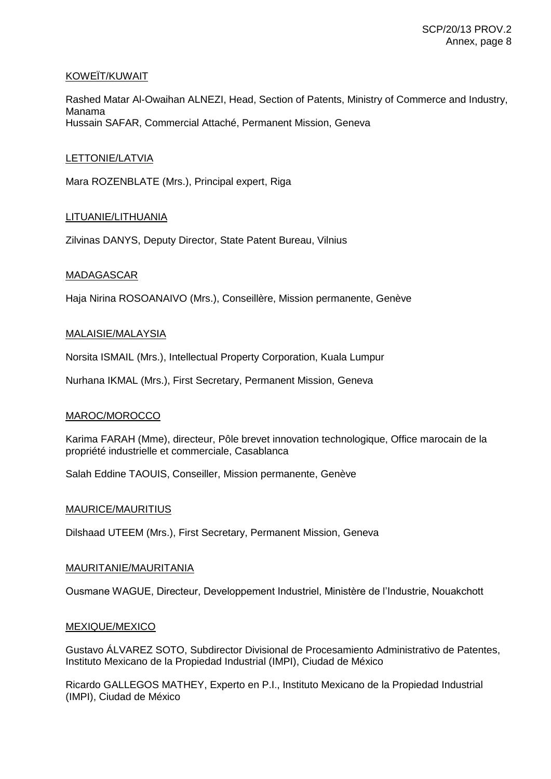## KOWEÏT/KUWAIT

Rashed Matar Al-Owaihan ALNEZI, Head, Section of Patents, Ministry of Commerce and Industry, Manama Hussain SAFAR, Commercial Attaché, Permanent Mission, Geneva

## LETTONIE/LATVIA

Mara ROZENBLATE (Mrs.), Principal expert, Riga

## LITUANIE/LITHUANIA

Zilvinas DANYS, Deputy Director, State Patent Bureau, Vilnius

## MADAGASCAR

Haja Nirina ROSOANAIVO (Mrs.), Conseillère, Mission permanente, Genève

### MALAISIE/MALAYSIA

Norsita ISMAIL (Mrs.), Intellectual Property Corporation, Kuala Lumpur

Nurhana IKMAL (Mrs.), First Secretary, Permanent Mission, Geneva

### MAROC/MOROCCO

Karima FARAH (Mme), directeur, Pôle brevet innovation technologique, Office marocain de la propriété industrielle et commerciale, Casablanca

Salah Eddine TAOUIS, Conseiller, Mission permanente, Genève

### MAURICE/MAURITIUS

Dilshaad UTEEM (Mrs.), First Secretary, Permanent Mission, Geneva

### MAURITANIE/MAURITANIA

Ousmane WAGUE, Directeur, Developpement Industriel, Ministère de l'Industrie, Nouakchott

### MEXIQUE/MEXICO

Gustavo ÁLVAREZ SOTO, Subdirector Divisional de Procesamiento Administrativo de Patentes, Instituto Mexicano de la Propiedad Industrial (IMPI), Ciudad de México

Ricardo GALLEGOS MATHEY, Experto en P.I., Instituto Mexicano de la Propiedad Industrial (IMPI), Ciudad de México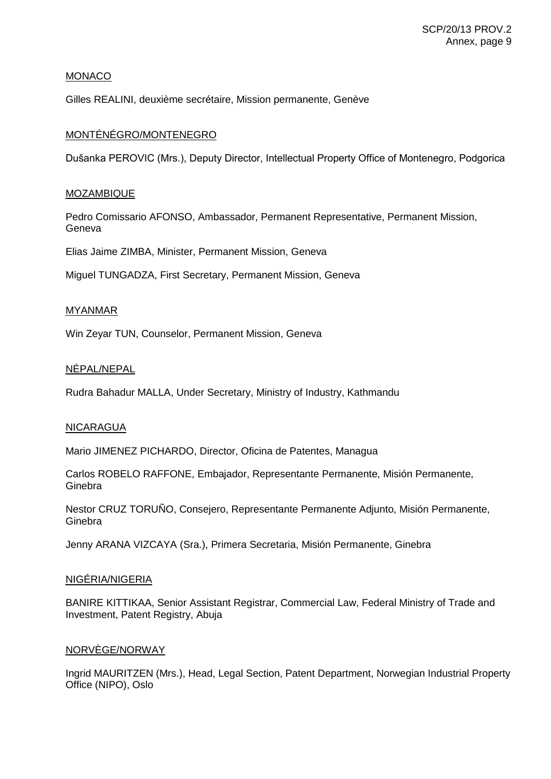## MONACO

Gilles REALINI, deuxième secrétaire, Mission permanente, Genève

## MONTÉNÉGRO/MONTENEGRO

Dušanka PEROVIC (Mrs.), Deputy Director, Intellectual Property Office of Montenegro, Podgorica

## **MOZAMBIQUE**

Pedro Comissario AFONSO, Ambassador, Permanent Representative, Permanent Mission, Geneva

Elias Jaime ZIMBA, Minister, Permanent Mission, Geneva

Miguel TUNGADZA, First Secretary, Permanent Mission, Geneva

## MYANMAR

Win Zeyar TUN, Counselor, Permanent Mission, Geneva

## NÉPAL/NEPAL

Rudra Bahadur MALLA, Under Secretary, Ministry of Industry, Kathmandu

### NICARAGUA

Mario JIMENEZ PICHARDO, Director, Oficina de Patentes, Managua

Carlos ROBELO RAFFONE, Embajador, Representante Permanente, Misión Permanente, **Ginebra** 

Nestor CRUZ TORUÑO, Consejero, Representante Permanente Adjunto, Misión Permanente, Ginebra

Jenny ARANA VIZCAYA (Sra.), Primera Secretaria, Misión Permanente, Ginebra

### **NIGÉRIA/NIGERIA**

BANIRE KITTIKAA, Senior Assistant Registrar, Commercial Law, Federal Ministry of Trade and Investment, Patent Registry, Abuja

### NORVÈGE/NORWAY

Ingrid MAURITZEN (Mrs.), Head, Legal Section, Patent Department, Norwegian Industrial Property Office (NIPO), Oslo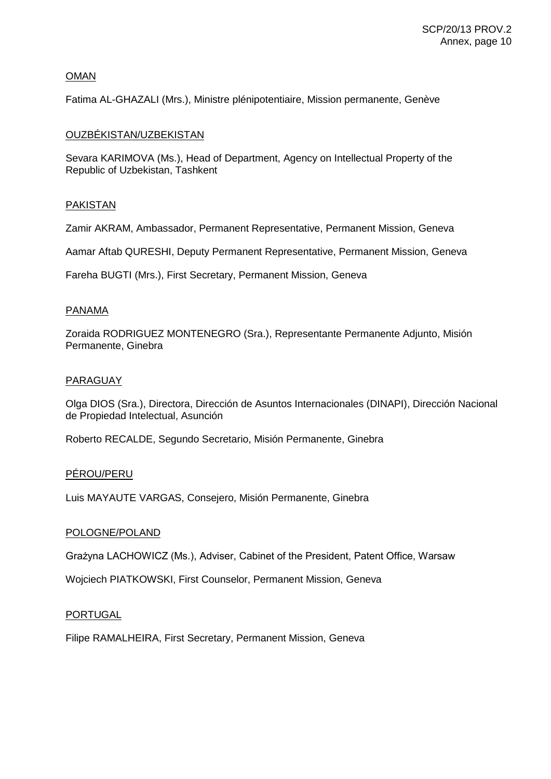# OMAN

Fatima AL-GHAZALI (Mrs.), Ministre plénipotentiaire, Mission permanente, Genève

## OUZBÉKISTAN/UZBEKISTAN

Sevara KARIMOVA (Ms.), Head of Department, Agency on Intellectual Property of the Republic of Uzbekistan, Tashkent

## PAKISTAN

Zamir AKRAM, Ambassador, Permanent Representative, Permanent Mission, Geneva

Aamar Aftab QURESHI, Deputy Permanent Representative, Permanent Mission, Geneva

Fareha BUGTI (Mrs.), First Secretary, Permanent Mission, Geneva

## PANAMA

Zoraida RODRIGUEZ MONTENEGRO (Sra.), Representante Permanente Adjunto, Misión Permanente, Ginebra

## PARAGUAY

Olga DIOS (Sra.), Directora, Dirección de Asuntos Internacionales (DINAPI), Dirección Nacional de Propiedad Intelectual, Asunción

Roberto RECALDE, Segundo Secretario, Misión Permanente, Ginebra

## PÉROU/PERU

Luis MAYAUTE VARGAS, Consejero, Misión Permanente, Ginebra

## POLOGNE/POLAND

Grażyna LACHOWICZ (Ms.), Adviser, Cabinet of the President, Patent Office, Warsaw

Wojciech PIATKOWSKI, First Counselor, Permanent Mission, Geneva

### PORTUGAL

Filipe RAMALHEIRA, First Secretary, Permanent Mission, Geneva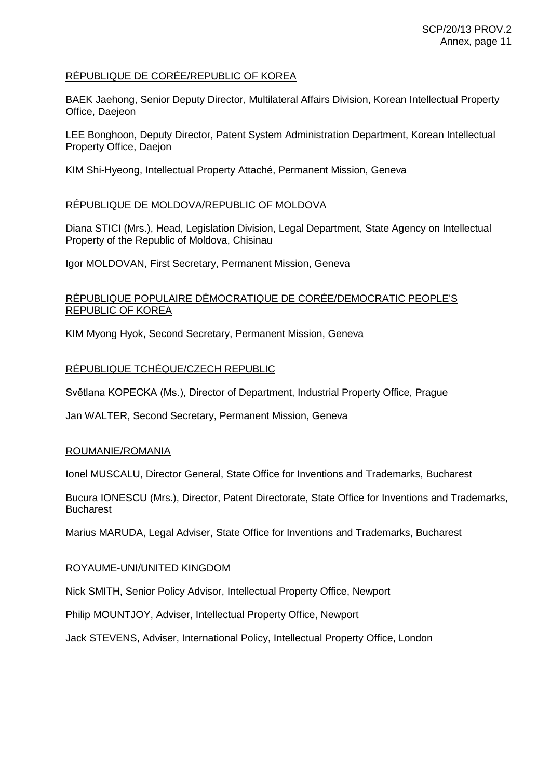## RÉPUBLIQUE DE CORÉE/REPUBLIC OF KOREA

BAEK Jaehong, Senior Deputy Director, Multilateral Affairs Division, Korean Intellectual Property Office, Daejeon

LEE Bonghoon, Deputy Director, Patent System Administration Department, Korean Intellectual Property Office, Daejon

KIM Shi-Hyeong, Intellectual Property Attaché, Permanent Mission, Geneva

## RÉPUBLIQUE DE MOLDOVA/REPUBLIC OF MOLDOVA

Diana STICI (Mrs.), Head, Legislation Division, Legal Department, State Agency on Intellectual Property of the Republic of Moldova, Chisinau

Igor MOLDOVAN, First Secretary, Permanent Mission, Geneva

## RÉPUBLIQUE POPULAIRE DÉMOCRATIQUE DE CORÉE/DEMOCRATIC PEOPLE'S REPUBLIC OF KOREA

KIM Myong Hyok, Second Secretary, Permanent Mission, Geneva

## RÉPUBLIQUE TCHÈQUE/CZECH REPUBLIC

Světlana KOPECKA (Ms.), Director of Department, Industrial Property Office, Prague

Jan WALTER, Second Secretary, Permanent Mission, Geneva

## ROUMANIE/ROMANIA

Ionel MUSCALU, Director General, State Office for Inventions and Trademarks, Bucharest

Bucura IONESCU (Mrs.), Director, Patent Directorate, State Office for Inventions and Trademarks, Bucharest

Marius MARUDA, Legal Adviser, State Office for Inventions and Trademarks, Bucharest

### ROYAUME-UNI/UNITED KINGDOM

Nick SMITH, Senior Policy Advisor, Intellectual Property Office, Newport

Philip MOUNTJOY, Adviser, Intellectual Property Office, Newport

Jack STEVENS, Adviser, International Policy, Intellectual Property Office, London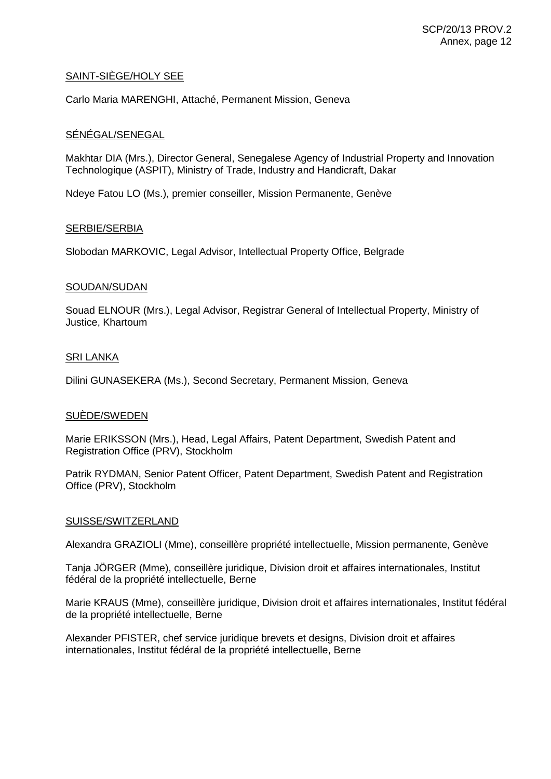## SAINT-SIÈGE/HOLY SEE

Carlo Maria MARENGHI, Attaché, Permanent Mission, Geneva

## SÉNÉGAL/SENEGAL

Makhtar DIA (Mrs.), Director General, Senegalese Agency of Industrial Property and Innovation Technologique (ASPIT), Ministry of Trade, Industry and Handicraft, Dakar

Ndeye Fatou LO (Ms.), premier conseiller, Mission Permanente, Genève

### SERBIE/SERBIA

Slobodan MARKOVIC, Legal Advisor, Intellectual Property Office, Belgrade

## SOUDAN/SUDAN

Souad ELNOUR (Mrs.), Legal Advisor, Registrar General of Intellectual Property, Ministry of Justice, Khartoum

## SRI LANKA

Dilini GUNASEKERA (Ms.), Second Secretary, Permanent Mission, Geneva

### SUÈDE/SWEDEN

Marie ERIKSSON (Mrs.), Head, Legal Affairs, Patent Department, Swedish Patent and Registration Office (PRV), Stockholm

Patrik RYDMAN, Senior Patent Officer, Patent Department, Swedish Patent and Registration Office (PRV), Stockholm

### SUISSE/SWITZERLAND

Alexandra GRAZIOLI (Mme), conseillère propriété intellectuelle, Mission permanente, Genève

Tanja JÖRGER (Mme), conseillère juridique, Division droit et affaires internationales, Institut fédéral de la propriété intellectuelle, Berne

Marie KRAUS (Mme), conseillère juridique, Division droit et affaires internationales, Institut fédéral de la propriété intellectuelle, Berne

Alexander PFISTER, chef service juridique brevets et designs, Division droit et affaires internationales, Institut fédéral de la propriété intellectuelle, Berne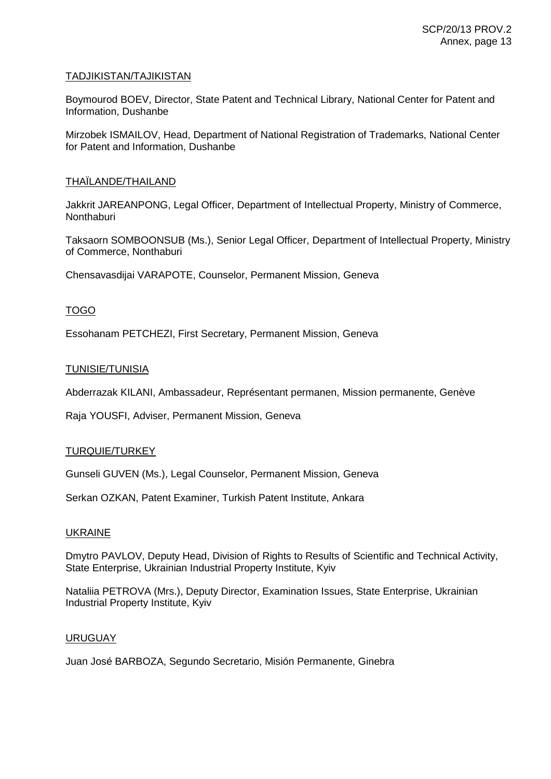## TADJIKISTAN/TAJIKISTAN

Boymourod BOEV, Director, State Patent and Technical Library, National Center for Patent and Information, Dushanbe

Mirzobek ISMAILOV, Head, Department of National Registration of Trademarks, National Center for Patent and Information, Dushanbe

## THAÏLANDE/THAILAND

Jakkrit JAREANPONG, Legal Officer, Department of Intellectual Property, Ministry of Commerce, **Nonthaburi** 

Taksaorn SOMBOONSUB (Ms.), Senior Legal Officer, Department of Intellectual Property, Ministry of Commerce, Nonthaburi

Chensavasdijai VARAPOTE, Counselor, Permanent Mission, Geneva

## TOGO

Essohanam PETCHEZI, First Secretary, Permanent Mission, Geneva

## TUNISIE/TUNISIA

Abderrazak KILANI, Ambassadeur, Représentant permanen, Mission permanente, Genève

Raja YOUSFI, Adviser, Permanent Mission, Geneva

# TURQUIE/TURKEY

Gunseli GUVEN (Ms.), Legal Counselor, Permanent Mission, Geneva

Serkan OZKAN, Patent Examiner, Turkish Patent Institute, Ankara

### UKRAINE

Dmytro PAVLOV, Deputy Head, Division of Rights to Results of Scientific and Technical Activity, State Enterprise, Ukrainian Industrial Property Institute, Kyiv

Nataliia PETROVA (Mrs.), Deputy Director, Examination Issues, State Enterprise, Ukrainian Industrial Property Institute, Kyiv

### URUGUAY

Juan José BARBOZA, Segundo Secretario, Misión Permanente, Ginebra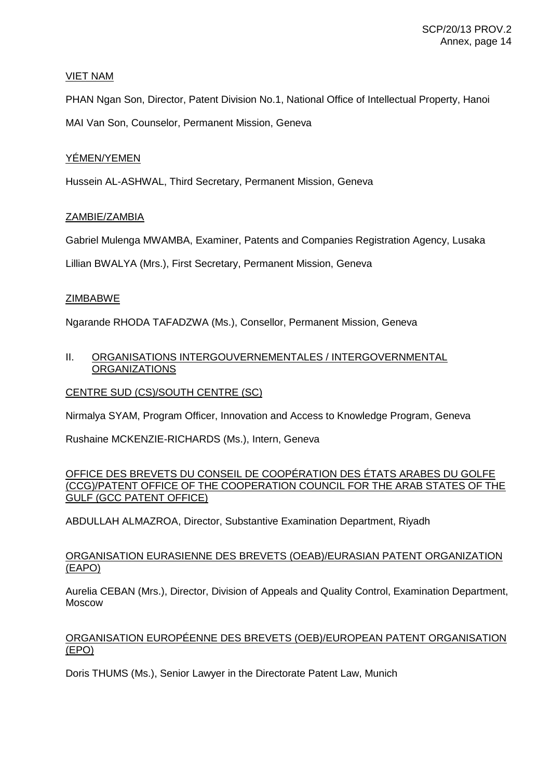## VIET NAM

PHAN Ngan Son, Director, Patent Division No.1, National Office of Intellectual Property, Hanoi MAI Van Son, Counselor, Permanent Mission, Geneva

# YÉMEN/YEMEN

Hussein AL-ASHWAL, Third Secretary, Permanent Mission, Geneva

# ZAMBIE/ZAMBIA

Gabriel Mulenga MWAMBA, Examiner, Patents and Companies Registration Agency, Lusaka

Lillian BWALYA (Mrs.), First Secretary, Permanent Mission, Geneva

# ZIMBABWE

Ngarande RHODA TAFADZWA (Ms.), Consellor, Permanent Mission, Geneva

# II. ORGANISATIONS INTERGOUVERNEMENTALES / INTERGOVERNMENTAL **ORGANIZATIONS**

## CENTRE SUD (CS)/SOUTH CENTRE (SC)

Nirmalya SYAM, Program Officer, Innovation and Access to Knowledge Program, Geneva

Rushaine MCKENZIE-RICHARDS (Ms.), Intern, Geneva

OFFICE DES BREVETS DU CONSEIL DE COOPÉRATION DES ÉTATS ARABES DU GOLFE (CCG)/PATENT OFFICE OF THE COOPERATION COUNCIL FOR THE ARAB STATES OF THE GULF (GCC PATENT OFFICE)

ABDULLAH ALMAZROA, Director, Substantive Examination Department, Riyadh

## ORGANISATION EURASIENNE DES BREVETS (OEAB)/EURASIAN PATENT ORGANIZATION (EAPO)

Aurelia CEBAN (Mrs.), Director, Division of Appeals and Quality Control, Examination Department, Moscow

# ORGANISATION EUROPÉENNE DES BREVETS (OEB)/EUROPEAN PATENT ORGANISATION (EPO)

Doris THUMS (Ms.), Senior Lawyer in the Directorate Patent Law, Munich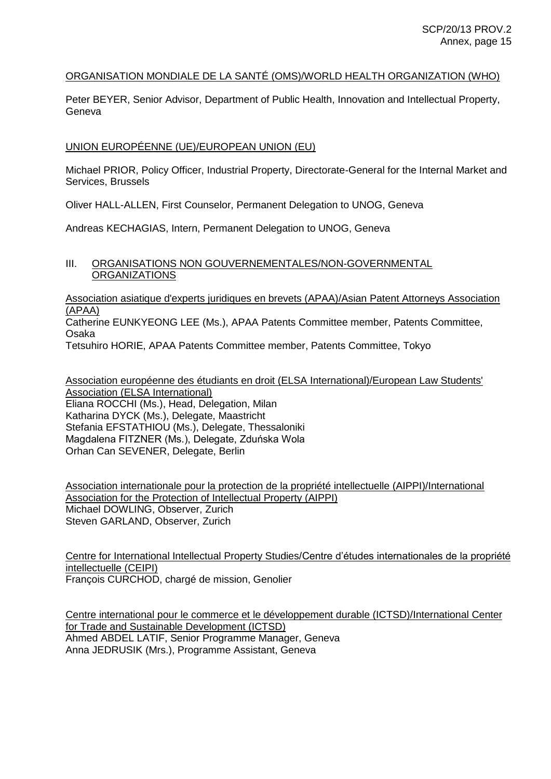## ORGANISATION MONDIALE DE LA SANTÉ (OMS)/WORLD HEALTH ORGANIZATION (WHO)

Peter BEYER, Senior Advisor, Department of Public Health, Innovation and Intellectual Property, Geneva

## UNION EUROPÉENNE (UE)/EUROPEAN UNION (EU)

Michael PRIOR, Policy Officer, Industrial Property, Directorate-General for the Internal Market and Services, Brussels

Oliver HALL-ALLEN, First Counselor, Permanent Delegation to UNOG, Geneva

Andreas KECHAGIAS, Intern, Permanent Delegation to UNOG, Geneva

### III. ORGANISATIONS NON GOUVERNEMENTALES/NON-GOVERNMENTAL ORGANIZATIONS

Association asiatique d'experts juridiques en brevets (APAA)/Asian Patent Attorneys Association (APAA)

Catherine EUNKYEONG LEE (Ms.), APAA Patents Committee member, Patents Committee, Osaka

Tetsuhiro HORIE, APAA Patents Committee member, Patents Committee, Tokyo

Association européenne des étudiants en droit (ELSA International)/European Law Students' Association (ELSA International) Eliana ROCCHI (Ms.), Head, Delegation, Milan Katharina DYCK (Ms.), Delegate, Maastricht Stefania EFSTATHIOU (Ms.), Delegate, Thessaloniki Magdalena FITZNER (Ms.), Delegate, Zduńska Wola Orhan Can SEVENER, Delegate, Berlin

Association internationale pour la protection de la propriété intellectuelle (AIPPI)/International Association for the Protection of Intellectual Property (AIPPI) Michael DOWLING, Observer, Zurich Steven GARLAND, Observer, Zurich

Centre for International Intellectual Property Studies/Centre d'études internationales de la propriété intellectuelle (CEIPI) François CURCHOD, chargé de mission, Genolier

Centre international pour le commerce et le développement durable (ICTSD)/International Center for Trade and Sustainable Development (ICTSD) Ahmed ABDEL LATIF, Senior Programme Manager, Geneva Anna JEDRUSIK (Mrs.), Programme Assistant, Geneva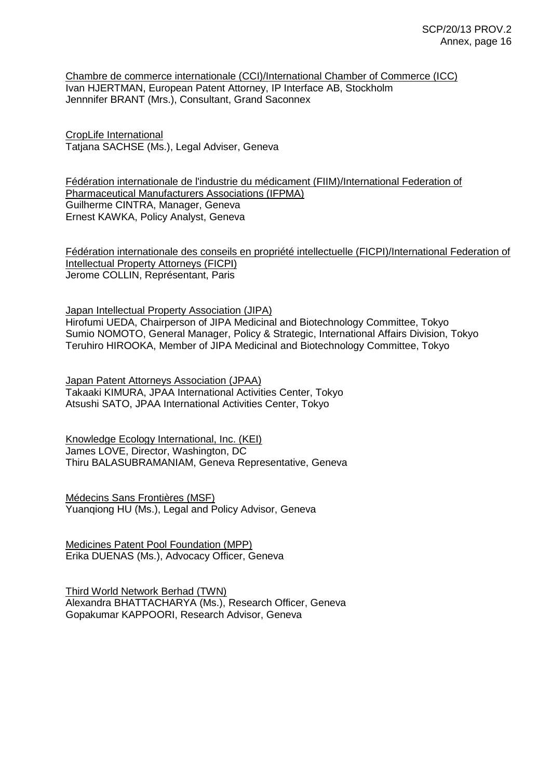Chambre de commerce internationale (CCI)/International Chamber of Commerce (ICC) Ivan HJERTMAN, European Patent Attorney, IP Interface AB, Stockholm Jennnifer BRANT (Mrs.), Consultant, Grand Saconnex

CropLife International Tatjana SACHSE (Ms.), Legal Adviser, Geneva

Fédération internationale de l'industrie du médicament (FIIM)/International Federation of Pharmaceutical Manufacturers Associations (IFPMA) Guilherme CINTRA, Manager, Geneva Ernest KAWKA, Policy Analyst, Geneva

Fédération internationale des conseils en propriété intellectuelle (FICPI)/International Federation of Intellectual Property Attorneys (FICPI) Jerome COLLIN, Représentant, Paris

Japan Intellectual Property Association (JIPA) Hirofumi UEDA, Chairperson of JIPA Medicinal and Biotechnology Committee, Tokyo Sumio NOMOTO, General Manager, Policy & Strategic, International Affairs Division, Tokyo Teruhiro HIROOKA, Member of JIPA Medicinal and Biotechnology Committee, Tokyo

Japan Patent Attorneys Association (JPAA) Takaaki KIMURA, JPAA International Activities Center, Tokyo Atsushi SATO, JPAA International Activities Center, Tokyo

Knowledge Ecology International, Inc. (KEI) James LOVE, Director, Washington, DC Thiru BALASUBRAMANIAM, Geneva Representative, Geneva

Médecins Sans Frontières (MSF) Yuanqiong HU (Ms.), Legal and Policy Advisor, Geneva

Medicines Patent Pool Foundation (MPP) Erika DUENAS (Ms.), Advocacy Officer, Geneva

Third World Network Berhad (TWN) Alexandra BHATTACHARYA (Ms.), Research Officer, Geneva Gopakumar KAPPOORI, Research Advisor, Geneva